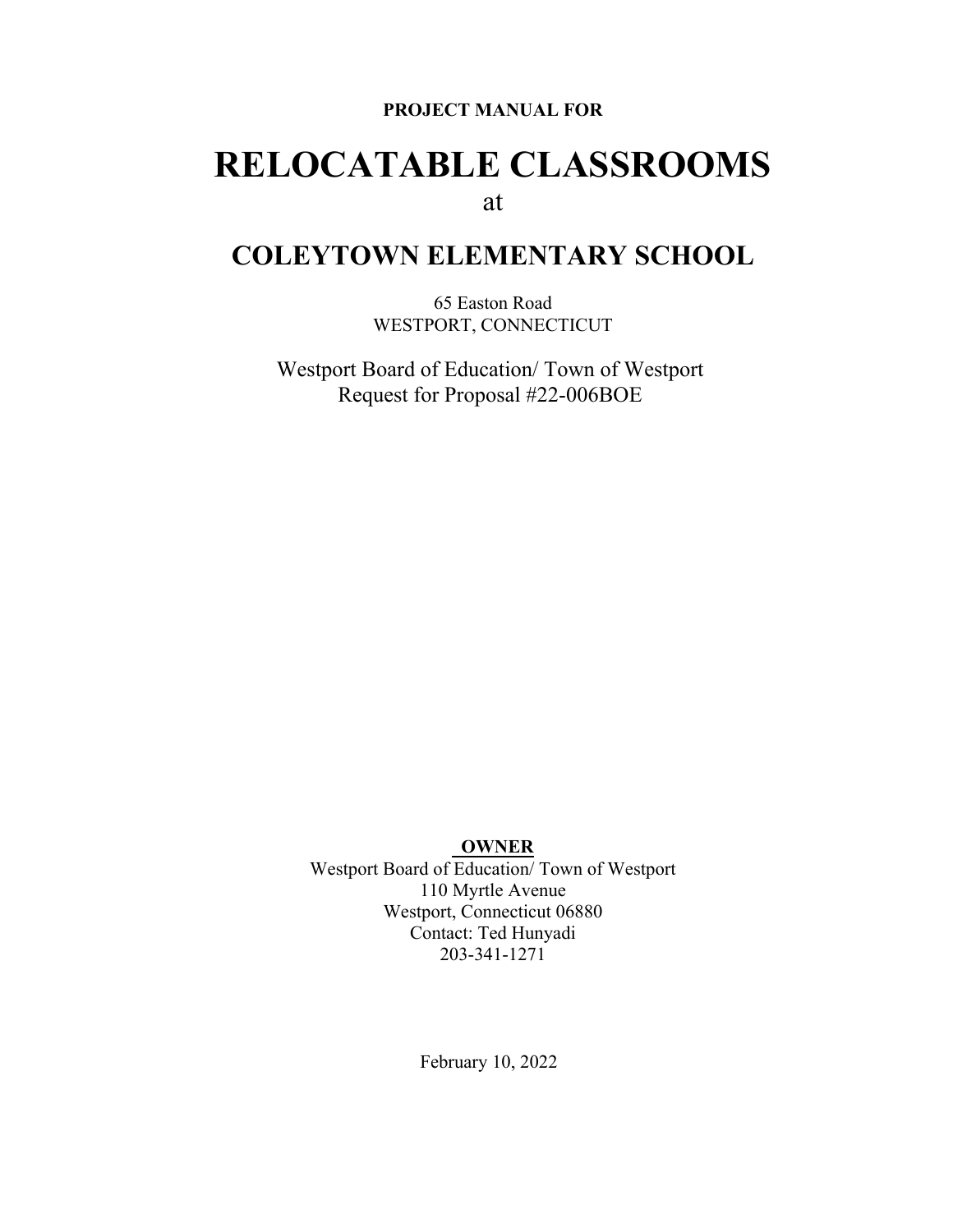#### **PROJECT MANUAL FOR**

# **RELOCATABLE CLASSROOMS** at

# **COLEYTOWN ELEMENTARY SCHOOL**

65 Easton Road WESTPORT, CONNECTICUT

Westport Board of Education/ Town of Westport Request for Proposal #22-006BOE

#### **OWNER**

Westport Board of Education/ Town of Westport 110 Myrtle Avenue Westport, Connecticut 06880 Contact: Ted Hunyadi 203-341-1271

February 10, 2022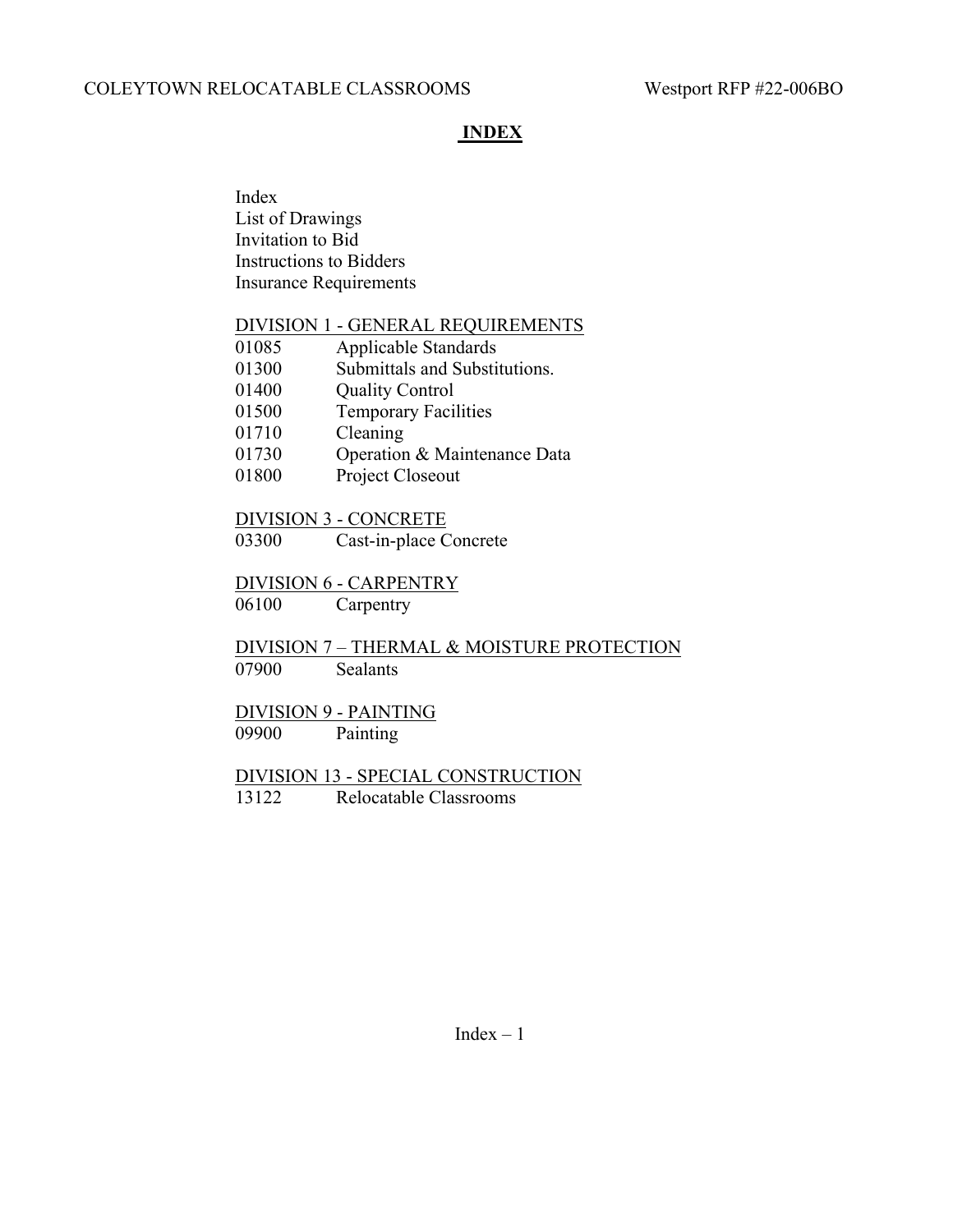## **INDEX**

Index List of Drawings Invitation to Bid Instructions to Bidders Insurance Requirements

#### DIVISION 1 - GENERAL REQUIREMENTS

| 01085 | Applicable Standards          |
|-------|-------------------------------|
| 01300 | Submittals and Substitutions. |
| 01400 | <b>Quality Control</b>        |
| 01500 | <b>Temporary Facilities</b>   |
| 01710 | Cleaning                      |
| 01730 | Operation & Maintenance Data  |
|       |                               |

01800 Project Closeout

#### DIVISION 3 - CONCRETE

03300 Cast-in-place Concrete

#### DIVISION 6 - CARPENTRY

06100 Carpentry

DIVISION 7 – THERMAL & MOISTURE PROTECTION 07900 Sealants

# DIVISION 9 - PAINTING

09900 Painting

## DIVISION 13 - SPECIAL CONSTRUCTION 13122 Relocatable Classrooms

 $Index - 1$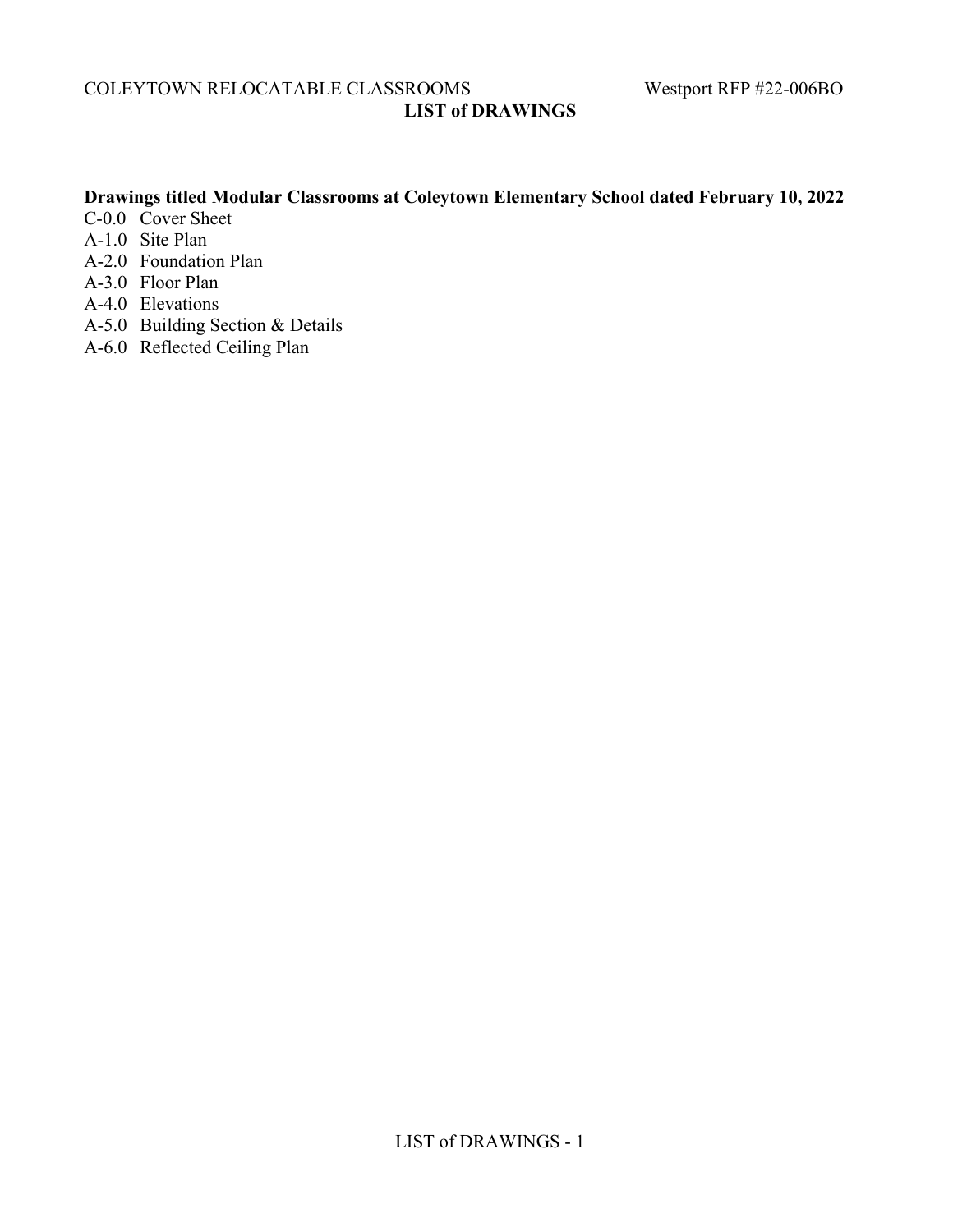COLEYTOWN RELOCATABLE CLASSROOMS Westport RFP #22-006BO **LIST of DRAWINGS**

## **Drawings titled Modular Classrooms at Coleytown Elementary School dated February 10, 2022**

- C-0.0 Cover Sheet
- A-1.0 Site Plan
- A-2.0 Foundation Plan
- A-3.0 Floor Plan
- A-4.0 Elevations
- A-5.0 Building Section & Details
- A-6.0 Reflected Ceiling Plan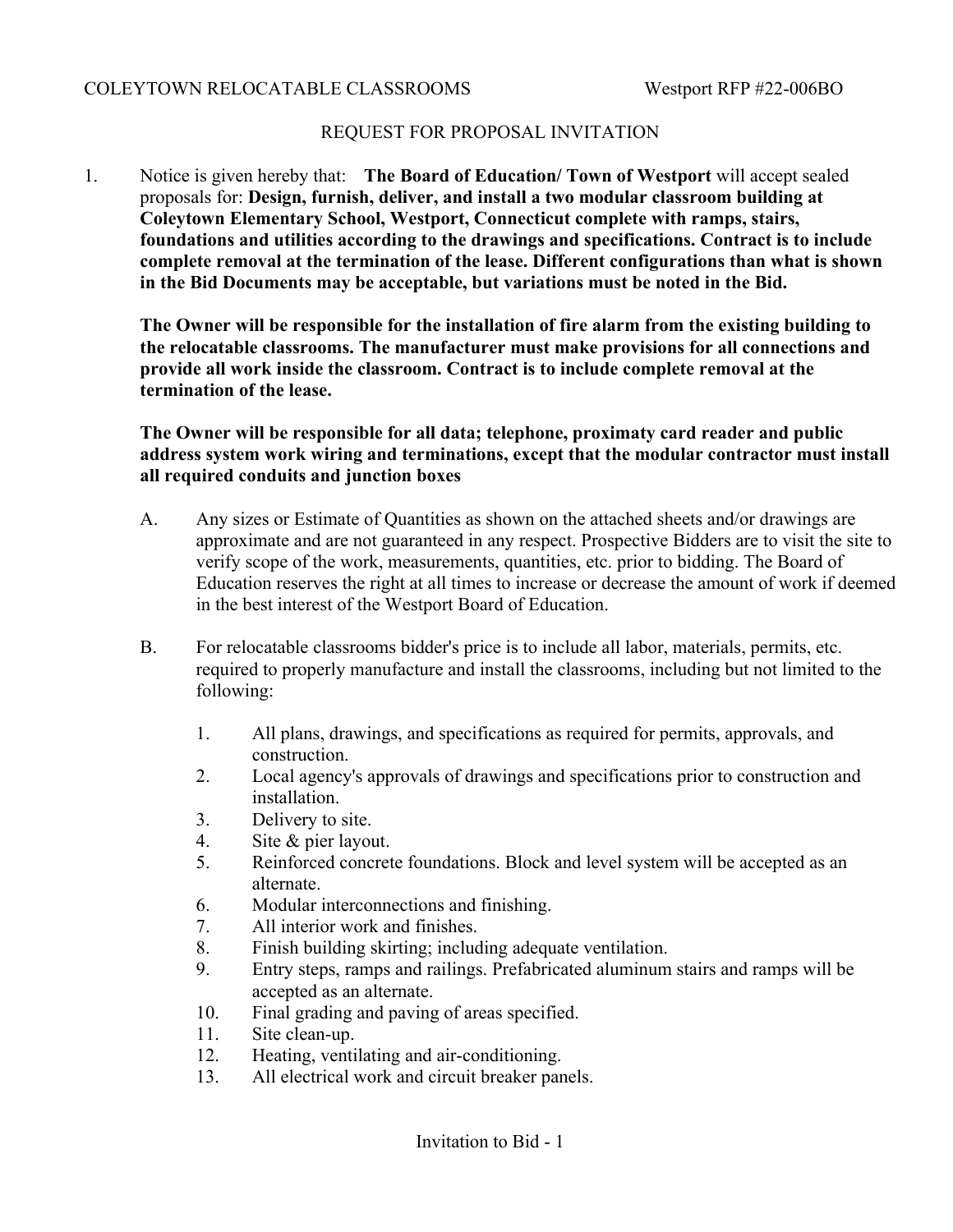## REQUEST FOR PROPOSAL INVITATION

1. Notice is given hereby that: **The Board of Education/ Town of Westport** will accept sealed proposals for: **Design, furnish, deliver, and install a two modular classroom building at Coleytown Elementary School, Westport, Connecticut complete with ramps, stairs, foundations and utilities according to the drawings and specifications. Contract is to include complete removal at the termination of the lease. Different configurations than what is shown in the Bid Documents may be acceptable, but variations must be noted in the Bid.**

**The Owner will be responsible for the installation of fire alarm from the existing building to the relocatable classrooms. The manufacturer must make provisions for all connections and provide all work inside the classroom. Contract is to include complete removal at the termination of the lease.**

**The Owner will be responsible for all data; telephone, proximaty card reader and public address system work wiring and terminations, except that the modular contractor must install all required conduits and junction boxes**

- A. Any sizes or Estimate of Quantities as shown on the attached sheets and/or drawings are approximate and are not guaranteed in any respect. Prospective Bidders are to visit the site to verify scope of the work, measurements, quantities, etc. prior to bidding. The Board of Education reserves the right at all times to increase or decrease the amount of work if deemed in the best interest of the Westport Board of Education.
- B. For relocatable classrooms bidder's price is to include all labor, materials, permits, etc. required to properly manufacture and install the classrooms, including but not limited to the following:
	- 1. All plans, drawings, and specifications as required for permits, approvals, and construction.
	- 2. Local agency's approvals of drawings and specifications prior to construction and installation.
	- 3. Delivery to site.
	- 4. Site & pier layout.
	- 5. Reinforced concrete foundations. Block and level system will be accepted as an alternate.
	- 6. Modular interconnections and finishing.
	- 7. All interior work and finishes.
	- 8. Finish building skirting; including adequate ventilation.
	- 9. Entry steps, ramps and railings. Prefabricated aluminum stairs and ramps will be accepted as an alternate.
	- 10. Final grading and paving of areas specified.
	- 11. Site clean-up.
	- 12. Heating, ventilating and air-conditioning.
	- 13. All electrical work and circuit breaker panels.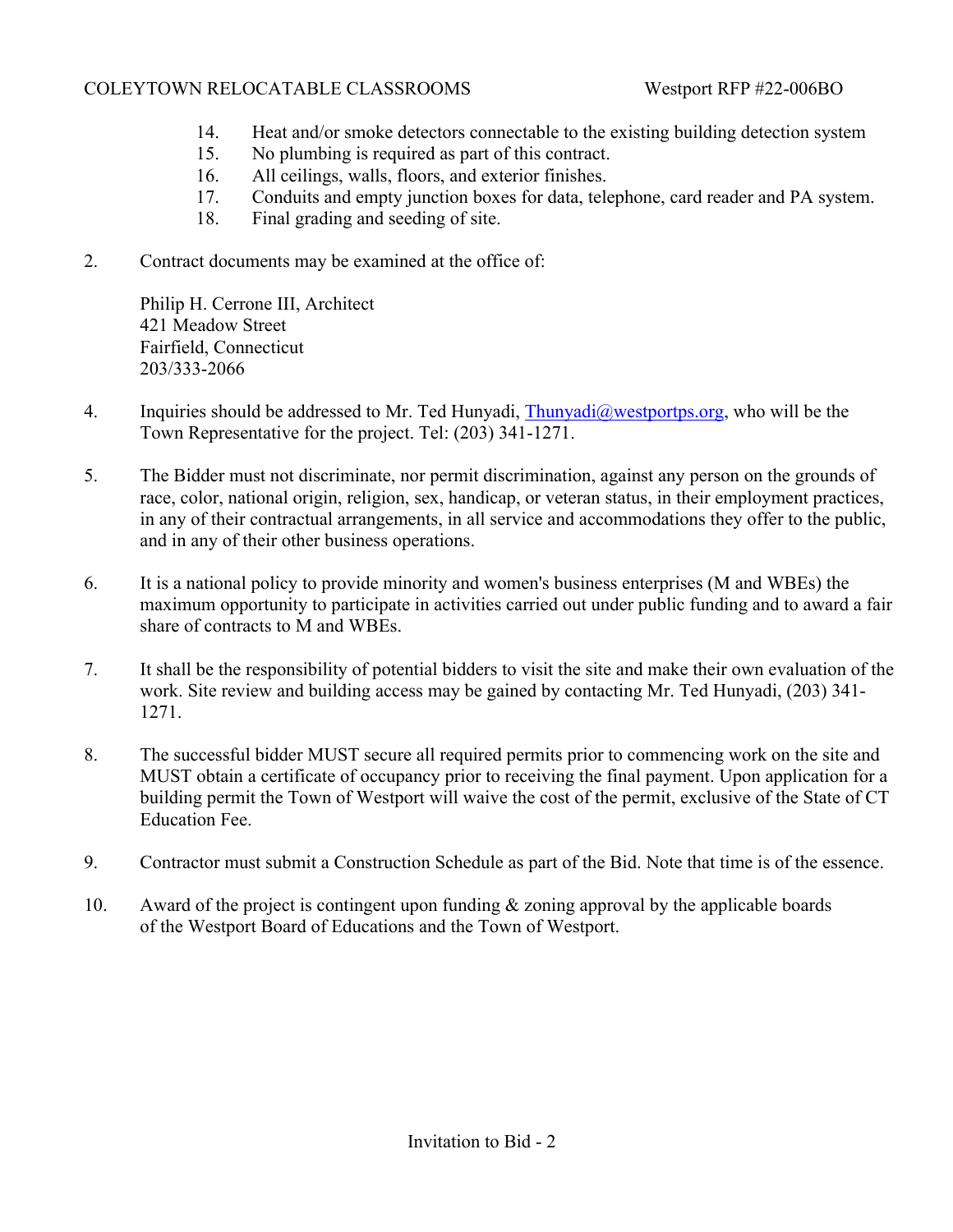- 14. Heat and/or smoke detectors connectable to the existing building detection system
- 15. No plumbing is required as part of this contract.
- 16. All ceilings, walls, floors, and exterior finishes.
- 17. Conduits and empty junction boxes for data, telephone, card reader and PA system.
- 18. Final grading and seeding of site.
- 2. Contract documents may be examined at the office of:

Philip H. Cerrone III, Architect 421 Meadow Street Fairfield, Connecticut 203/333-2066

- 4. Inquiries should be addressed to Mr. Ted Hunyadi, [Thunyadi@westportps.org](mailto:Thunyadi@westportps.org), who will be the Town Representative for the project. Tel: (203) 341-1271.
- 5. The Bidder must not discriminate, nor permit discrimination, against any person on the grounds of race, color, national origin, religion, sex, handicap, or veteran status, in their employment practices, in any of their contractual arrangements, in all service and accommodations they offer to the public, and in any of their other business operations.
- 6. It is a national policy to provide minority and women's business enterprises (M and WBEs) the maximum opportunity to participate in activities carried out under public funding and to award a fair share of contracts to M and WBEs.
- 7. It shall be the responsibility of potential bidders to visit the site and make their own evaluation of the work. Site review and building access may be gained by contacting Mr. Ted Hunyadi, (203) 341- 1271.
- 8. The successful bidder MUST secure all required permits prior to commencing work on the site and MUST obtain a certificate of occupancy prior to receiving the final payment. Upon application for a building permit the Town of Westport will waive the cost of the permit, exclusive of the State of CT Education Fee.
- 9. Contractor must submit a Construction Schedule as part of the Bid. Note that time is of the essence.
- 10. Award of the project is contingent upon funding  $&$  zoning approval by the applicable boards of the Westport Board of Educations and the Town of Westport.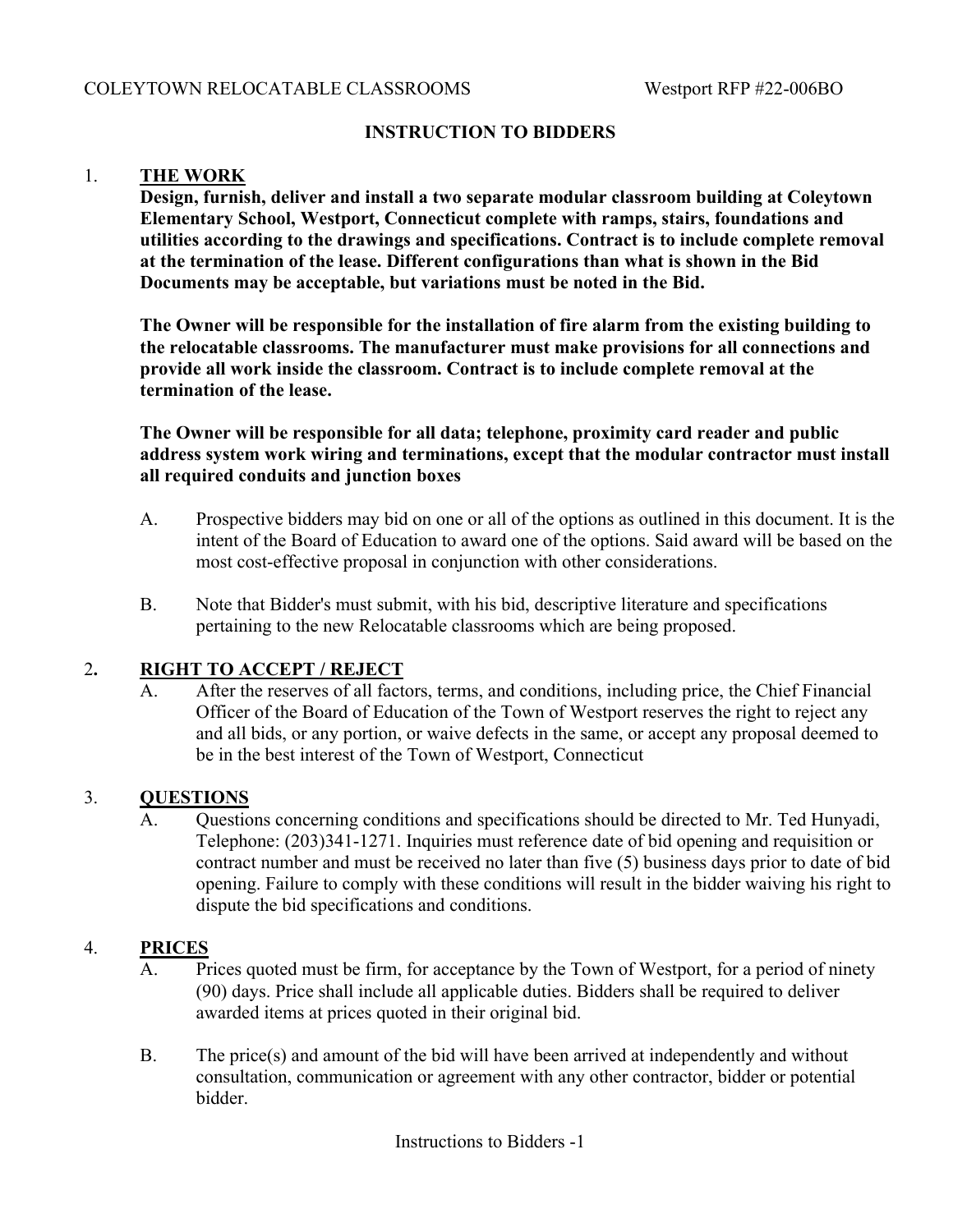#### **INSTRUCTION TO BIDDERS**

#### 1. **THE WORK**

**Design, furnish, deliver and install a two separate modular classroom building at Coleytown Elementary School, Westport, Connecticut complete with ramps, stairs, foundations and utilities according to the drawings and specifications. Contract is to include complete removal at the termination of the lease. Different configurations than what is shown in the Bid Documents may be acceptable, but variations must be noted in the Bid.**

**The Owner will be responsible for the installation of fire alarm from the existing building to the relocatable classrooms. The manufacturer must make provisions for all connections and provide all work inside the classroom. Contract is to include complete removal at the termination of the lease.**

**The Owner will be responsible for all data; telephone, proximity card reader and public address system work wiring and terminations, except that the modular contractor must install all required conduits and junction boxes**

- A. Prospective bidders may bid on one or all of the options as outlined in this document. It is the intent of the Board of Education to award one of the options. Said award will be based on the most cost-effective proposal in conjunction with other considerations.
- B. Note that Bidder's must submit, with his bid, descriptive literature and specifications pertaining to the new Relocatable classrooms which are being proposed.

#### 2**. RIGHT TO ACCEPT / REJECT**

A. After the reserves of all factors, terms, and conditions, including price, the Chief Financial Officer of the Board of Education of the Town of Westport reserves the right to reject any and all bids, or any portion, or waive defects in the same, or accept any proposal deemed to be in the best interest of the Town of Westport, Connecticut

#### 3. **QUESTIONS**

A. Questions concerning conditions and specifications should be directed to Mr. Ted Hunyadi, Telephone: (203)341-1271. Inquiries must reference date of bid opening and requisition or contract number and must be received no later than five (5) business days prior to date of bid opening. Failure to comply with these conditions will result in the bidder waiving his right to dispute the bid specifications and conditions.

#### 4. **PRICES**

- A. Prices quoted must be firm, for acceptance by the Town of Westport, for a period of ninety (90) days. Price shall include all applicable duties. Bidders shall be required to deliver awarded items at prices quoted in their original bid.
- B. The price(s) and amount of the bid will have been arrived at independently and without consultation, communication or agreement with any other contractor, bidder or potential bidder.

Instructions to Bidders -1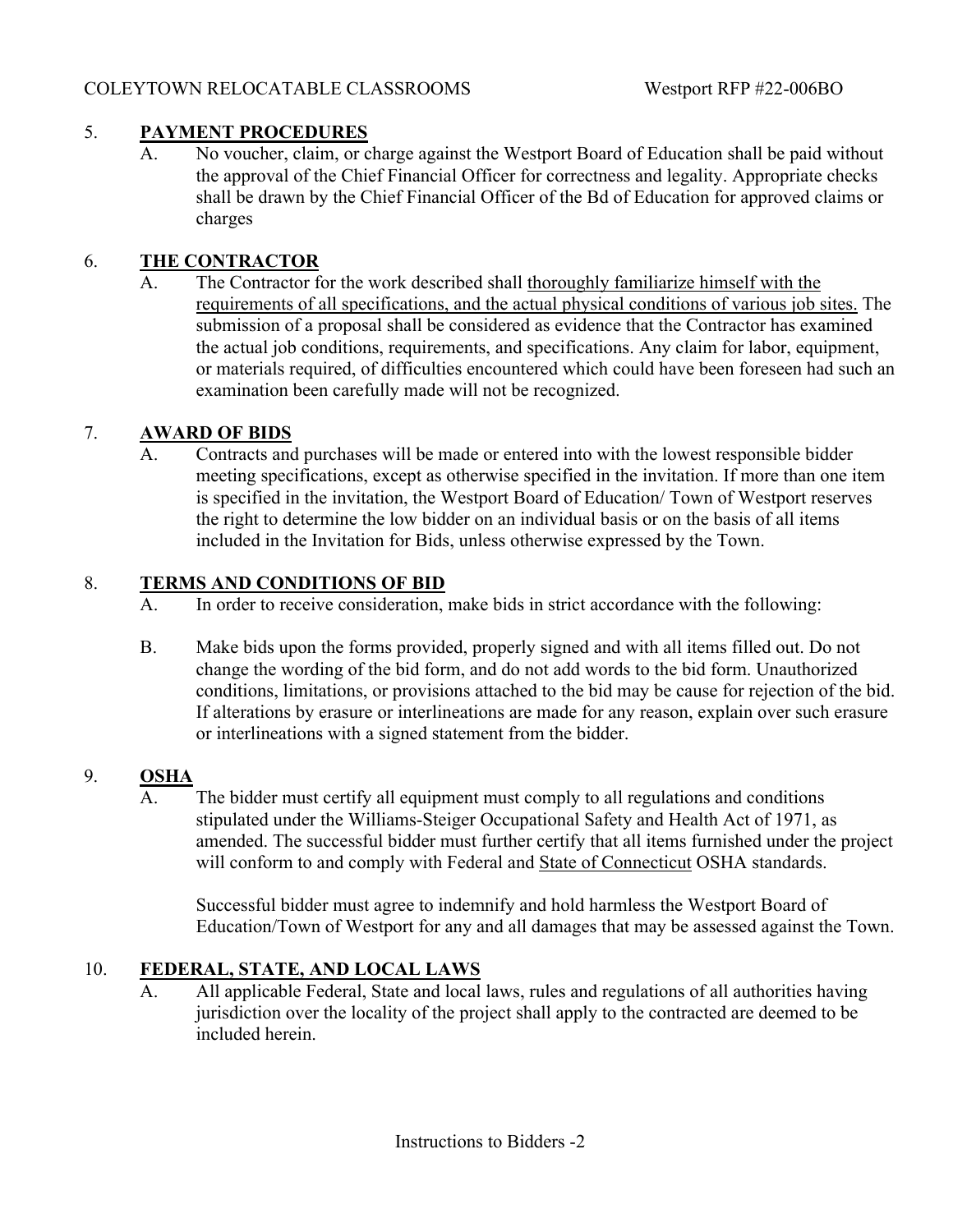## 5. **PAYMENT PROCEDURES**

A. No voucher, claim, or charge against the Westport Board of Education shall be paid without the approval of the Chief Financial Officer for correctness and legality. Appropriate checks shall be drawn by the Chief Financial Officer of the Bd of Education for approved claims or charges

# 6. **THE CONTRACTOR**

A. The Contractor for the work described shall thoroughly familiarize himself with the requirements of all specifications, and the actual physical conditions of various job sites. The submission of a proposal shall be considered as evidence that the Contractor has examined the actual job conditions, requirements, and specifications. Any claim for labor, equipment, or materials required, of difficulties encountered which could have been foreseen had such an examination been carefully made will not be recognized.

## 7. **AWARD OF BIDS**

A. Contracts and purchases will be made or entered into with the lowest responsible bidder meeting specifications, except as otherwise specified in the invitation. If more than one item is specified in the invitation, the Westport Board of Education/ Town of Westport reserves the right to determine the low bidder on an individual basis or on the basis of all items included in the Invitation for Bids, unless otherwise expressed by the Town.

## 8. **TERMS AND CONDITIONS OF BID**

- A. In order to receive consideration, make bids in strict accordance with the following:
- B. Make bids upon the forms provided, properly signed and with all items filled out. Do not change the wording of the bid form, and do not add words to the bid form. Unauthorized conditions, limitations, or provisions attached to the bid may be cause for rejection of the bid. If alterations by erasure or interlineations are made for any reason, explain over such erasure or interlineations with a signed statement from the bidder.

## 9. **OSHA**

A. The bidder must certify all equipment must comply to all regulations and conditions stipulated under the Williams-Steiger Occupational Safety and Health Act of 1971, as amended. The successful bidder must further certify that all items furnished under the project will conform to and comply with Federal and State of Connecticut OSHA standards.

Successful bidder must agree to indemnify and hold harmless the Westport Board of Education/Town of Westport for any and all damages that may be assessed against the Town.

## 10. **FEDERAL, STATE, AND LOCAL LAWS**

A. All applicable Federal, State and local laws, rules and regulations of all authorities having jurisdiction over the locality of the project shall apply to the contracted are deemed to be included herein.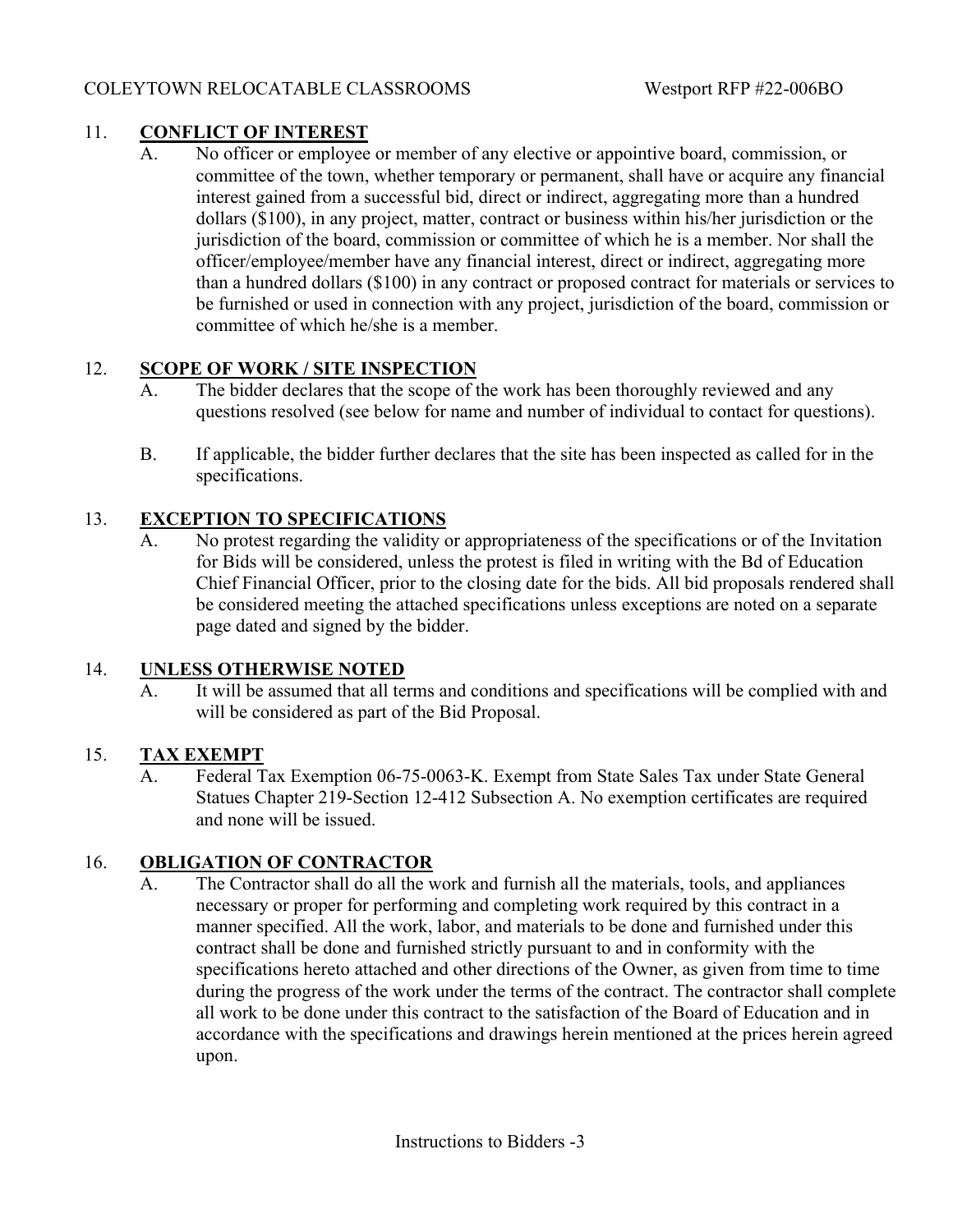# 11. **CONFLICT OF INTEREST**

A. No officer or employee or member of any elective or appointive board, commission, or committee of the town, whether temporary or permanent, shall have or acquire any financial interest gained from a successful bid, direct or indirect, aggregating more than a hundred dollars (\$100), in any project, matter, contract or business within his/her jurisdiction or the jurisdiction of the board, commission or committee of which he is a member. Nor shall the officer/employee/member have any financial interest, direct or indirect, aggregating more than a hundred dollars (\$100) in any contract or proposed contract for materials or services to be furnished or used in connection with any project, jurisdiction of the board, commission or committee of which he/she is a member.

# 12. **SCOPE OF WORK / SITE INSPECTION**

- A. The bidder declares that the scope of the work has been thoroughly reviewed and any questions resolved (see below for name and number of individual to contact for questions).
- B. If applicable, the bidder further declares that the site has been inspected as called for in the specifications.

# 13. **EXCEPTION TO SPECIFICATIONS**

A. No protest regarding the validity or appropriateness of the specifications or of the Invitation for Bids will be considered, unless the protest is filed in writing with the Bd of Education Chief Financial Officer, prior to the closing date for the bids. All bid proposals rendered shall be considered meeting the attached specifications unless exceptions are noted on a separate page dated and signed by the bidder.

## 14. **UNLESS OTHERWISE NOTED**

A. It will be assumed that all terms and conditions and specifications will be complied with and will be considered as part of the Bid Proposal.

# 15. **TAX EXEMPT**

A. Federal Tax Exemption 06-75-0063-K. Exempt from State Sales Tax under State General Statues Chapter 219-Section 12-412 Subsection A. No exemption certificates are required and none will be issued.

# 16. **OBLIGATION OF CONTRACTOR**

A. The Contractor shall do all the work and furnish all the materials, tools, and appliances necessary or proper for performing and completing work required by this contract in a manner specified. All the work, labor, and materials to be done and furnished under this contract shall be done and furnished strictly pursuant to and in conformity with the specifications hereto attached and other directions of the Owner, as given from time to time during the progress of the work under the terms of the contract. The contractor shall complete all work to be done under this contract to the satisfaction of the Board of Education and in accordance with the specifications and drawings herein mentioned at the prices herein agreed upon.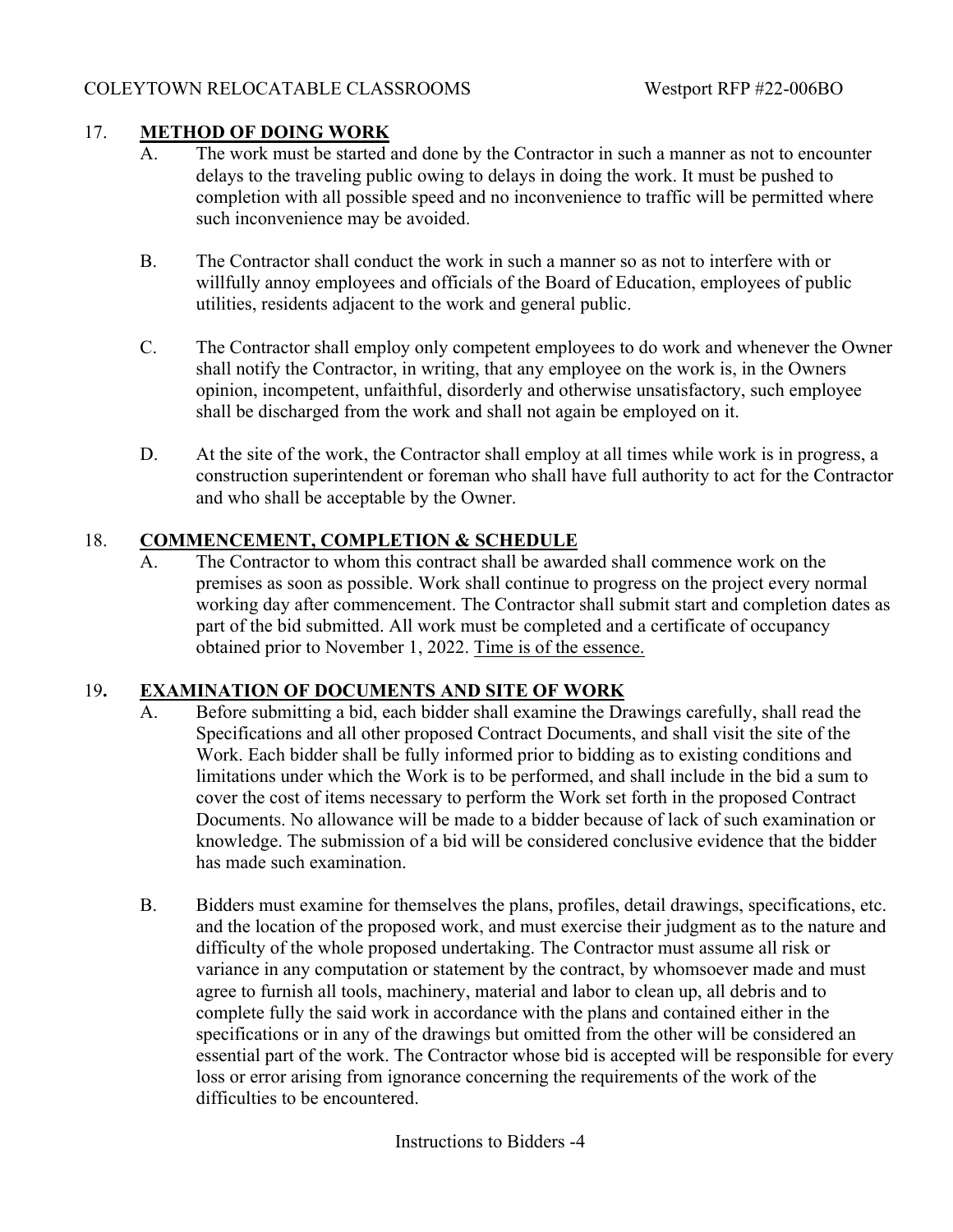## 17. **METHOD OF DOING WORK**

- A. The work must be started and done by the Contractor in such a manner as not to encounter delays to the traveling public owing to delays in doing the work. It must be pushed to completion with all possible speed and no inconvenience to traffic will be permitted where such inconvenience may be avoided.
- B. The Contractor shall conduct the work in such a manner so as not to interfere with or willfully annoy employees and officials of the Board of Education, employees of public utilities, residents adjacent to the work and general public.
- C. The Contractor shall employ only competent employees to do work and whenever the Owner shall notify the Contractor, in writing, that any employee on the work is, in the Owners opinion, incompetent, unfaithful, disorderly and otherwise unsatisfactory, such employee shall be discharged from the work and shall not again be employed on it.
- D. At the site of the work, the Contractor shall employ at all times while work is in progress, a construction superintendent or foreman who shall have full authority to act for the Contractor and who shall be acceptable by the Owner.

## 18. **COMMENCEMENT, COMPLETION & SCHEDULE**

A. The Contractor to whom this contract shall be awarded shall commence work on the premises as soon as possible. Work shall continue to progress on the project every normal working day after commencement. The Contractor shall submit start and completion dates as part of the bid submitted. All work must be completed and a certificate of occupancy obtained prior to November 1, 2022. Time is of the essence.

## 19**. EXAMINATION OF DOCUMENTS AND SITE OF WORK**

- A. Before submitting a bid, each bidder shall examine the Drawings carefully, shall read the Specifications and all other proposed Contract Documents, and shall visit the site of the Work. Each bidder shall be fully informed prior to bidding as to existing conditions and limitations under which the Work is to be performed, and shall include in the bid a sum to cover the cost of items necessary to perform the Work set forth in the proposed Contract Documents. No allowance will be made to a bidder because of lack of such examination or knowledge. The submission of a bid will be considered conclusive evidence that the bidder has made such examination.
- B. Bidders must examine for themselves the plans, profiles, detail drawings, specifications, etc. and the location of the proposed work, and must exercise their judgment as to the nature and difficulty of the whole proposed undertaking. The Contractor must assume all risk or variance in any computation or statement by the contract, by whomsoever made and must agree to furnish all tools, machinery, material and labor to clean up, all debris and to complete fully the said work in accordance with the plans and contained either in the specifications or in any of the drawings but omitted from the other will be considered an essential part of the work. The Contractor whose bid is accepted will be responsible for every loss or error arising from ignorance concerning the requirements of the work of the difficulties to be encountered.

Instructions to Bidders -4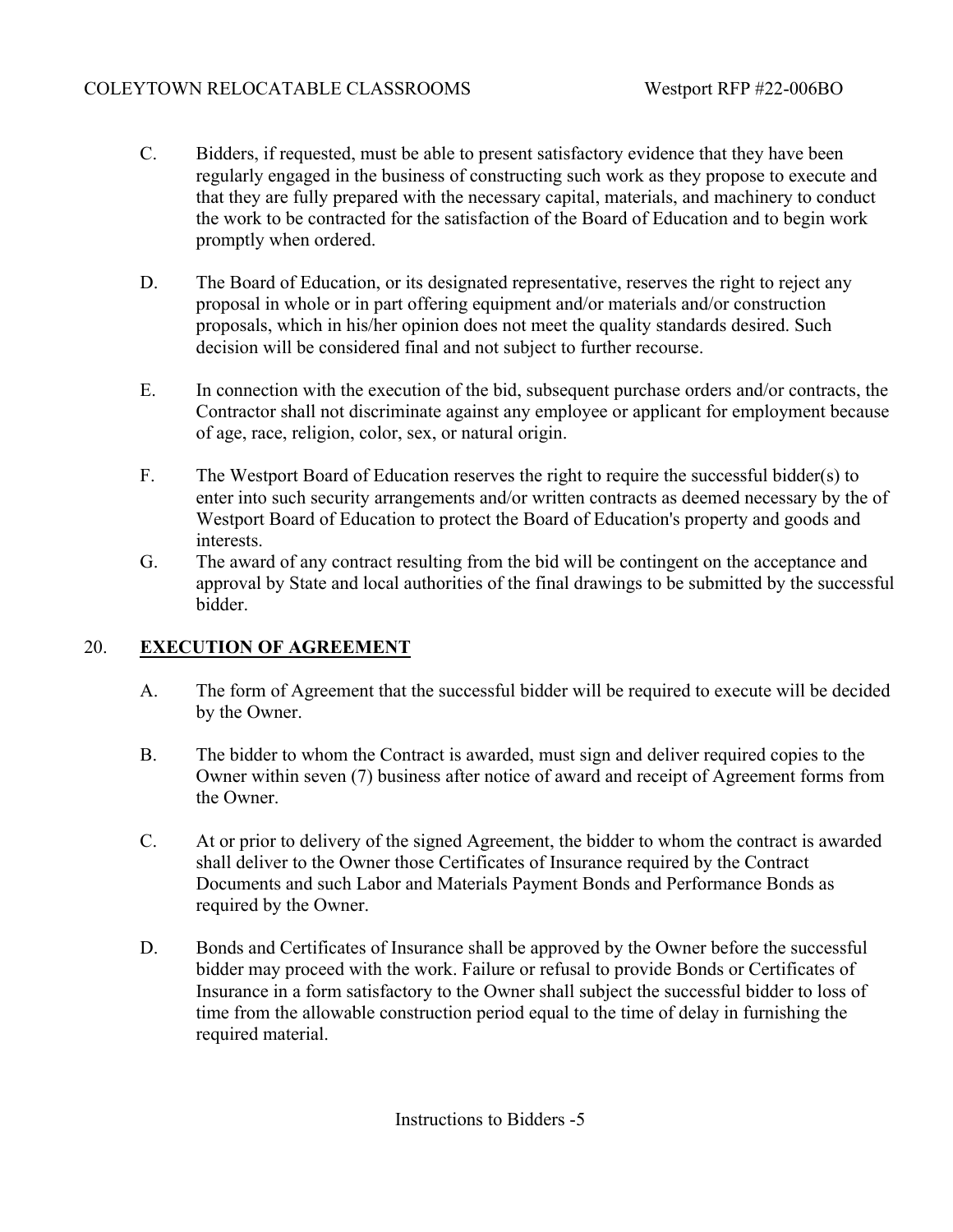- C. Bidders, if requested, must be able to present satisfactory evidence that they have been regularly engaged in the business of constructing such work as they propose to execute and that they are fully prepared with the necessary capital, materials, and machinery to conduct the work to be contracted for the satisfaction of the Board of Education and to begin work promptly when ordered.
- D. The Board of Education, or its designated representative, reserves the right to reject any proposal in whole or in part offering equipment and/or materials and/or construction proposals, which in his/her opinion does not meet the quality standards desired. Such decision will be considered final and not subject to further recourse.
- E. In connection with the execution of the bid, subsequent purchase orders and/or contracts, the Contractor shall not discriminate against any employee or applicant for employment because of age, race, religion, color, sex, or natural origin.
- F. The Westport Board of Education reserves the right to require the successful bidder(s) to enter into such security arrangements and/or written contracts as deemed necessary by the of Westport Board of Education to protect the Board of Education's property and goods and interests.
- G. The award of any contract resulting from the bid will be contingent on the acceptance and approval by State and local authorities of the final drawings to be submitted by the successful bidder.

# 20. **EXECUTION OF AGREEMENT**

- A. The form of Agreement that the successful bidder will be required to execute will be decided by the Owner.
- B. The bidder to whom the Contract is awarded, must sign and deliver required copies to the Owner within seven (7) business after notice of award and receipt of Agreement forms from the Owner.
- C. At or prior to delivery of the signed Agreement, the bidder to whom the contract is awarded shall deliver to the Owner those Certificates of Insurance required by the Contract Documents and such Labor and Materials Payment Bonds and Performance Bonds as required by the Owner.
- D. Bonds and Certificates of Insurance shall be approved by the Owner before the successful bidder may proceed with the work. Failure or refusal to provide Bonds or Certificates of Insurance in a form satisfactory to the Owner shall subject the successful bidder to loss of time from the allowable construction period equal to the time of delay in furnishing the required material.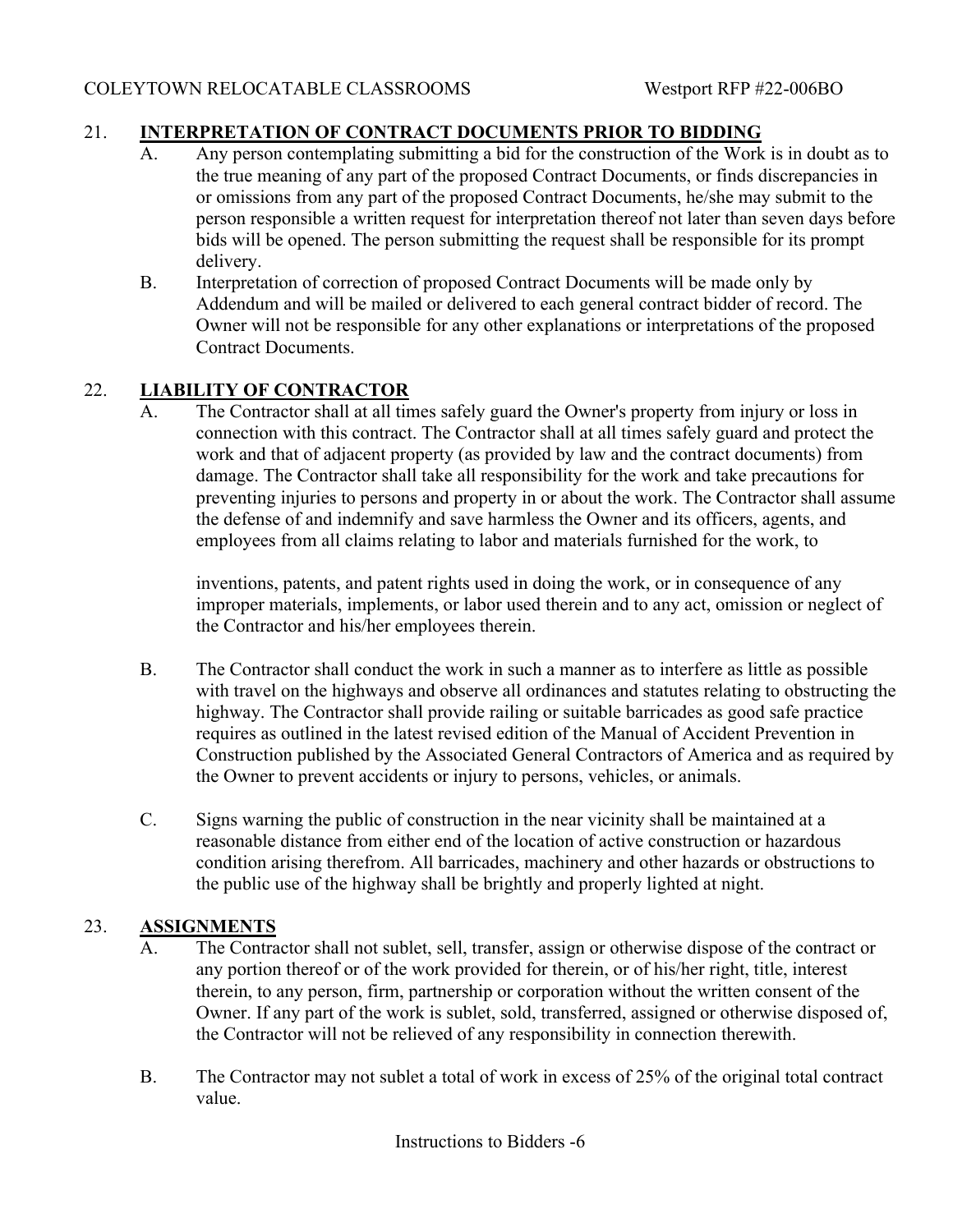## 21. **INTERPRETATION OF CONTRACT DOCUMENTS PRIOR TO BIDDING**

- A. Any person contemplating submitting a bid for the construction of the Work is in doubt as to the true meaning of any part of the proposed Contract Documents, or finds discrepancies in or omissions from any part of the proposed Contract Documents, he/she may submit to the person responsible a written request for interpretation thereof not later than seven days before bids will be opened. The person submitting the request shall be responsible for its prompt delivery.
- B. Interpretation of correction of proposed Contract Documents will be made only by Addendum and will be mailed or delivered to each general contract bidder of record. The Owner will not be responsible for any other explanations or interpretations of the proposed Contract Documents.

## 22. **LIABILITY OF CONTRACTOR**

A. The Contractor shall at all times safely guard the Owner's property from injury or loss in connection with this contract. The Contractor shall at all times safely guard and protect the work and that of adjacent property (as provided by law and the contract documents) from damage. The Contractor shall take all responsibility for the work and take precautions for preventing injuries to persons and property in or about the work. The Contractor shall assume the defense of and indemnify and save harmless the Owner and its officers, agents, and employees from all claims relating to labor and materials furnished for the work, to

inventions, patents, and patent rights used in doing the work, or in consequence of any improper materials, implements, or labor used therein and to any act, omission or neglect of the Contractor and his/her employees therein.

- B. The Contractor shall conduct the work in such a manner as to interfere as little as possible with travel on the highways and observe all ordinances and statutes relating to obstructing the highway. The Contractor shall provide railing or suitable barricades as good safe practice requires as outlined in the latest revised edition of the Manual of Accident Prevention in Construction published by the Associated General Contractors of America and as required by the Owner to prevent accidents or injury to persons, vehicles, or animals.
- C. Signs warning the public of construction in the near vicinity shall be maintained at a reasonable distance from either end of the location of active construction or hazardous condition arising therefrom. All barricades, machinery and other hazards or obstructions to the public use of the highway shall be brightly and properly lighted at night.

## 23. **ASSIGNMENTS**

- A. The Contractor shall not sublet, sell, transfer, assign or otherwise dispose of the contract or any portion thereof or of the work provided for therein, or of his/her right, title, interest therein, to any person, firm, partnership or corporation without the written consent of the Owner. If any part of the work is sublet, sold, transferred, assigned or otherwise disposed of, the Contractor will not be relieved of any responsibility in connection therewith.
- B. The Contractor may not sublet a total of work in excess of 25% of the original total contract value.

Instructions to Bidders -6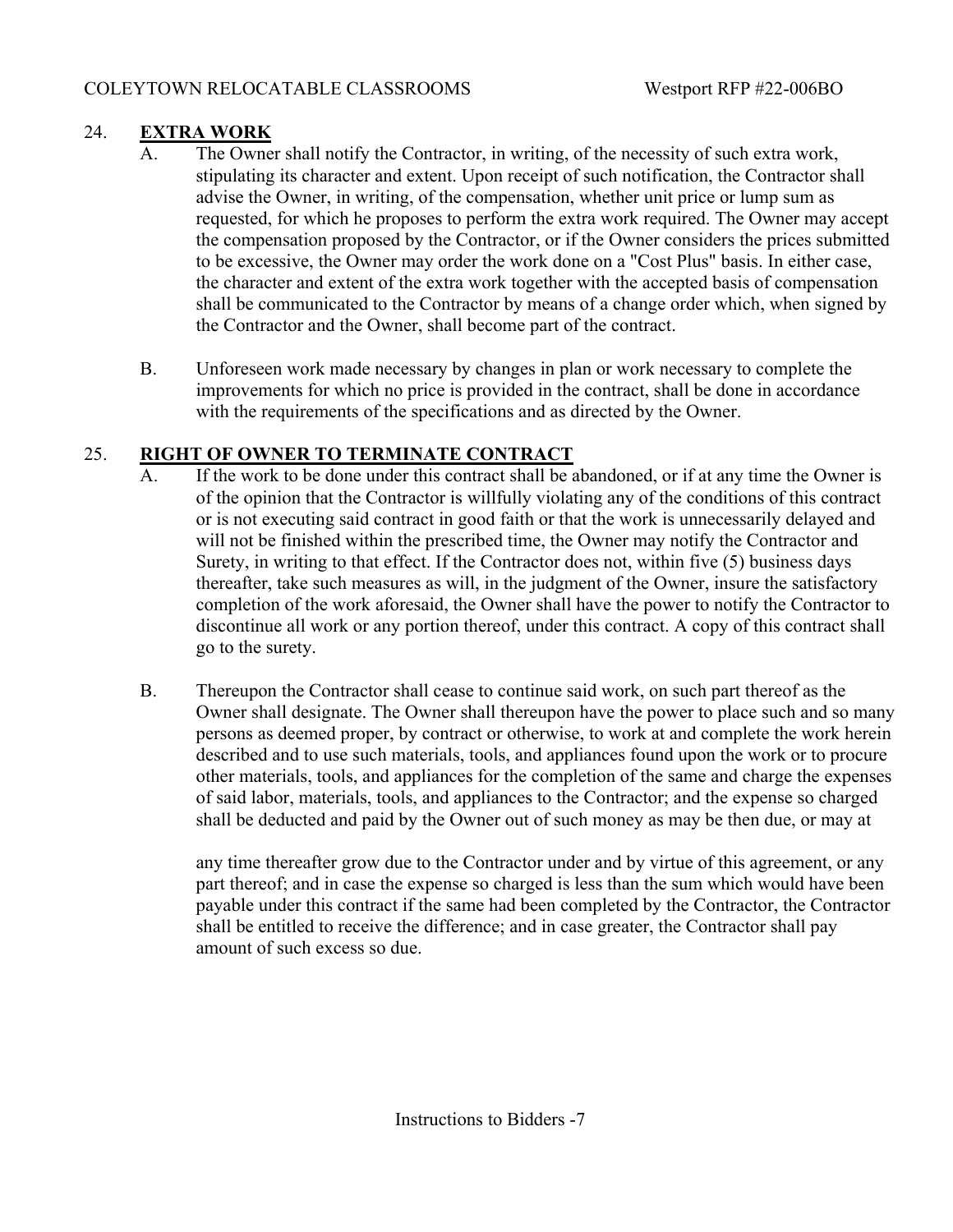# 24. **EXTRA WORK**

- A. The Owner shall notify the Contractor, in writing, of the necessity of such extra work, stipulating its character and extent. Upon receipt of such notification, the Contractor shall advise the Owner, in writing, of the compensation, whether unit price or lump sum as requested, for which he proposes to perform the extra work required. The Owner may accept the compensation proposed by the Contractor, or if the Owner considers the prices submitted to be excessive, the Owner may order the work done on a "Cost Plus" basis. In either case, the character and extent of the extra work together with the accepted basis of compensation shall be communicated to the Contractor by means of a change order which, when signed by the Contractor and the Owner, shall become part of the contract.
- B. Unforeseen work made necessary by changes in plan or work necessary to complete the improvements for which no price is provided in the contract, shall be done in accordance with the requirements of the specifications and as directed by the Owner.

# 25. **RIGHT OF OWNER TO TERMINATE CONTRACT**

- A. If the work to be done under this contract shall be abandoned, or if at any time the Owner is of the opinion that the Contractor is willfully violating any of the conditions of this contract or is not executing said contract in good faith or that the work is unnecessarily delayed and will not be finished within the prescribed time, the Owner may notify the Contractor and Surety, in writing to that effect. If the Contractor does not, within five (5) business days thereafter, take such measures as will, in the judgment of the Owner, insure the satisfactory completion of the work aforesaid, the Owner shall have the power to notify the Contractor to discontinue all work or any portion thereof, under this contract. A copy of this contract shall go to the surety.
- B. Thereupon the Contractor shall cease to continue said work, on such part thereof as the Owner shall designate. The Owner shall thereupon have the power to place such and so many persons as deemed proper, by contract or otherwise, to work at and complete the work herein described and to use such materials, tools, and appliances found upon the work or to procure other materials, tools, and appliances for the completion of the same and charge the expenses of said labor, materials, tools, and appliances to the Contractor; and the expense so charged shall be deducted and paid by the Owner out of such money as may be then due, or may at

any time thereafter grow due to the Contractor under and by virtue of this agreement, or any part thereof; and in case the expense so charged is less than the sum which would have been payable under this contract if the same had been completed by the Contractor, the Contractor shall be entitled to receive the difference; and in case greater, the Contractor shall pay amount of such excess so due.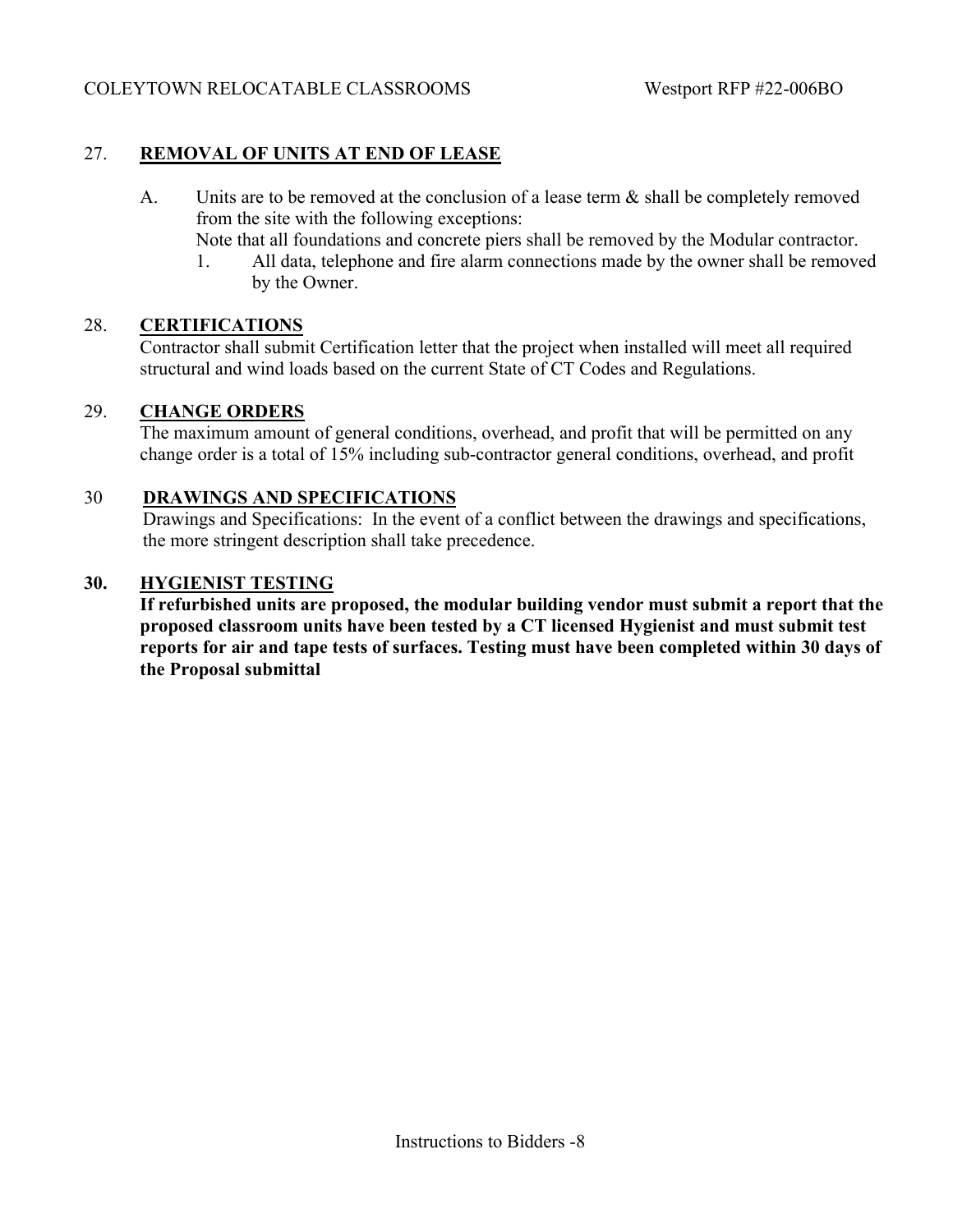## 27. **REMOVAL OF UNITS AT END OF LEASE**

- A. Units are to be removed at the conclusion of a lease term & shall be completely removed from the site with the following exceptions:
	- Note that all foundations and concrete piers shall be removed by the Modular contractor.
	- 1. All data, telephone and fire alarm connections made by the owner shall be removed by the Owner.

#### 28. **CERTIFICATIONS**

Contractor shall submit Certification letter that the project when installed will meet all required structural and wind loads based on the current State of CT Codes and Regulations.

#### 29. **CHANGE ORDERS**

The maximum amount of general conditions, overhead, and profit that will be permitted on any change order is a total of 15% including sub-contractor general conditions, overhead, and profit

#### 30 **DRAWINGS AND SPECIFICATIONS**

 Drawings and Specifications: In the event of a conflict between the drawings and specifications, the more stringent description shall take precedence.

#### **30. HYGIENIST TESTING**

**If refurbished units are proposed, the modular building vendor must submit a report that the proposed classroom units have been tested by a CT licensed Hygienist and must submit test reports for air and tape tests of surfaces. Testing must have been completed within 30 days of the Proposal submittal**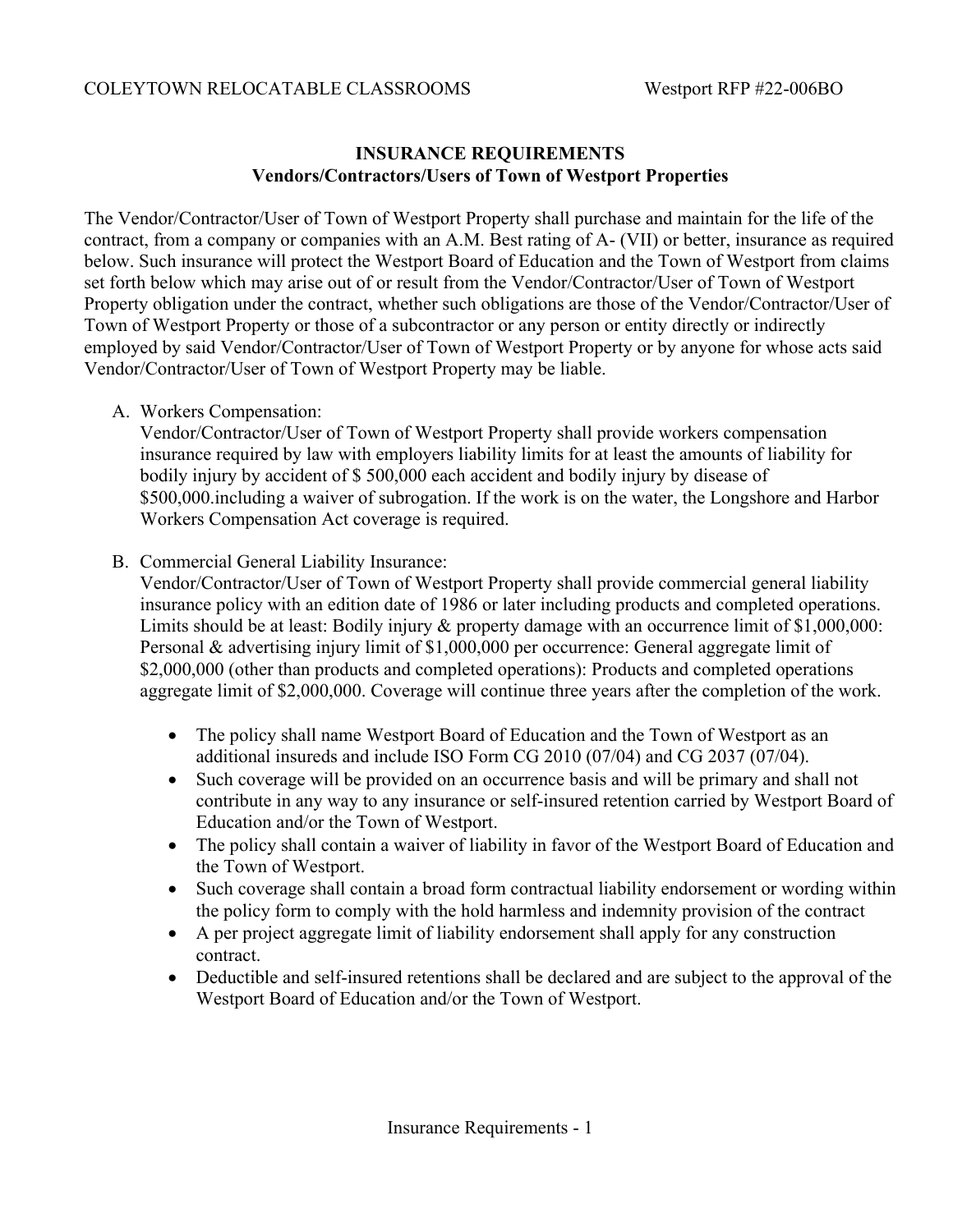## **INSURANCE REQUIREMENTS Vendors/Contractors/Users of Town of Westport Properties**

The Vendor/Contractor/User of Town of Westport Property shall purchase and maintain for the life of the contract, from a company or companies with an A.M. Best rating of A- (VII) or better, insurance as required below. Such insurance will protect the Westport Board of Education and the Town of Westport from claims set forth below which may arise out of or result from the Vendor/Contractor/User of Town of Westport Property obligation under the contract, whether such obligations are those of the Vendor/Contractor/User of Town of Westport Property or those of a subcontractor or any person or entity directly or indirectly employed by said Vendor/Contractor/User of Town of Westport Property or by anyone for whose acts said Vendor/Contractor/User of Town of Westport Property may be liable.

A. Workers Compensation:

Vendor/Contractor/User of Town of Westport Property shall provide workers compensation insurance required by law with employers liability limits for at least the amounts of liability for bodily injury by accident of \$ 500,000 each accident and bodily injury by disease of \$500,000.including a waiver of subrogation. If the work is on the water, the Longshore and Harbor Workers Compensation Act coverage is required.

B. Commercial General Liability Insurance:

Vendor/Contractor/User of Town of Westport Property shall provide commercial general liability insurance policy with an edition date of 1986 or later including products and completed operations. Limits should be at least: Bodily injury & property damage with an occurrence limit of \$1,000,000: Personal & advertising injury limit of \$1,000,000 per occurrence: General aggregate limit of \$2,000,000 (other than products and completed operations): Products and completed operations aggregate limit of \$2,000,000. Coverage will continue three years after the completion of the work.

- The policy shall name Westport Board of Education and the Town of Westport as an additional insureds and include ISO Form CG 2010 (07/04) and CG 2037 (07/04).
- Such coverage will be provided on an occurrence basis and will be primary and shall not contribute in any way to any insurance or self-insured retention carried by Westport Board of Education and/or the Town of Westport.
- The policy shall contain a waiver of liability in favor of the Westport Board of Education and the Town of Westport.
- Such coverage shall contain a broad form contractual liability endorsement or wording within the policy form to comply with the hold harmless and indemnity provision of the contract
- A per project aggregate limit of liability endorsement shall apply for any construction contract.
- Deductible and self-insured retentions shall be declared and are subject to the approval of the Westport Board of Education and/or the Town of Westport.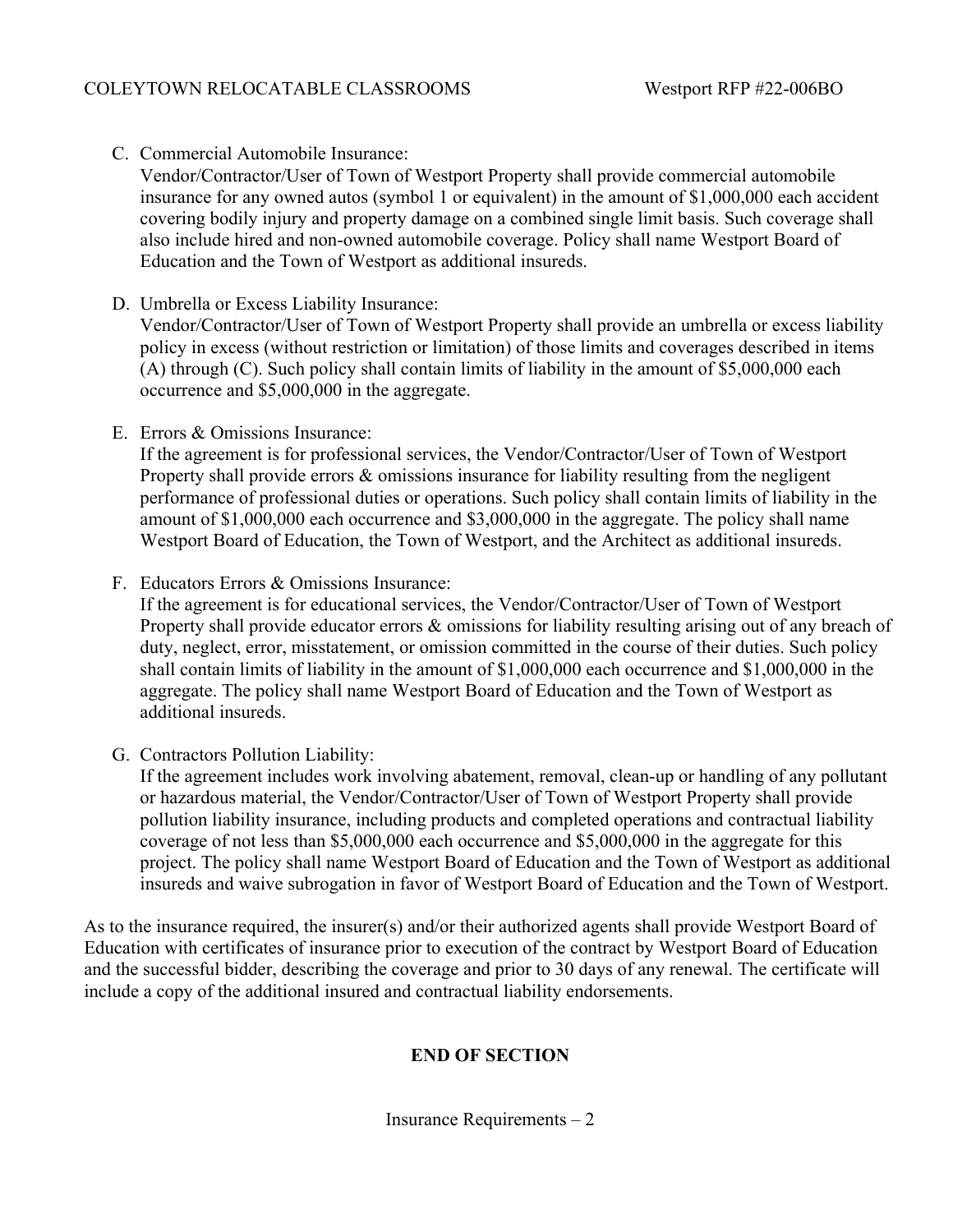C. Commercial Automobile Insurance:

Vendor/Contractor/User of Town of Westport Property shall provide commercial automobile insurance for any owned autos (symbol 1 or equivalent) in the amount of \$1,000,000 each accident covering bodily injury and property damage on a combined single limit basis. Such coverage shall also include hired and non-owned automobile coverage. Policy shall name Westport Board of Education and the Town of Westport as additional insureds.

D. Umbrella or Excess Liability Insurance:

Vendor/Contractor/User of Town of Westport Property shall provide an umbrella or excess liability policy in excess (without restriction or limitation) of those limits and coverages described in items (A) through (C). Such policy shall contain limits of liability in the amount of \$5,000,000 each occurrence and \$5,000,000 in the aggregate.

E. Errors & Omissions Insurance:

If the agreement is for professional services, the Vendor/Contractor/User of Town of Westport Property shall provide errors & omissions insurance for liability resulting from the negligent performance of professional duties or operations. Such policy shall contain limits of liability in the amount of \$1,000,000 each occurrence and \$3,000,000 in the aggregate. The policy shall name Westport Board of Education, the Town of Westport, and the Architect as additional insureds.

F. Educators Errors & Omissions Insurance:

If the agreement is for educational services, the Vendor/Contractor/User of Town of Westport Property shall provide educator errors & omissions for liability resulting arising out of any breach of duty, neglect, error, misstatement, or omission committed in the course of their duties. Such policy shall contain limits of liability in the amount of \$1,000,000 each occurrence and \$1,000,000 in the aggregate. The policy shall name Westport Board of Education and the Town of Westport as additional insureds.

G. Contractors Pollution Liability:

If the agreement includes work involving abatement, removal, clean-up or handling of any pollutant or hazardous material, the Vendor/Contractor/User of Town of Westport Property shall provide pollution liability insurance, including products and completed operations and contractual liability coverage of not less than \$5,000,000 each occurrence and \$5,000,000 in the aggregate for this project. The policy shall name Westport Board of Education and the Town of Westport as additional insureds and waive subrogation in favor of Westport Board of Education and the Town of Westport.

As to the insurance required, the insurer(s) and/or their authorized agents shall provide Westport Board of Education with certificates of insurance prior to execution of the contract by Westport Board of Education and the successful bidder, describing the coverage and prior to 30 days of any renewal. The certificate will include a copy of the additional insured and contractual liability endorsements.

## **END OF SECTION**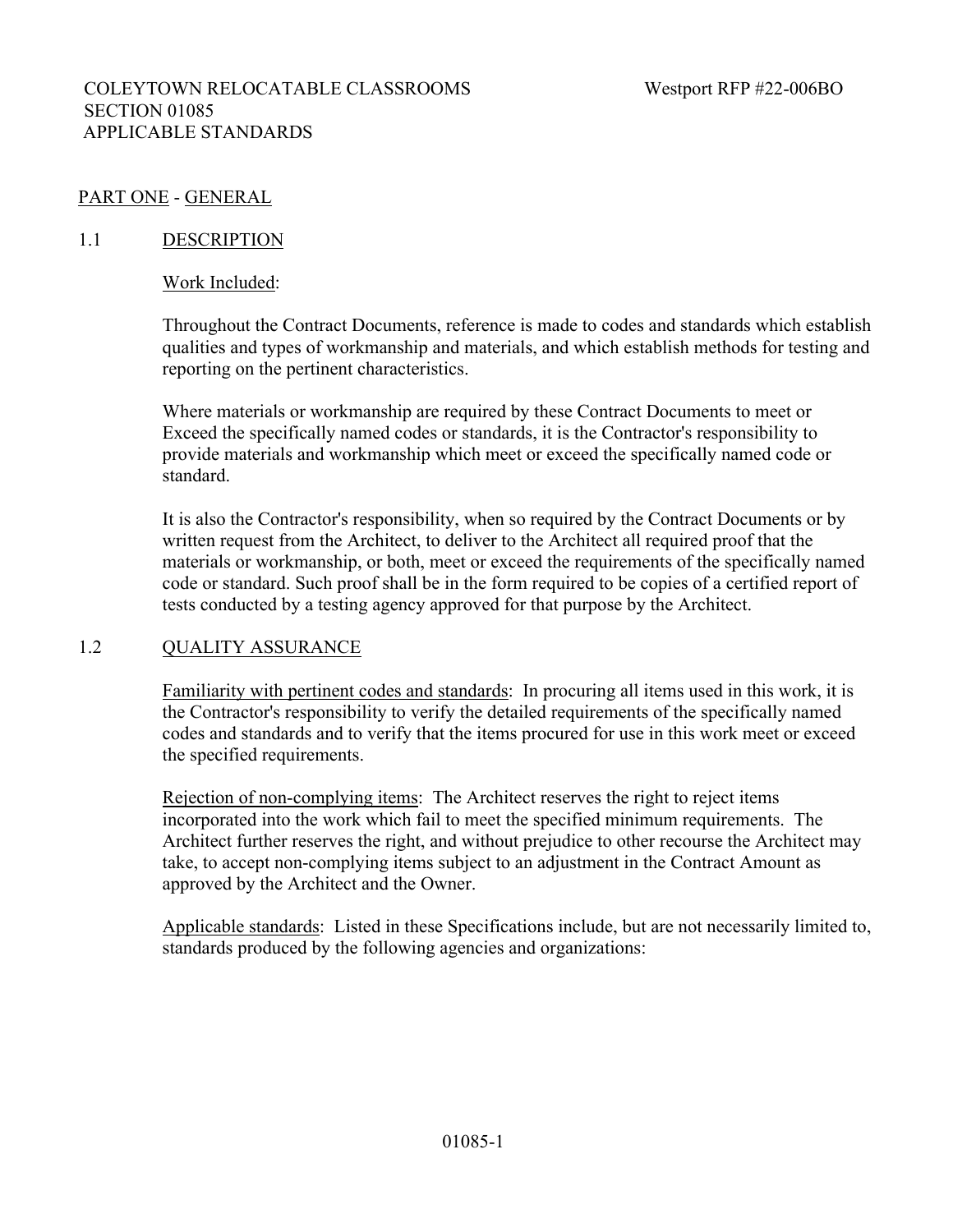## COLEYTOWN RELOCATABLE CLASSROOMS Westport RFP #22-006BO SECTION 01085 APPLICABLE STANDARDS

## PART ONE - GENERAL

#### 1.1 DESCRIPTION

#### Work Included:

Throughout the Contract Documents, reference is made to codes and standards which establish qualities and types of workmanship and materials, and which establish methods for testing and reporting on the pertinent characteristics.

Where materials or workmanship are required by these Contract Documents to meet or Exceed the specifically named codes or standards, it is the Contractor's responsibility to provide materials and workmanship which meet or exceed the specifically named code or standard.

It is also the Contractor's responsibility, when so required by the Contract Documents or by written request from the Architect, to deliver to the Architect all required proof that the materials or workmanship, or both, meet or exceed the requirements of the specifically named code or standard. Such proof shall be in the form required to be copies of a certified report of tests conducted by a testing agency approved for that purpose by the Architect.

#### 1.2 QUALITY ASSURANCE

Familiarity with pertinent codes and standards: In procuring all items used in this work, it is the Contractor's responsibility to verify the detailed requirements of the specifically named codes and standards and to verify that the items procured for use in this work meet or exceed the specified requirements.

Rejection of non-complying items: The Architect reserves the right to reject items incorporated into the work which fail to meet the specified minimum requirements. The Architect further reserves the right, and without prejudice to other recourse the Architect may take, to accept non-complying items subject to an adjustment in the Contract Amount as approved by the Architect and the Owner.

Applicable standards: Listed in these Specifications include, but are not necessarily limited to, standards produced by the following agencies and organizations: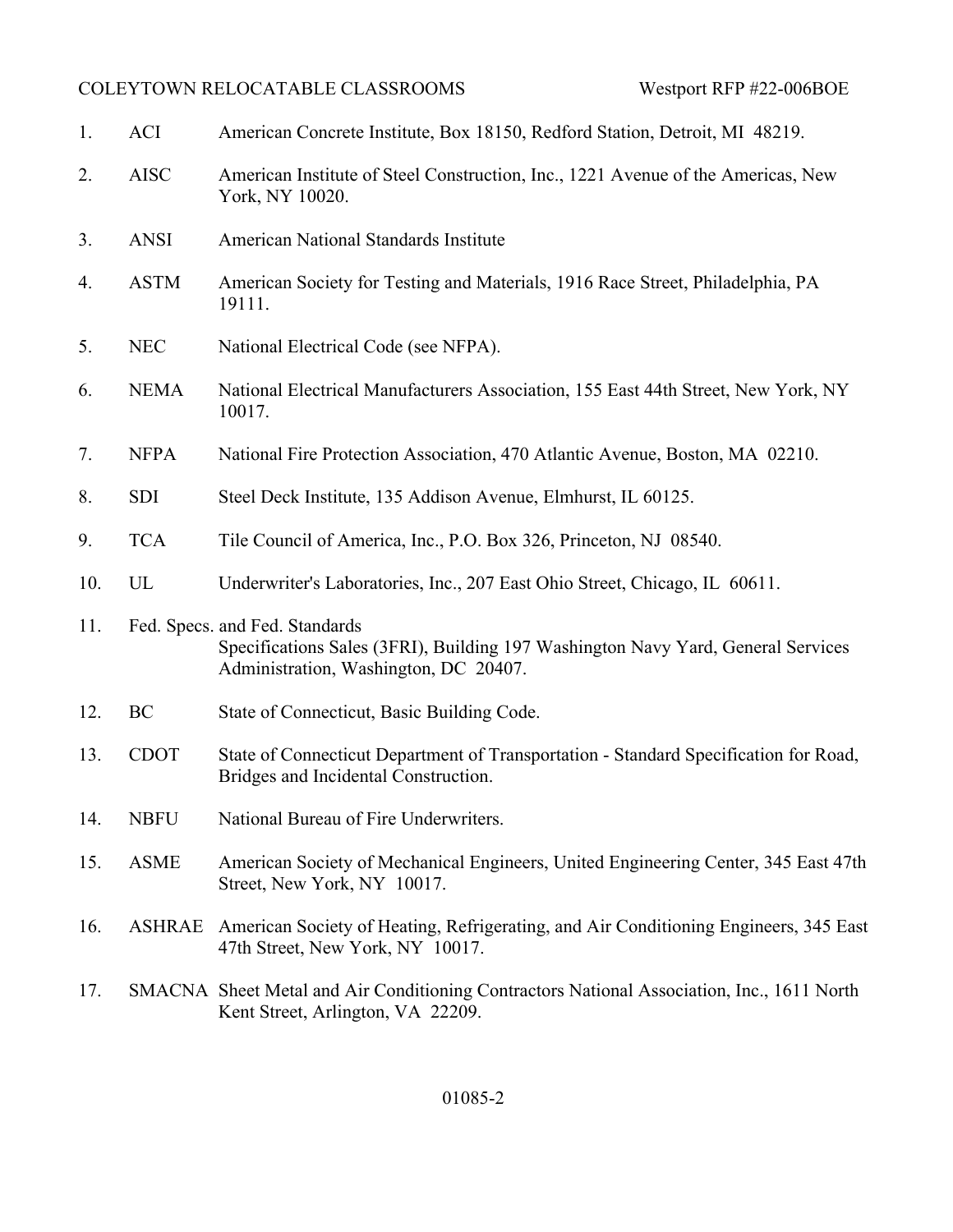| 1.  | <b>ACI</b>  | American Concrete Institute, Box 18150, Redford Station, Detroit, MI 48219.                                                                                 |
|-----|-------------|-------------------------------------------------------------------------------------------------------------------------------------------------------------|
| 2.  | <b>AISC</b> | American Institute of Steel Construction, Inc., 1221 Avenue of the Americas, New<br>York, NY 10020.                                                         |
| 3.  | <b>ANSI</b> | American National Standards Institute                                                                                                                       |
| 4.  | <b>ASTM</b> | American Society for Testing and Materials, 1916 Race Street, Philadelphia, PA<br>19111.                                                                    |
| 5.  | <b>NEC</b>  | National Electrical Code (see NFPA).                                                                                                                        |
| 6.  | <b>NEMA</b> | National Electrical Manufacturers Association, 155 East 44th Street, New York, NY<br>10017.                                                                 |
| 7.  | <b>NFPA</b> | National Fire Protection Association, 470 Atlantic Avenue, Boston, MA 02210.                                                                                |
| 8.  | <b>SDI</b>  | Steel Deck Institute, 135 Addison Avenue, Elmhurst, IL 60125.                                                                                               |
| 9.  | <b>TCA</b>  | Tile Council of America, Inc., P.O. Box 326, Princeton, NJ 08540.                                                                                           |
| 10. | UL          | Underwriter's Laboratories, Inc., 207 East Ohio Street, Chicago, IL 60611.                                                                                  |
| 11. |             | Fed. Specs. and Fed. Standards<br>Specifications Sales (3FRI), Building 197 Washington Navy Yard, General Services<br>Administration, Washington, DC 20407. |
| 12. | BC          | State of Connecticut, Basic Building Code.                                                                                                                  |
| 13. | <b>CDOT</b> | State of Connecticut Department of Transportation - Standard Specification for Road,<br>Bridges and Incidental Construction.                                |
| 14. | <b>NBFU</b> | National Bureau of Fire Underwriters                                                                                                                        |
| 15. | <b>ASME</b> | American Society of Mechanical Engineers, United Engineering Center, 345 East 47th<br>Street, New York, NY 10017.                                           |
| 16. | ASHRAE      | American Society of Heating, Refrigerating, and Air Conditioning Engineers, 345 East<br>47th Street, New York, NY 10017.                                    |
| 17. |             | SMACNA Sheet Metal and Air Conditioning Contractors National Association, Inc., 1611 North<br>Kent Street, Arlington, VA 22209.                             |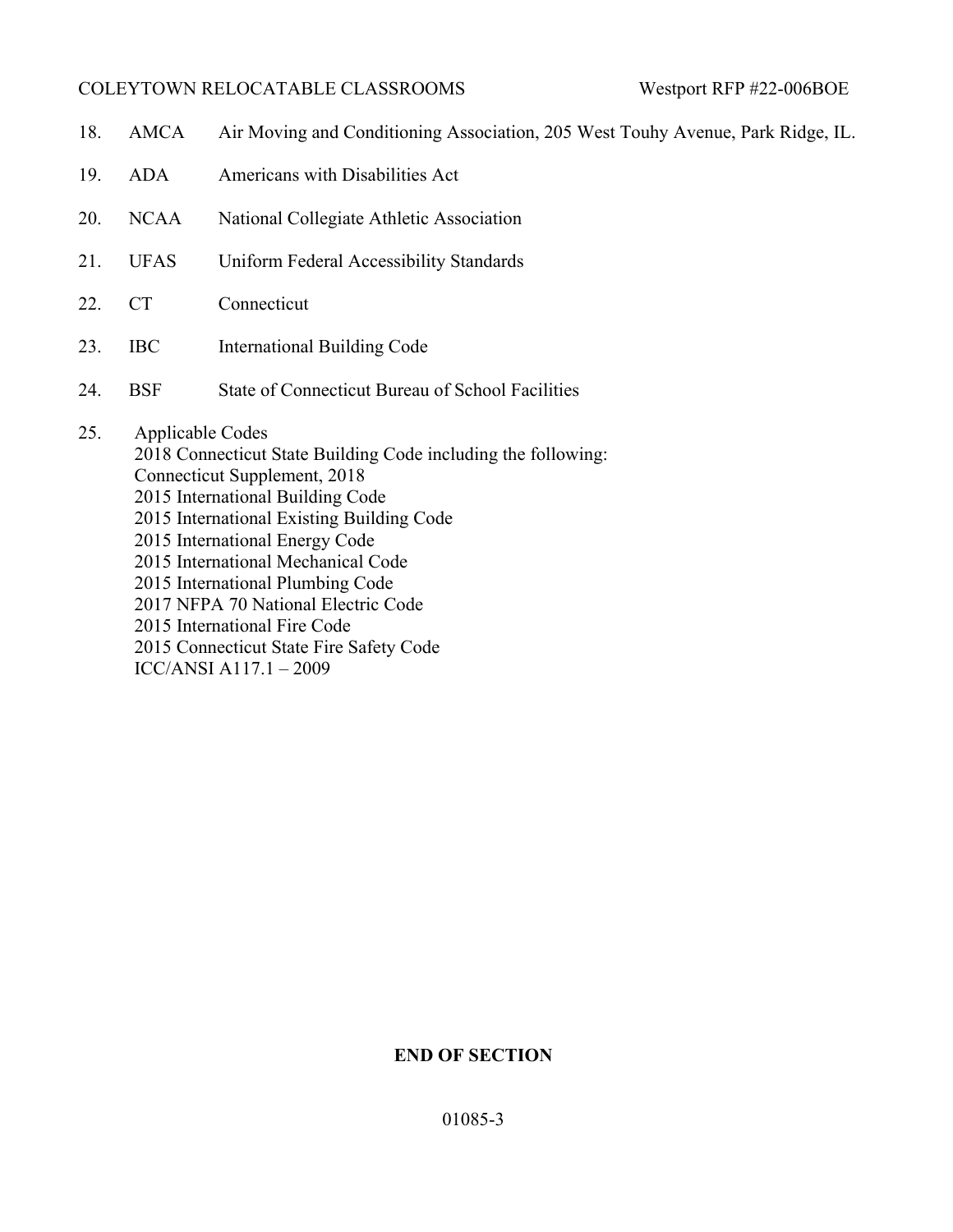18. AMCA Air Moving and Conditioning Association, 205 West Touhy Avenue, Park Ridge, IL. 19. ADA Americans with Disabilities Act 20. NCAA National Collegiate Athletic Association 21. UFAS Uniform Federal Accessibility Standards 22. CT Connecticut 23. IBC International Building Code 24. BSF State of Connecticut Bureau of School Facilities 25. Applicable Codes 2018 Connecticut State Building Code including the following: Connecticut Supplement, 2018 2015 International Building Code 2015 International Existing Building Code 2015 International Energy Code 2015 International Mechanical Code 2015 International Plumbing Code 2017 NFPA 70 National Electric Code 2015 International Fire Code 2015 Connecticut State Fire Safety Code

## ICC/ANSI A117.1 – 2009

# **END OF SECTION**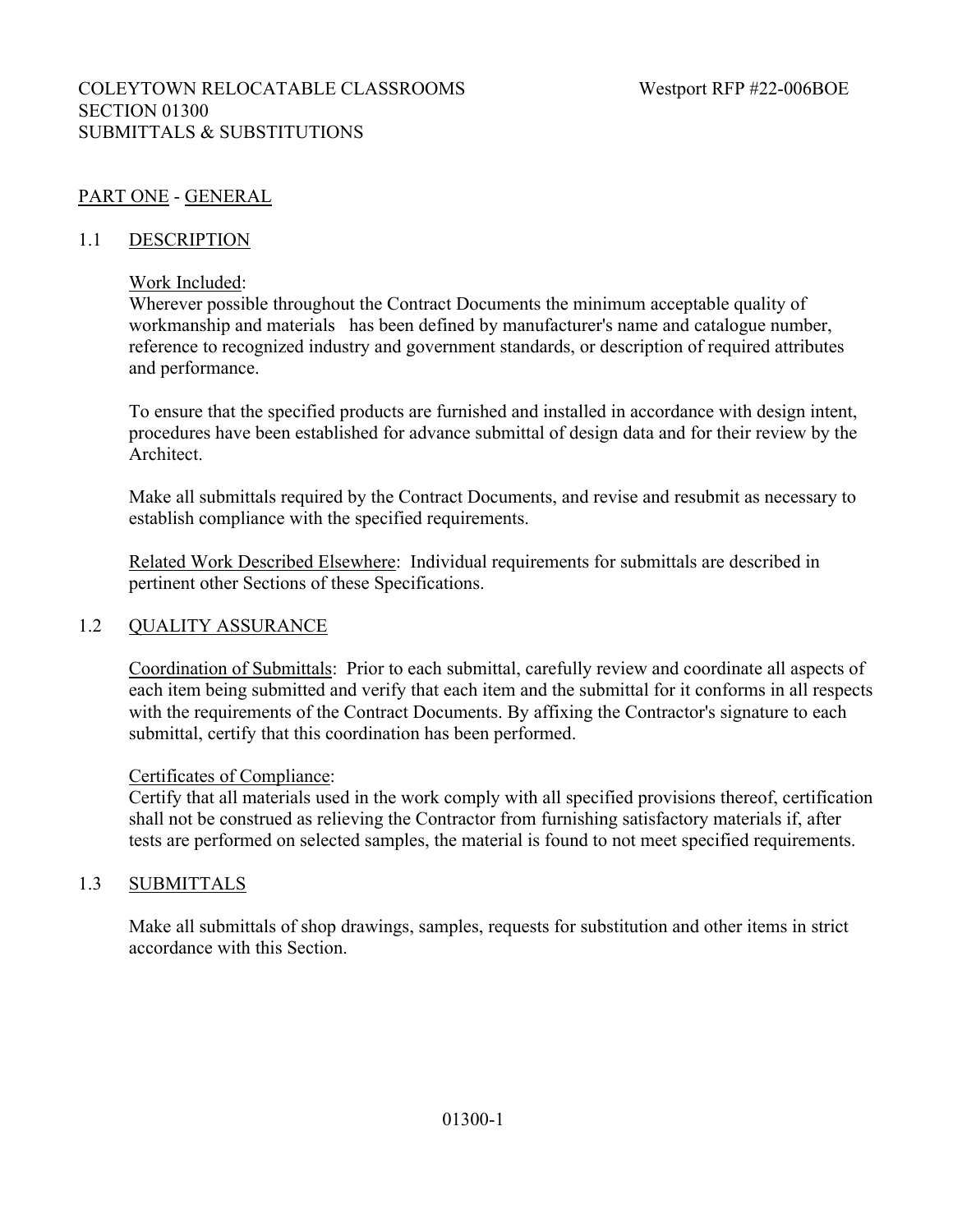## COLEYTOWN RELOCATABLE CLASSROOMS Westport RFP #22-006BOE SECTION 01300 SUBMITTALS & SUBSTITUTIONS

# PART ONE - GENERAL

#### 1.1 DESCRIPTION

#### Work Included:

Wherever possible throughout the Contract Documents the minimum acceptable quality of workmanship and materials has been defined by manufacturer's name and catalogue number, reference to recognized industry and government standards, or description of required attributes and performance.

To ensure that the specified products are furnished and installed in accordance with design intent, procedures have been established for advance submittal of design data and for their review by the Architect.

Make all submittals required by the Contract Documents, and revise and resubmit as necessary to establish compliance with the specified requirements.

Related Work Described Elsewhere: Individual requirements for submittals are described in pertinent other Sections of these Specifications.

#### 1.2 QUALITY ASSURANCE

Coordination of Submittals: Prior to each submittal, carefully review and coordinate all aspects of each item being submitted and verify that each item and the submittal for it conforms in all respects with the requirements of the Contract Documents. By affixing the Contractor's signature to each submittal, certify that this coordination has been performed.

#### Certificates of Compliance:

Certify that all materials used in the work comply with all specified provisions thereof, certification shall not be construed as relieving the Contractor from furnishing satisfactory materials if, after tests are performed on selected samples, the material is found to not meet specified requirements.

#### 1.3 SUBMITTALS

Make all submittals of shop drawings, samples, requests for substitution and other items in strict accordance with this Section.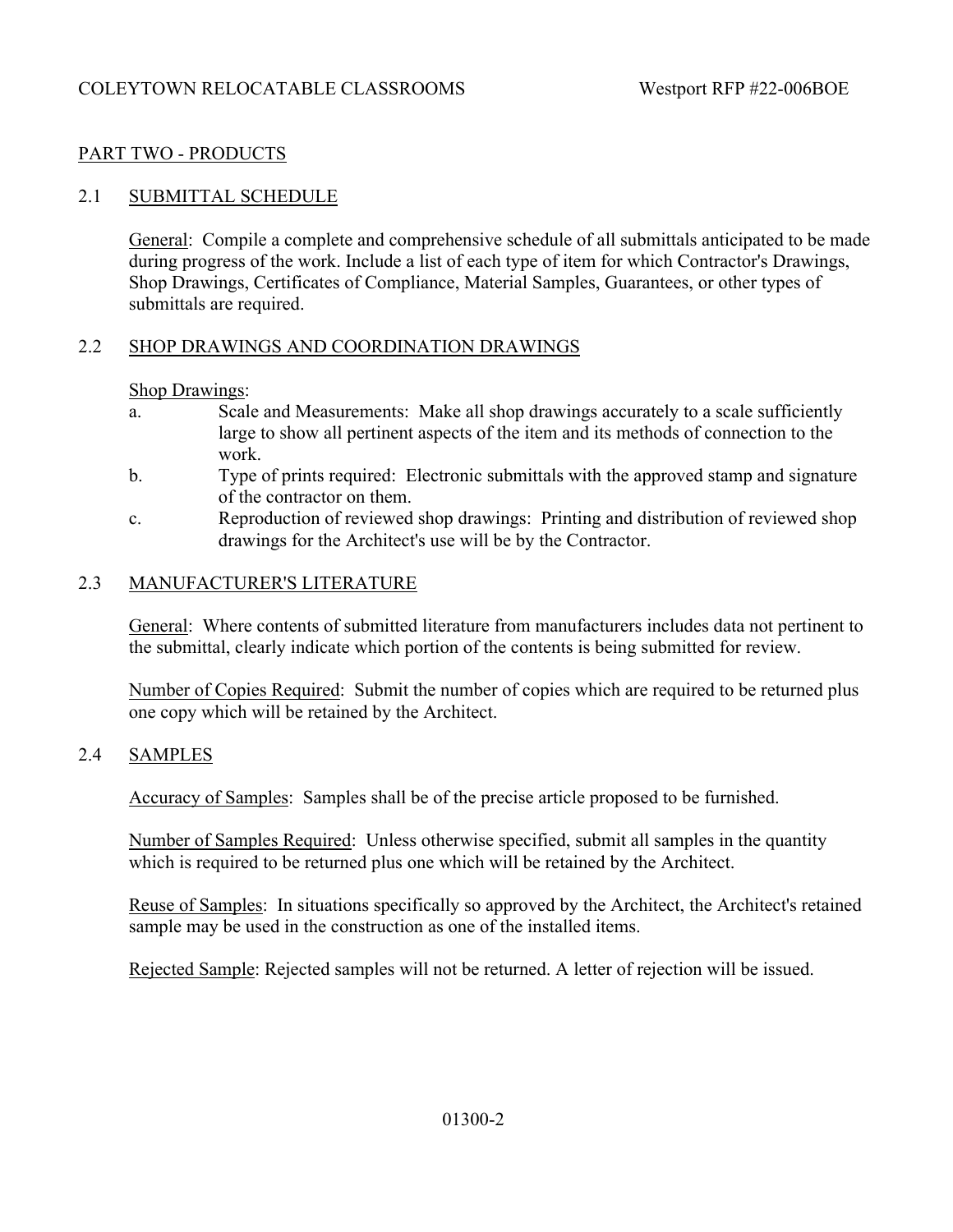## PART TWO - PRODUCTS

#### 2.1 SUBMITTAL SCHEDULE

General: Compile a complete and comprehensive schedule of all submittals anticipated to be made during progress of the work. Include a list of each type of item for which Contractor's Drawings, Shop Drawings, Certificates of Compliance, Material Samples, Guarantees, or other types of submittals are required.

#### 2.2 SHOP DRAWINGS AND COORDINATION DRAWINGS

#### Shop Drawings:

- a. Scale and Measurements: Make all shop drawings accurately to a scale sufficiently large to show all pertinent aspects of the item and its methods of connection to the work.
- b. Type of prints required: Electronic submittals with the approved stamp and signature of the contractor on them.
- c. Reproduction of reviewed shop drawings: Printing and distribution of reviewed shop drawings for the Architect's use will be by the Contractor.

#### 2.3 MANUFACTURER'S LITERATURE

General: Where contents of submitted literature from manufacturers includes data not pertinent to the submittal, clearly indicate which portion of the contents is being submitted for review.

Number of Copies Required: Submit the number of copies which are required to be returned plus one copy which will be retained by the Architect.

## 2.4 SAMPLES

Accuracy of Samples: Samples shall be of the precise article proposed to be furnished.

Number of Samples Required: Unless otherwise specified, submit all samples in the quantity which is required to be returned plus one which will be retained by the Architect.

Reuse of Samples: In situations specifically so approved by the Architect, the Architect's retained sample may be used in the construction as one of the installed items.

Rejected Sample: Rejected samples will not be returned. A letter of rejection will be issued.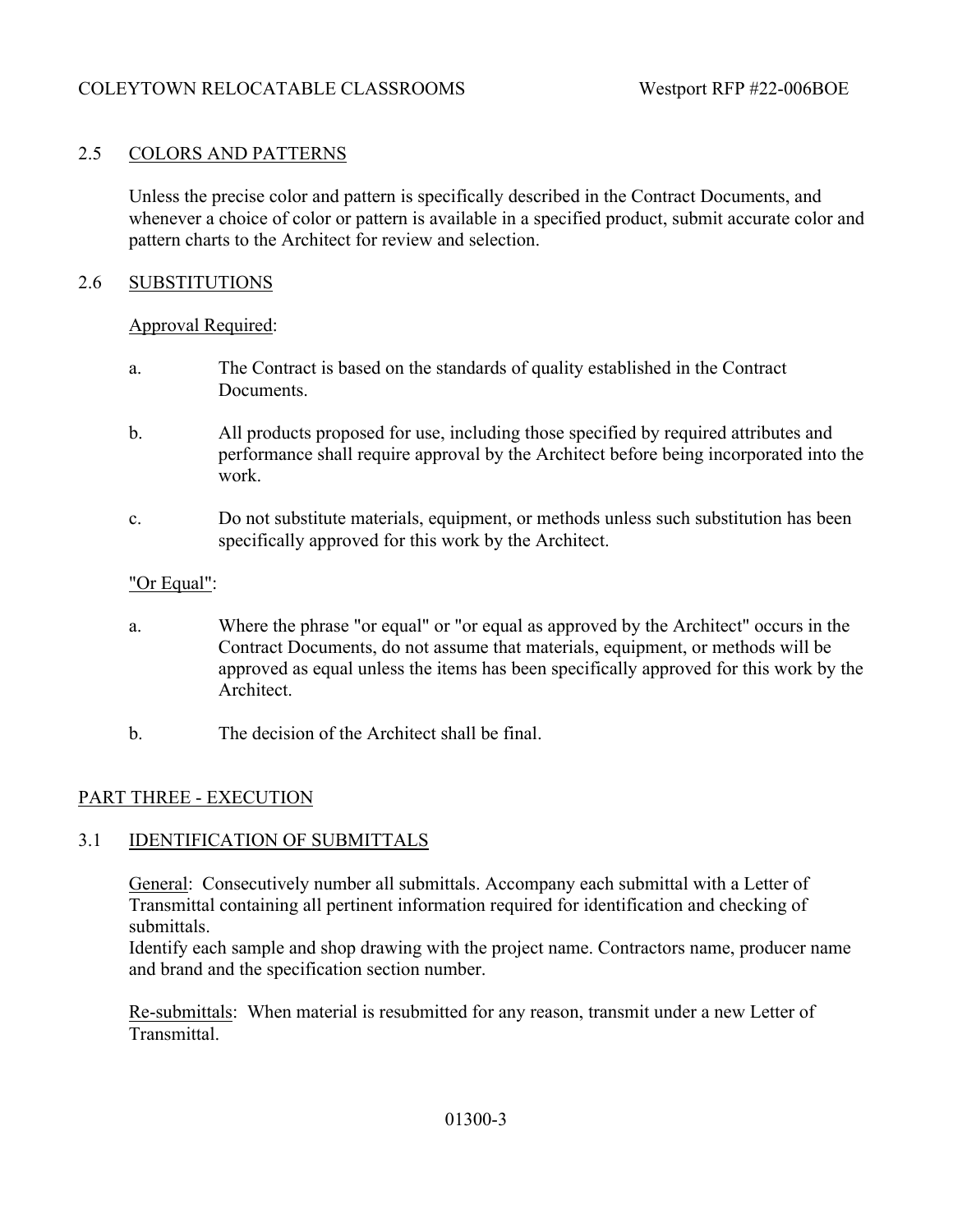## 2.5 COLORS AND PATTERNS

Unless the precise color and pattern is specifically described in the Contract Documents, and whenever a choice of color or pattern is available in a specified product, submit accurate color and pattern charts to the Architect for review and selection.

#### 2.6 SUBSTITUTIONS

#### Approval Required:

- a. The Contract is based on the standards of quality established in the Contract Documents.
- b. All products proposed for use, including those specified by required attributes and performance shall require approval by the Architect before being incorporated into the work.
- c. Do not substitute materials, equipment, or methods unless such substitution has been specifically approved for this work by the Architect.

#### "Or Equal":

- a. Where the phrase "or equal" or "or equal as approved by the Architect" occurs in the Contract Documents, do not assume that materials, equipment, or methods will be approved as equal unless the items has been specifically approved for this work by the Architect.
- b. The decision of the Architect shall be final.

#### PART THREE - EXECUTION

#### 3.1 IDENTIFICATION OF SUBMITTALS

General: Consecutively number all submittals. Accompany each submittal with a Letter of Transmittal containing all pertinent information required for identification and checking of submittals.

Identify each sample and shop drawing with the project name. Contractors name, producer name and brand and the specification section number.

Re-submittals: When material is resubmitted for any reason, transmit under a new Letter of Transmittal.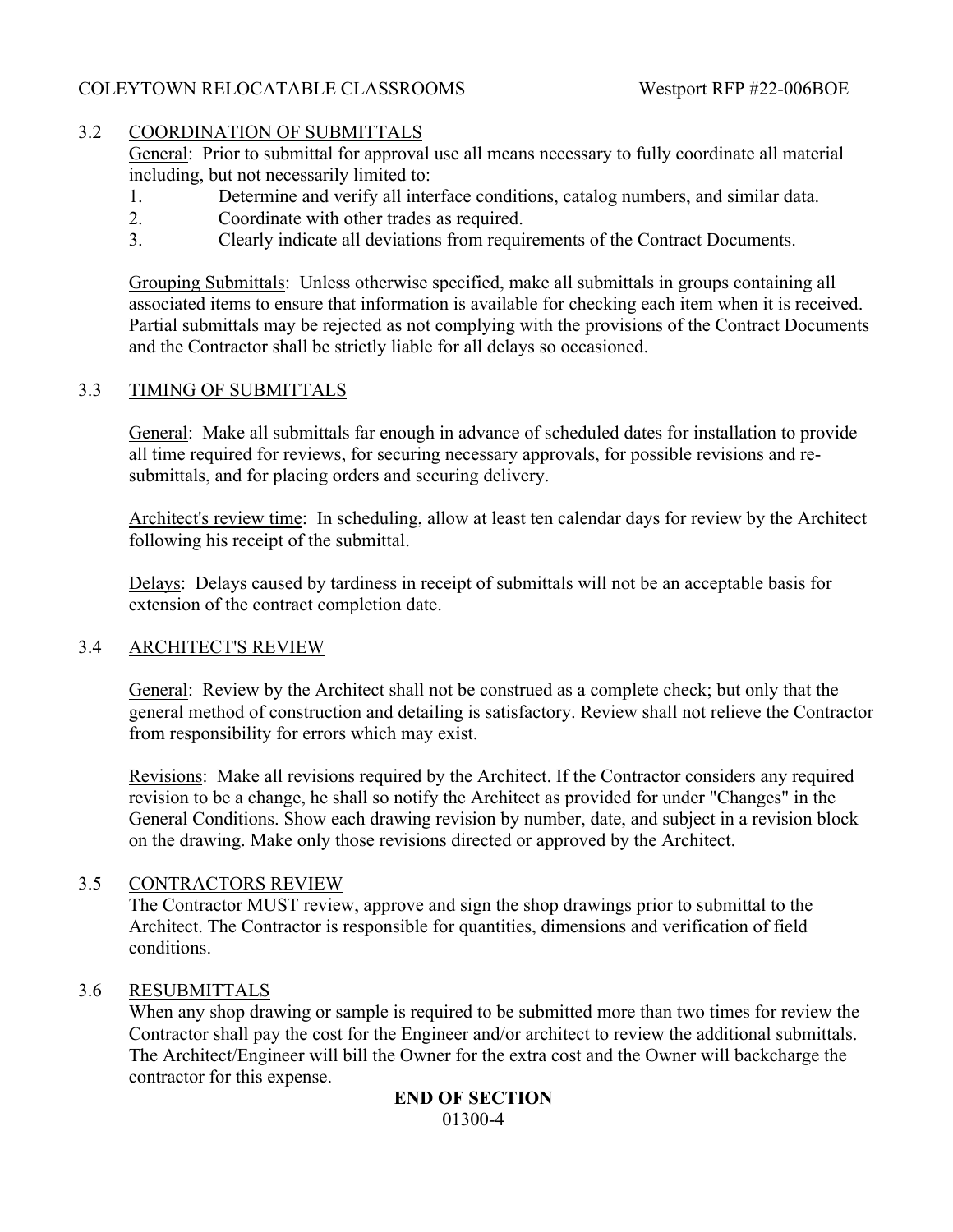## 3.2 COORDINATION OF SUBMITTALS

General: Prior to submittal for approval use all means necessary to fully coordinate all material including, but not necessarily limited to:

- 1. Determine and verify all interface conditions, catalog numbers, and similar data.
- 2. Coordinate with other trades as required.
- 3. Clearly indicate all deviations from requirements of the Contract Documents.

Grouping Submittals: Unless otherwise specified, make all submittals in groups containing all associated items to ensure that information is available for checking each item when it is received. Partial submittals may be rejected as not complying with the provisions of the Contract Documents and the Contractor shall be strictly liable for all delays so occasioned.

## 3.3 TIMING OF SUBMITTALS

General: Make all submittals far enough in advance of scheduled dates for installation to provide all time required for reviews, for securing necessary approvals, for possible revisions and resubmittals, and for placing orders and securing delivery.

Architect's review time: In scheduling, allow at least ten calendar days for review by the Architect following his receipt of the submittal.

Delays: Delays caused by tardiness in receipt of submittals will not be an acceptable basis for extension of the contract completion date.

## 3.4 ARCHITECT'S REVIEW

General: Review by the Architect shall not be construed as a complete check; but only that the general method of construction and detailing is satisfactory. Review shall not relieve the Contractor from responsibility for errors which may exist.

Revisions: Make all revisions required by the Architect. If the Contractor considers any required revision to be a change, he shall so notify the Architect as provided for under "Changes" in the General Conditions. Show each drawing revision by number, date, and subject in a revision block on the drawing. Make only those revisions directed or approved by the Architect.

## 3.5 CONTRACTORS REVIEW

The Contractor MUST review, approve and sign the shop drawings prior to submittal to the Architect. The Contractor is responsible for quantities, dimensions and verification of field conditions.

#### 3.6 RESUBMITTALS

When any shop drawing or sample is required to be submitted more than two times for review the Contractor shall pay the cost for the Engineer and/or architect to review the additional submittals. The Architect/Engineer will bill the Owner for the extra cost and the Owner will backcharge the contractor for this expense.

#### **END OF SECTION** 01300-4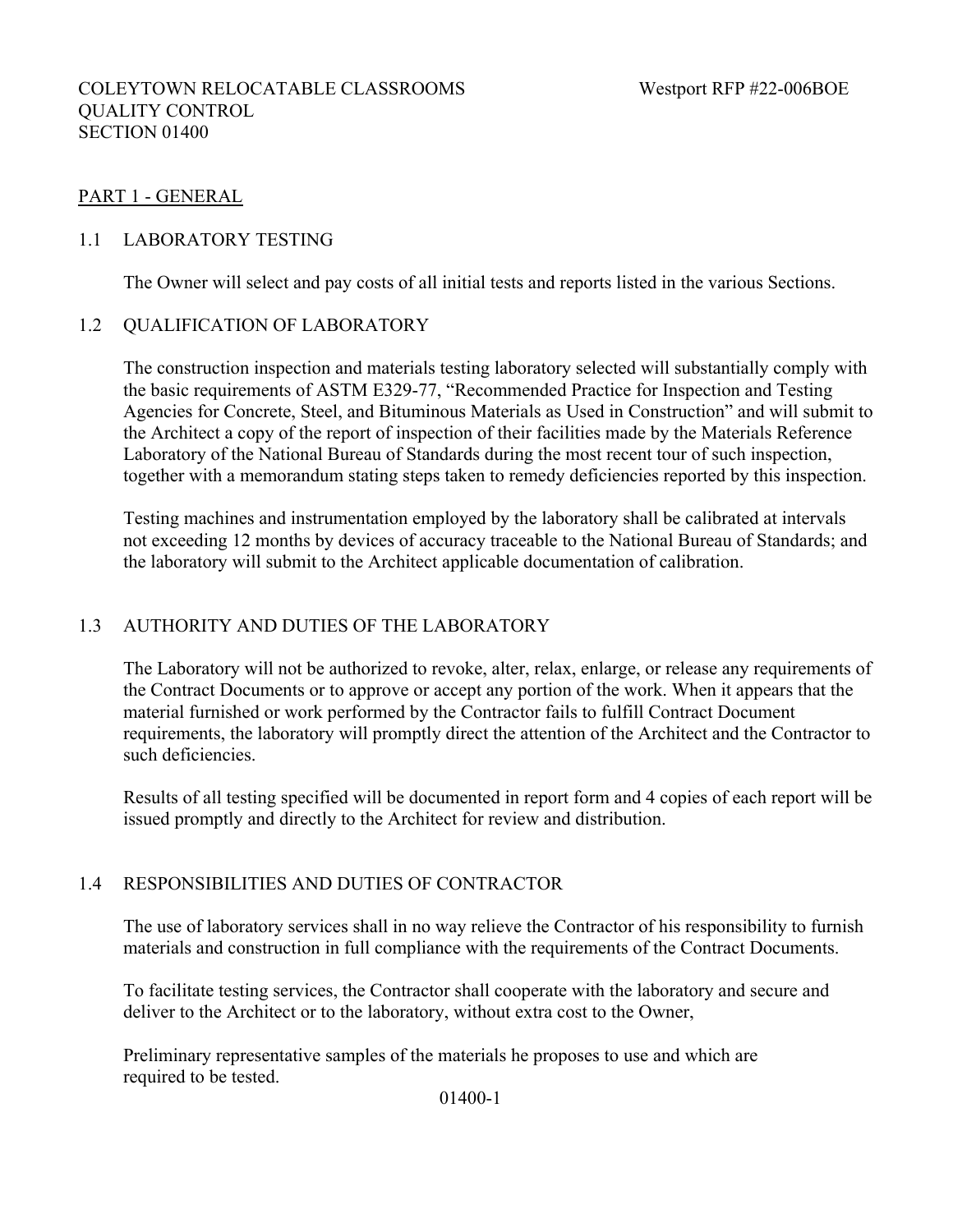## COLEYTOWN RELOCATABLE CLASSROOMS Westport RFP #22-006BOE QUALITY CONTROL SECTION 01400

## PART 1 - GENERAL

## 1.1 LABORATORY TESTING

The Owner will select and pay costs of all initial tests and reports listed in the various Sections.

## 1.2 QUALIFICATION OF LABORATORY

The construction inspection and materials testing laboratory selected will substantially comply with the basic requirements of ASTM E329-77, "Recommended Practice for Inspection and Testing Agencies for Concrete, Steel, and Bituminous Materials as Used in Construction" and will submit to the Architect a copy of the report of inspection of their facilities made by the Materials Reference Laboratory of the National Bureau of Standards during the most recent tour of such inspection, together with a memorandum stating steps taken to remedy deficiencies reported by this inspection.

Testing machines and instrumentation employed by the laboratory shall be calibrated at intervals not exceeding 12 months by devices of accuracy traceable to the National Bureau of Standards; and the laboratory will submit to the Architect applicable documentation of calibration.

## 1.3 AUTHORITY AND DUTIES OF THE LABORATORY

The Laboratory will not be authorized to revoke, alter, relax, enlarge, or release any requirements of the Contract Documents or to approve or accept any portion of the work. When it appears that the material furnished or work performed by the Contractor fails to fulfill Contract Document requirements, the laboratory will promptly direct the attention of the Architect and the Contractor to such deficiencies.

Results of all testing specified will be documented in report form and 4 copies of each report will be issued promptly and directly to the Architect for review and distribution.

#### 1.4 RESPONSIBILITIES AND DUTIES OF CONTRACTOR

The use of laboratory services shall in no way relieve the Contractor of his responsibility to furnish materials and construction in full compliance with the requirements of the Contract Documents.

To facilitate testing services, the Contractor shall cooperate with the laboratory and secure and deliver to the Architect or to the laboratory, without extra cost to the Owner,

Preliminary representative samples of the materials he proposes to use and which are required to be tested.

01400-1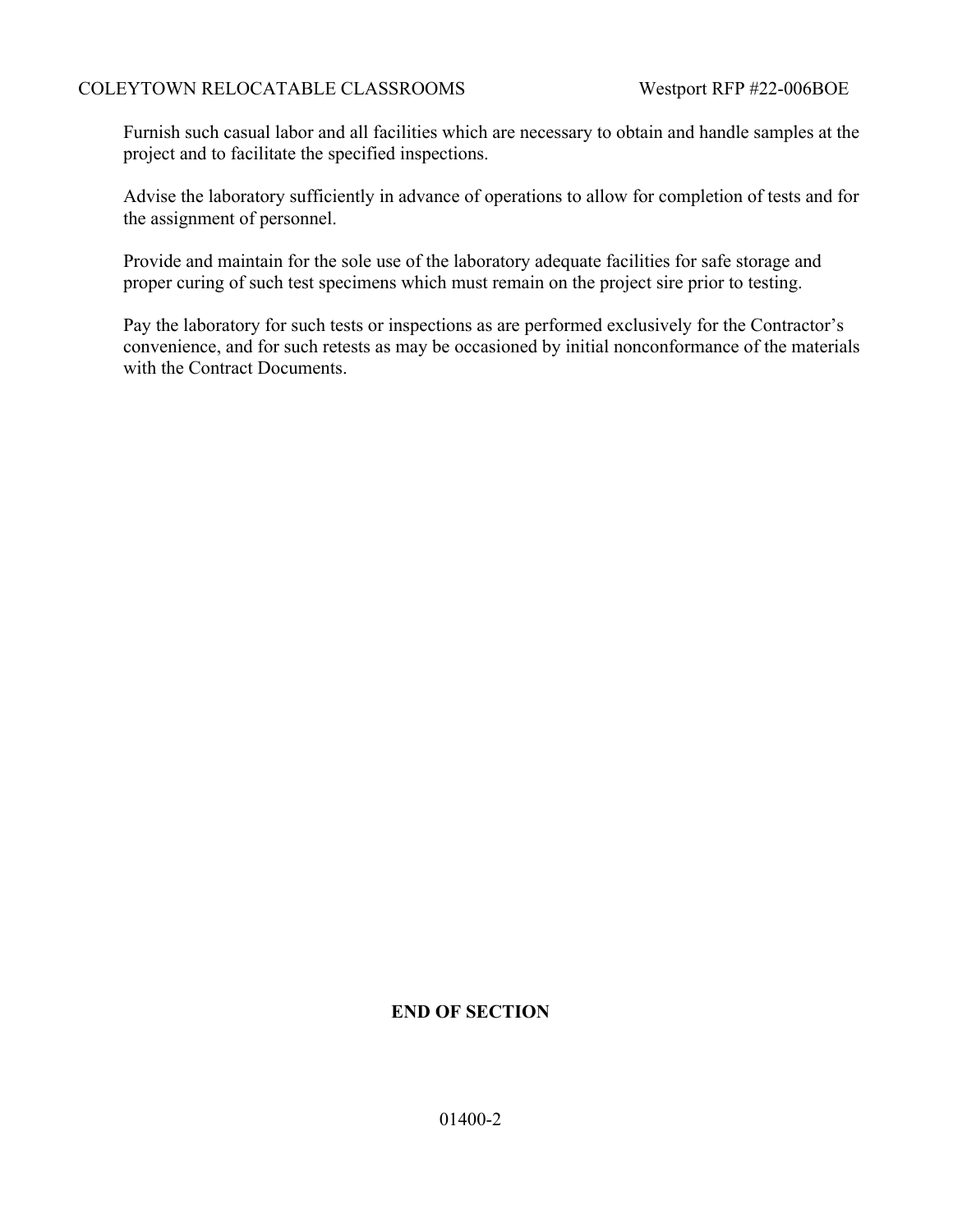Furnish such casual labor and all facilities which are necessary to obtain and handle samples at the project and to facilitate the specified inspections.

Advise the laboratory sufficiently in advance of operations to allow for completion of tests and for the assignment of personnel.

Provide and maintain for the sole use of the laboratory adequate facilities for safe storage and proper curing of such test specimens which must remain on the project sire prior to testing.

Pay the laboratory for such tests or inspections as are performed exclusively for the Contractor's convenience, and for such retests as may be occasioned by initial nonconformance of the materials with the Contract Documents.

# **END OF SECTION**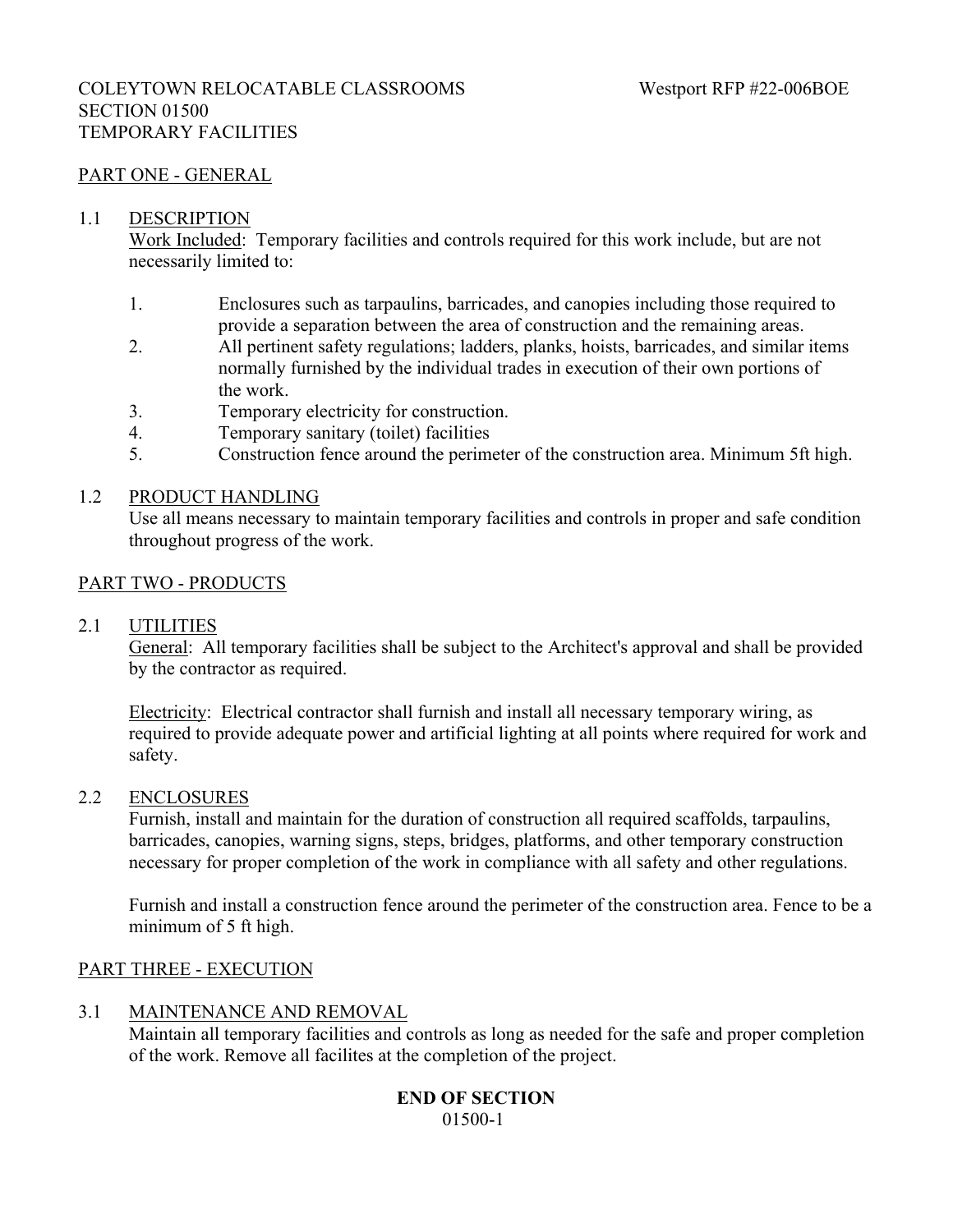## COLEYTOWN RELOCATABLE CLASSROOMS Westport RFP #22-006BOE SECTION 01500 TEMPORARY FACILITIES

## PART ONE - GENERAL

#### 1.1 DESCRIPTION

Work Included: Temporary facilities and controls required for this work include, but are not necessarily limited to:

- 1. Enclosures such as tarpaulins, barricades, and canopies including those required to provide a separation between the area of construction and the remaining areas.
- 2. All pertinent safety regulations; ladders, planks, hoists, barricades, and similar items normally furnished by the individual trades in execution of their own portions of the work.
- 3. Temporary electricity for construction.
- 4. Temporary sanitary (toilet) facilities
- 5. Construction fence around the perimeter of the construction area. Minimum 5ft high.

#### 1.2 PRODUCT HANDLING

Use all means necessary to maintain temporary facilities and controls in proper and safe condition throughout progress of the work.

## PART TWO - PRODUCTS

#### 2.1 UTILITIES

General: All temporary facilities shall be subject to the Architect's approval and shall be provided by the contractor as required.

Electricity: Electrical contractor shall furnish and install all necessary temporary wiring, as required to provide adequate power and artificial lighting at all points where required for work and safety.

#### 2.2 ENCLOSURES

Furnish, install and maintain for the duration of construction all required scaffolds, tarpaulins, barricades, canopies, warning signs, steps, bridges, platforms, and other temporary construction necessary for proper completion of the work in compliance with all safety and other regulations.

Furnish and install a construction fence around the perimeter of the construction area. Fence to be a minimum of 5 ft high.

#### PART THREE - EXECUTION

#### 3.1 MAINTENANCE AND REMOVAL

Maintain all temporary facilities and controls as long as needed for the safe and proper completion of the work. Remove all facilites at the completion of the project.

## **END OF SECTION** 01500-1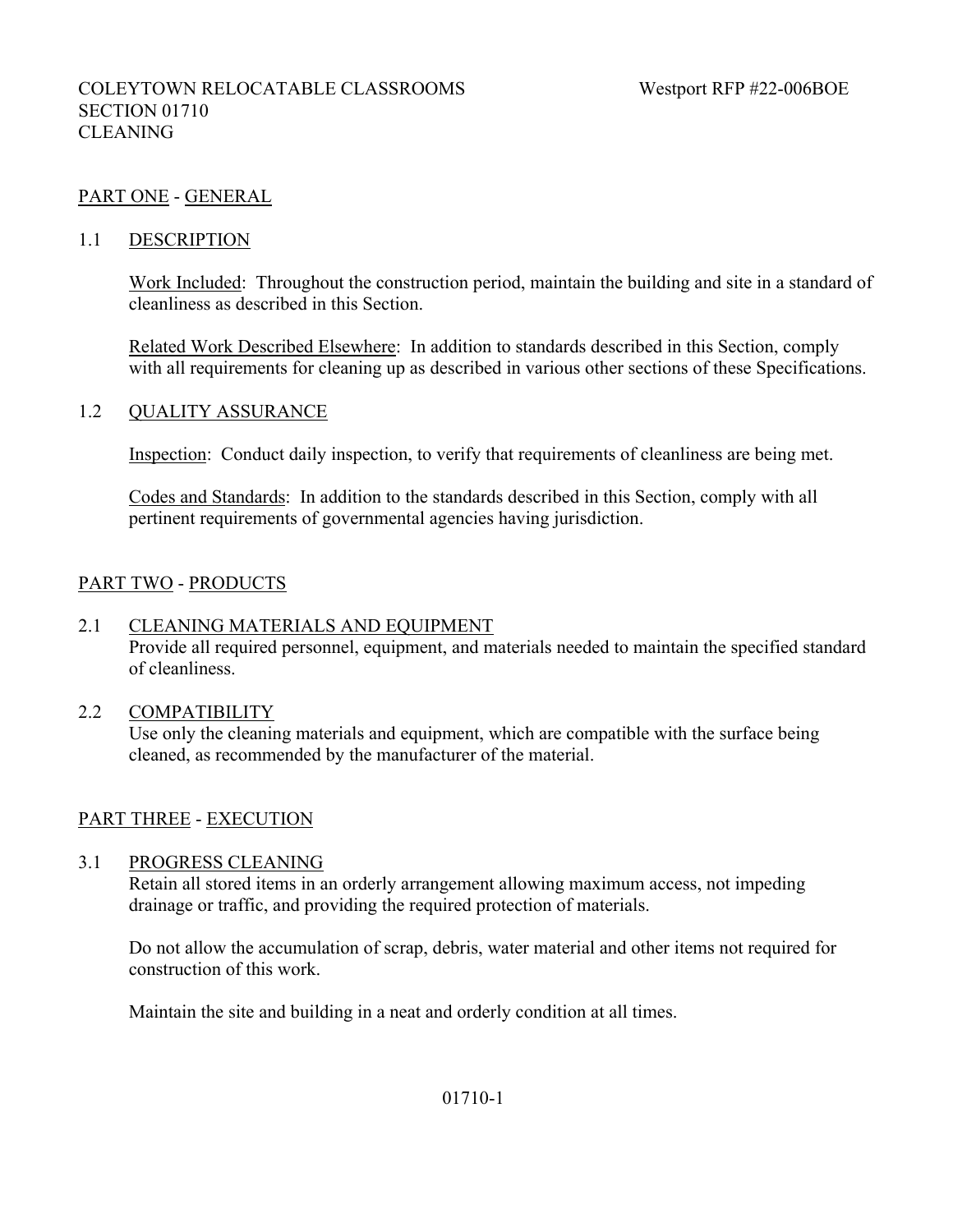## PART ONE - GENERAL

#### 1.1 DESCRIPTION

Work Included: Throughout the construction period, maintain the building and site in a standard of cleanliness as described in this Section.

Related Work Described Elsewhere: In addition to standards described in this Section, comply with all requirements for cleaning up as described in various other sections of these Specifications.

#### 1.2 QUALITY ASSURANCE

Inspection: Conduct daily inspection, to verify that requirements of cleanliness are being met.

Codes and Standards: In addition to the standards described in this Section, comply with all pertinent requirements of governmental agencies having jurisdiction.

## PART TWO - PRODUCTS

#### 2.1 CLEANING MATERIALS AND EQUIPMENT

Provide all required personnel, equipment, and materials needed to maintain the specified standard of cleanliness.

#### 2.2 COMPATIBILITY

Use only the cleaning materials and equipment, which are compatible with the surface being cleaned, as recommended by the manufacturer of the material.

#### PART THREE - EXECUTION

#### 3.1 PROGRESS CLEANING

Retain all stored items in an orderly arrangement allowing maximum access, not impeding drainage or traffic, and providing the required protection of materials.

Do not allow the accumulation of scrap, debris, water material and other items not required for construction of this work.

Maintain the site and building in a neat and orderly condition at all times.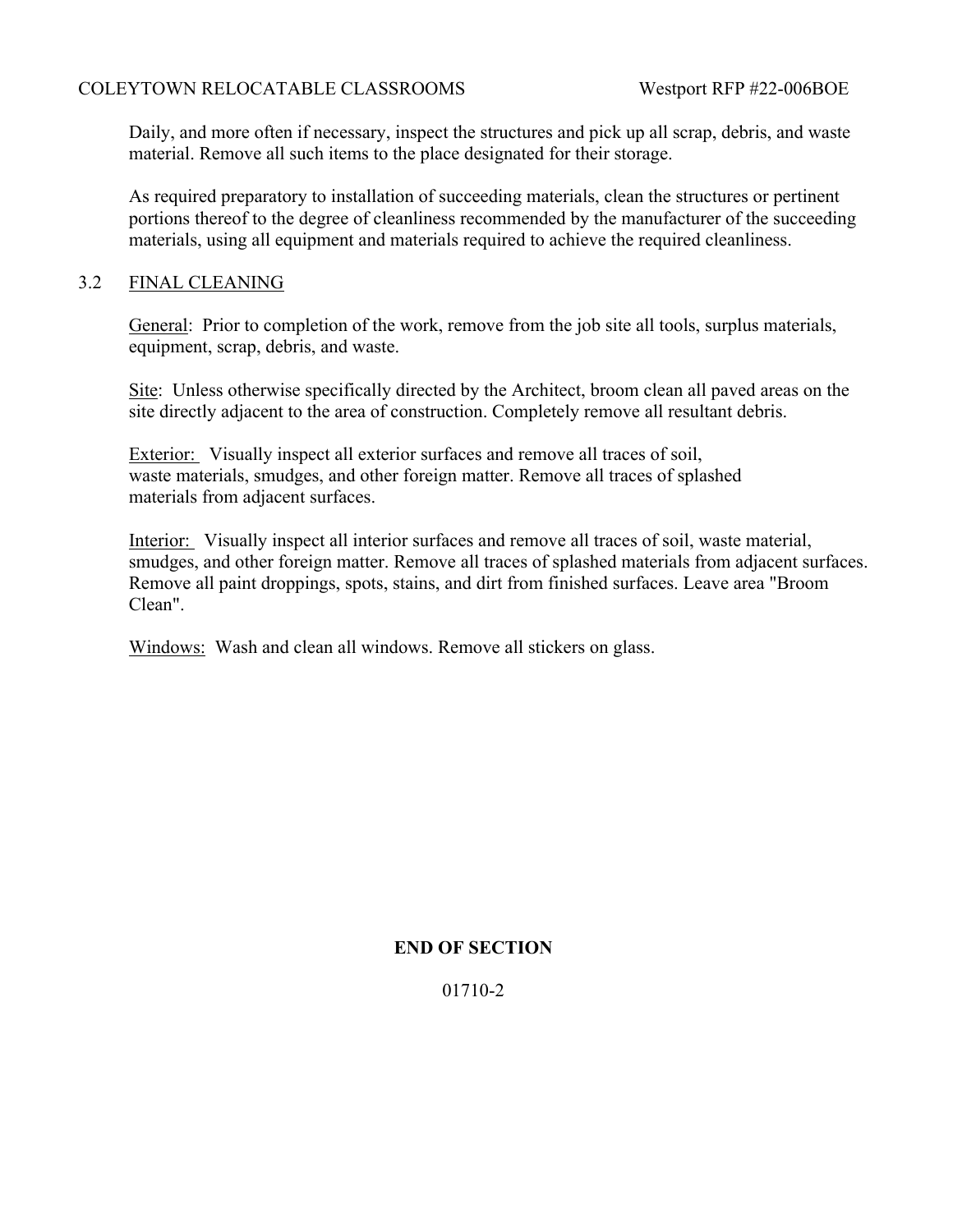Daily, and more often if necessary, inspect the structures and pick up all scrap, debris, and waste material. Remove all such items to the place designated for their storage.

As required preparatory to installation of succeeding materials, clean the structures or pertinent portions thereof to the degree of cleanliness recommended by the manufacturer of the succeeding materials, using all equipment and materials required to achieve the required cleanliness.

## 3.2 FINAL CLEANING

General: Prior to completion of the work, remove from the job site all tools, surplus materials, equipment, scrap, debris, and waste.

Site: Unless otherwise specifically directed by the Architect, broom clean all paved areas on the site directly adjacent to the area of construction. Completely remove all resultant debris.

Exterior: Visually inspect all exterior surfaces and remove all traces of soil, waste materials, smudges, and other foreign matter. Remove all traces of splashed materials from adjacent surfaces.

Interior: Visually inspect all interior surfaces and remove all traces of soil, waste material, smudges, and other foreign matter. Remove all traces of splashed materials from adjacent surfaces. Remove all paint droppings, spots, stains, and dirt from finished surfaces. Leave area "Broom Clean".

Windows: Wash and clean all windows. Remove all stickers on glass.

## **END OF SECTION**

01710-2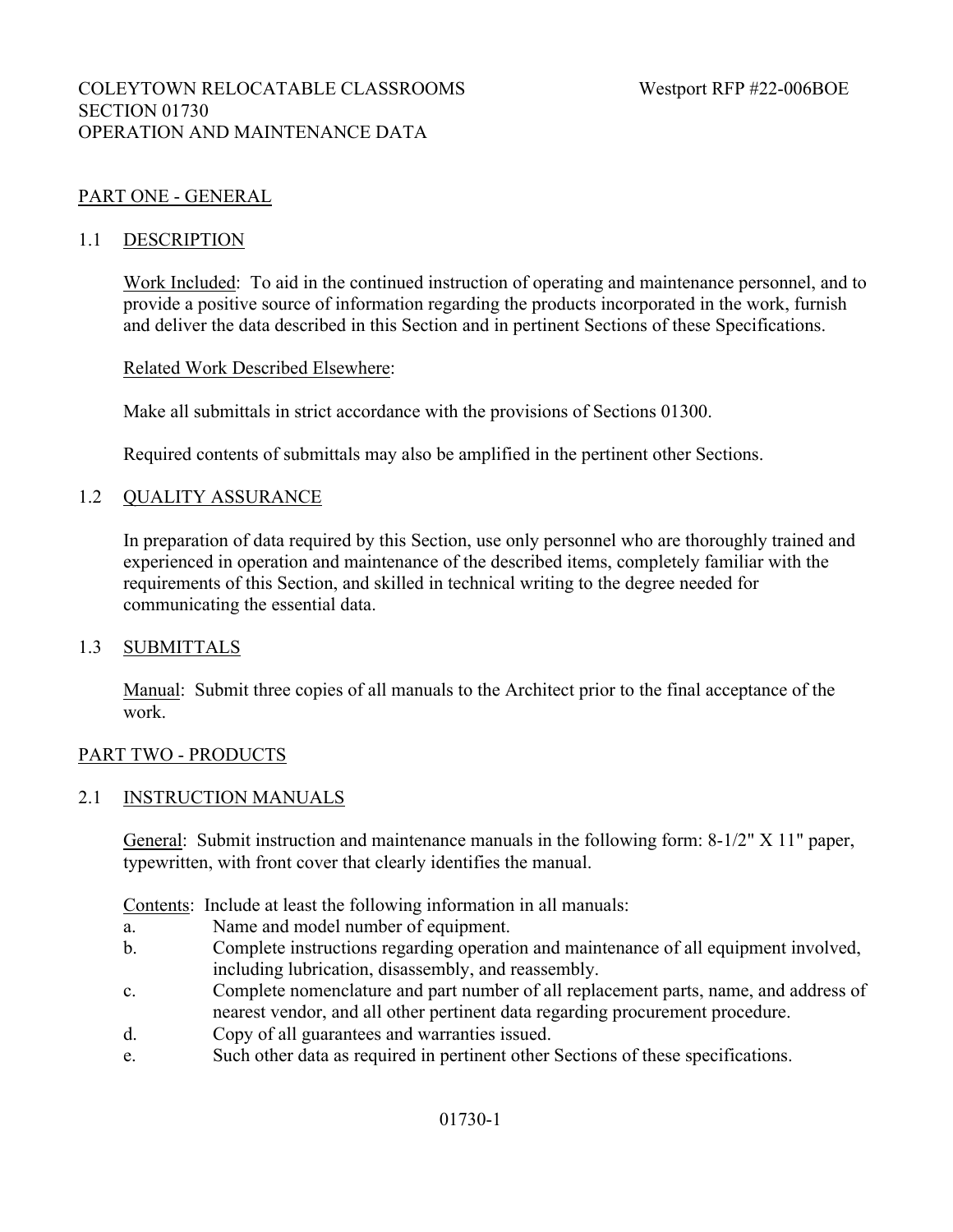## PART ONE - GENERAL

#### 1.1 DESCRIPTION

Work Included: To aid in the continued instruction of operating and maintenance personnel, and to provide a positive source of information regarding the products incorporated in the work, furnish and deliver the data described in this Section and in pertinent Sections of these Specifications.

#### Related Work Described Elsewhere:

Make all submittals in strict accordance with the provisions of Sections 01300.

Required contents of submittals may also be amplified in the pertinent other Sections.

#### 1.2 QUALITY ASSURANCE

In preparation of data required by this Section, use only personnel who are thoroughly trained and experienced in operation and maintenance of the described items, completely familiar with the requirements of this Section, and skilled in technical writing to the degree needed for communicating the essential data.

#### 1.3 SUBMITTALS

Manual: Submit three copies of all manuals to the Architect prior to the final acceptance of the work.

#### PART TWO - PRODUCTS

#### 2.1 INSTRUCTION MANUALS

General: Submit instruction and maintenance manuals in the following form: 8-1/2" X 11" paper, typewritten, with front cover that clearly identifies the manual.

Contents: Include at least the following information in all manuals:

- a. Name and model number of equipment.
- b. Complete instructions regarding operation and maintenance of all equipment involved, including lubrication, disassembly, and reassembly.
- c. Complete nomenclature and part number of all replacement parts, name, and address of nearest vendor, and all other pertinent data regarding procurement procedure.
- d. Copy of all guarantees and warranties issued.
- e. Such other data as required in pertinent other Sections of these specifications.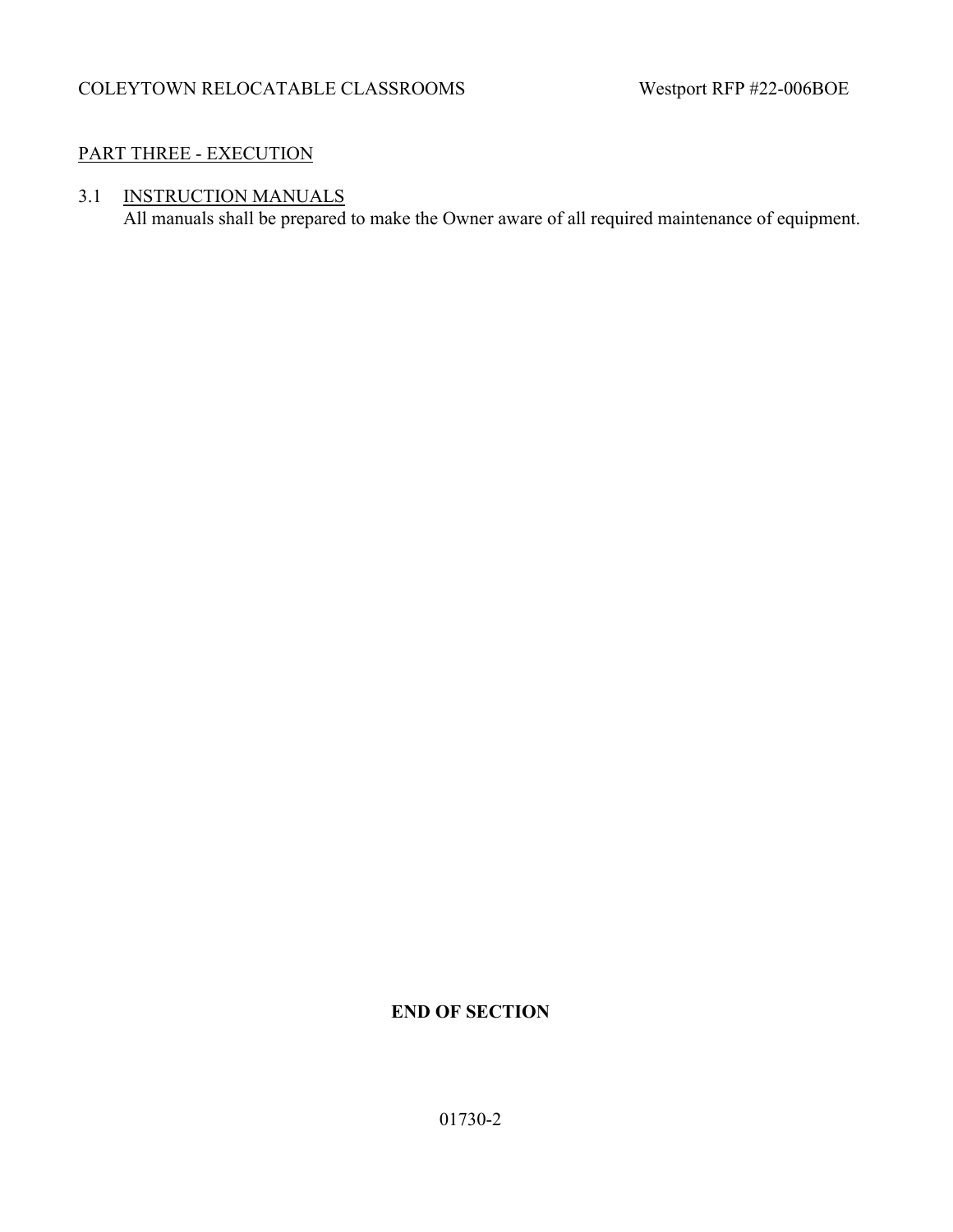## PART THREE - EXECUTION

# 3.1 INSTRUCTION MANUALS

All manuals shall be prepared to make the Owner aware of all required maintenance of equipment.

# **END OF SECTION**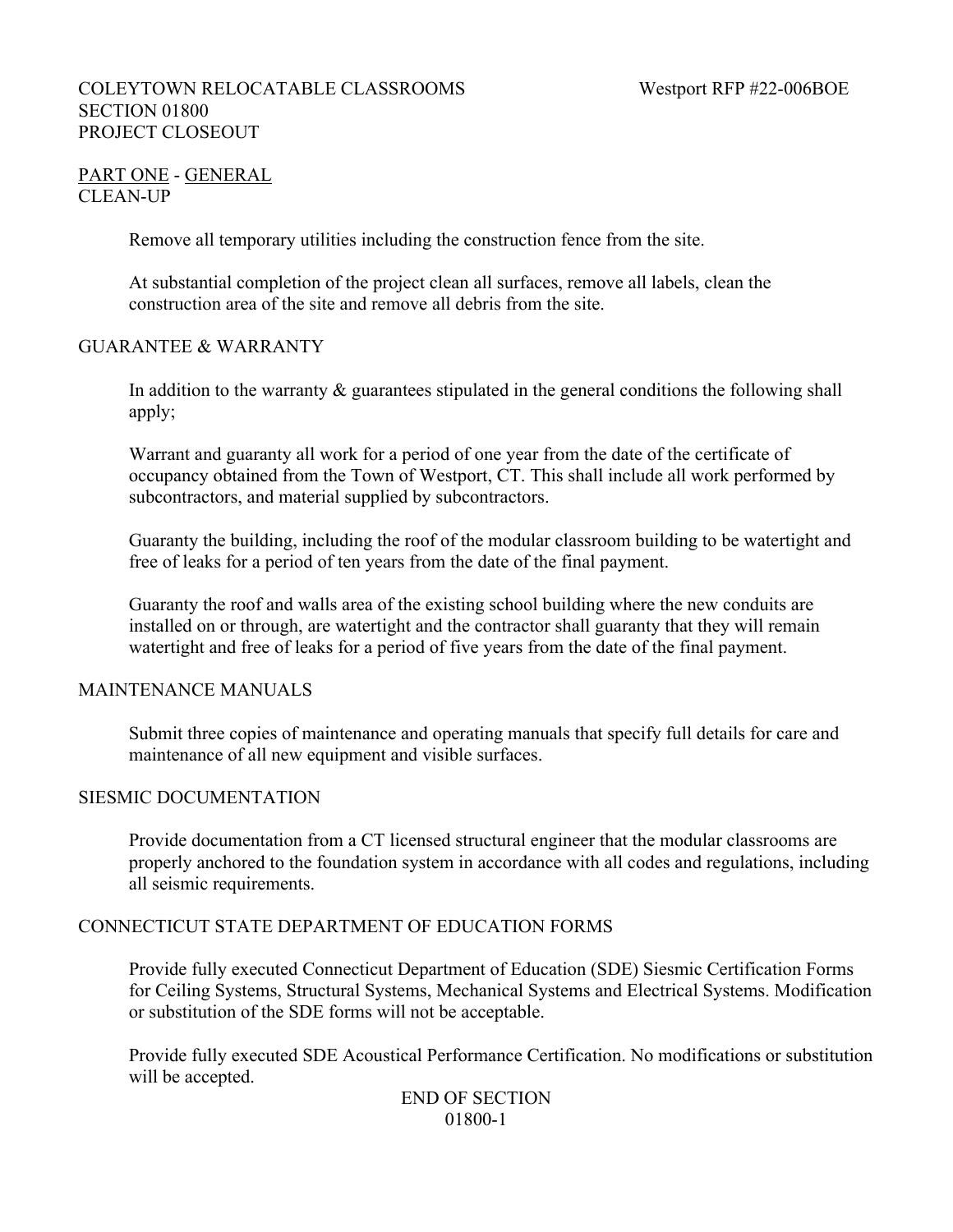## COLEYTOWN RELOCATABLE CLASSROOMS Westport RFP #22-006BOE SECTION 01800 PROJECT CLOSEOUT

## PART ONE - GENERAL CLEAN-UP

Remove all temporary utilities including the construction fence from the site.

At substantial completion of the project clean all surfaces, remove all labels, clean the construction area of the site and remove all debris from the site.

## GUARANTEE & WARRANTY

In addition to the warranty  $\&$  guarantees stipulated in the general conditions the following shall apply;

Warrant and guaranty all work for a period of one year from the date of the certificate of occupancy obtained from the Town of Westport, CT. This shall include all work performed by subcontractors, and material supplied by subcontractors.

Guaranty the building, including the roof of the modular classroom building to be watertight and free of leaks for a period of ten years from the date of the final payment.

Guaranty the roof and walls area of the existing school building where the new conduits are installed on or through, are watertight and the contractor shall guaranty that they will remain watertight and free of leaks for a period of five years from the date of the final payment.

#### MAINTENANCE MANUALS

Submit three copies of maintenance and operating manuals that specify full details for care and maintenance of all new equipment and visible surfaces.

#### SIESMIC DOCUMENTATION

Provide documentation from a CT licensed structural engineer that the modular classrooms are properly anchored to the foundation system in accordance with all codes and regulations, including all seismic requirements.

#### CONNECTICUT STATE DEPARTMENT OF EDUCATION FORMS

Provide fully executed Connecticut Department of Education (SDE) Siesmic Certification Forms for Ceiling Systems, Structural Systems, Mechanical Systems and Electrical Systems. Modification or substitution of the SDE forms will not be acceptable.

Provide fully executed SDE Acoustical Performance Certification. No modifications or substitution will be accepted.

## END OF SECTION 01800-1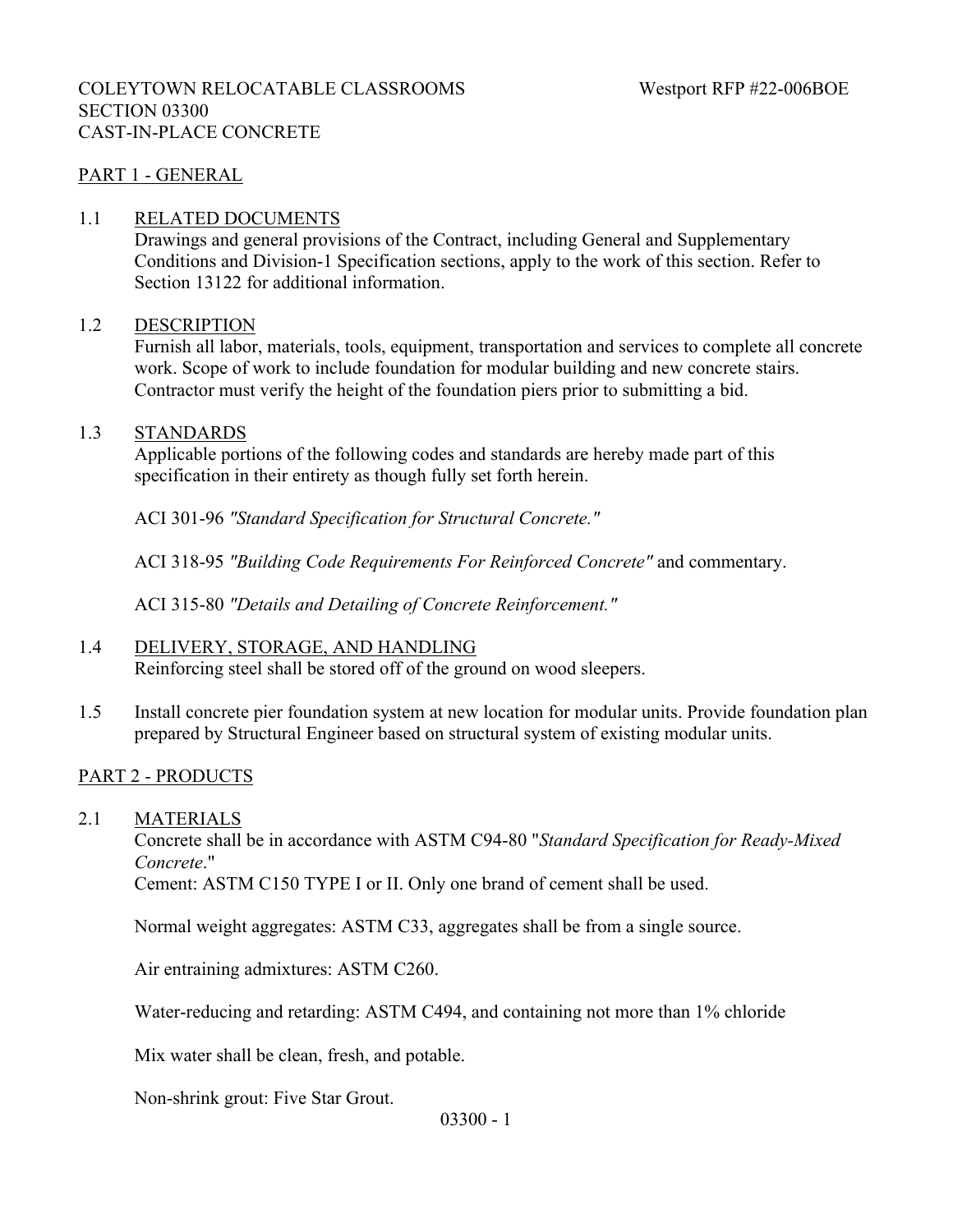## COLEYTOWN RELOCATABLE CLASSROOMS Westport RFP #22-006BOE SECTION 03300 CAST-IN-PLACE CONCRETE

## PART 1 - GENERAL

#### 1.1 RELATED DOCUMENTS

Drawings and general provisions of the Contract, including General and Supplementary Conditions and Division-1 Specification sections, apply to the work of this section. Refer to Section 13122 for additional information.

#### 1.2 DESCRIPTION

Furnish all labor, materials, tools, equipment, transportation and services to complete all concrete work. Scope of work to include foundation for modular building and new concrete stairs. Contractor must verify the height of the foundation piers prior to submitting a bid.

#### 1.3 STANDARDS

Applicable portions of the following codes and standards are hereby made part of this specification in their entirety as though fully set forth herein.

ACI 301-96 *"Standard Specification for Structural Concrete."*

ACI 318-95 *"Building Code Requirements For Reinforced Concrete"* and commentary.

ACI 315-80 *"Details and Detailing of Concrete Reinforcement."*

#### 1.4 DELIVERY, STORAGE, AND HANDLING

Reinforcing steel shall be stored off of the ground on wood sleepers.

1.5 Install concrete pier foundation system at new location for modular units. Provide foundation plan prepared by Structural Engineer based on structural system of existing modular units.

#### PART 2 - PRODUCTS

2.1 MATERIALS

Concrete shall be in accordance with ASTM C94-80 "*Standard Specification for Ready-Mixed Concrete*."

Cement: ASTM C150 TYPE I or II. Only one brand of cement shall be used.

Normal weight aggregates: ASTM C33, aggregates shall be from a single source.

Air entraining admixtures: ASTM C260.

Water-reducing and retarding: ASTM C494, and containing not more than 1% chloride

Mix water shall be clean, fresh, and potable.

Non-shrink grout: Five Star Grout.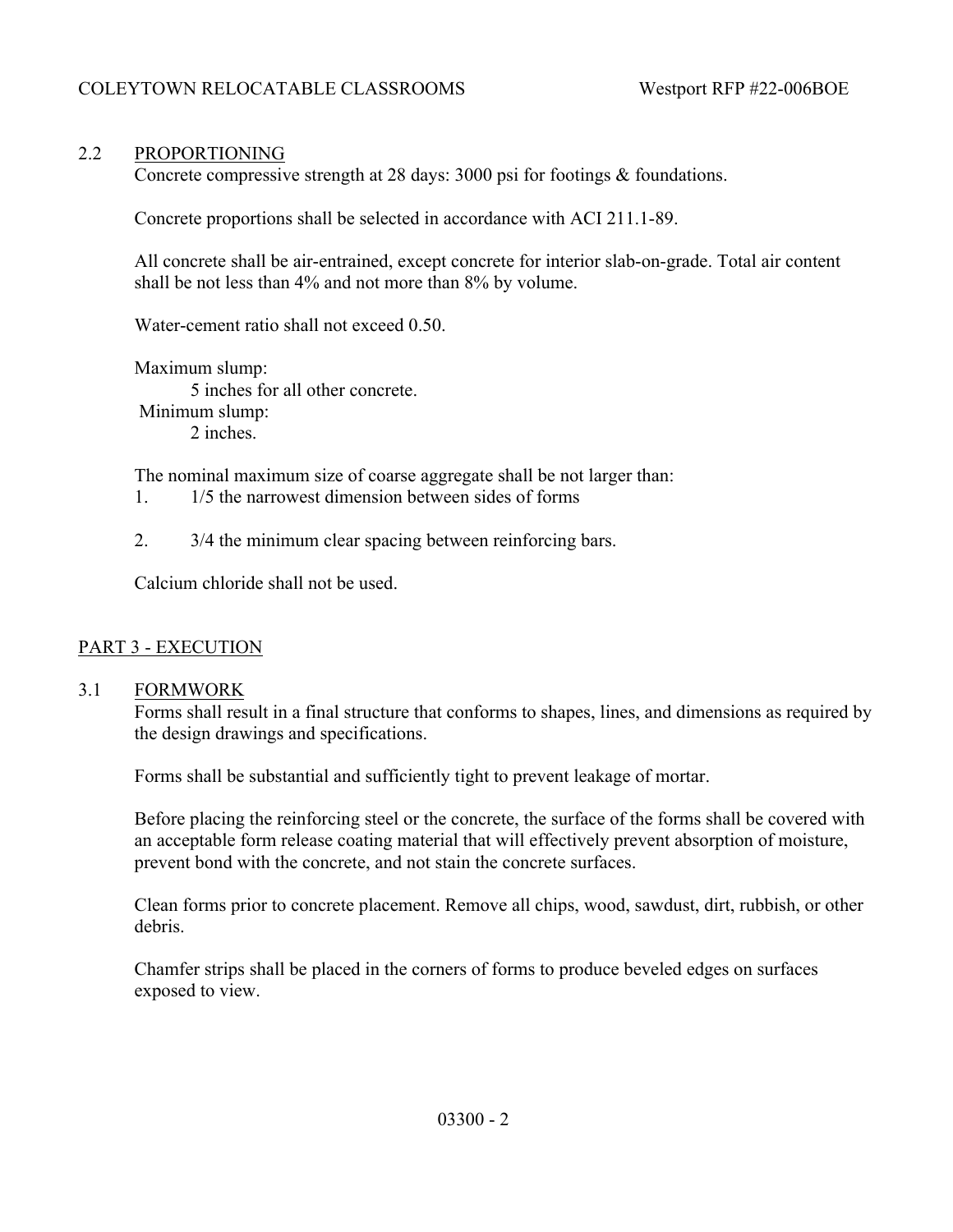## 2.2 PROPORTIONING

Concrete compressive strength at 28 days: 3000 psi for footings & foundations.

Concrete proportions shall be selected in accordance with ACI 211.1-89.

All concrete shall be air-entrained, except concrete for interior slab-on-grade. Total air content shall be not less than 4% and not more than 8% by volume.

Water-cement ratio shall not exceed 0.50.

Maximum slump: 5 inches for all other concrete. Minimum slump: 2 inches.

The nominal maximum size of coarse aggregate shall be not larger than:

- 1. 1/5 the narrowest dimension between sides of forms
- 2. 3/4 the minimum clear spacing between reinforcing bars.

Calcium chloride shall not be used.

## PART 3 - EXECUTION

## 3.1 FORMWORK

Forms shall result in a final structure that conforms to shapes, lines, and dimensions as required by the design drawings and specifications.

Forms shall be substantial and sufficiently tight to prevent leakage of mortar.

Before placing the reinforcing steel or the concrete, the surface of the forms shall be covered with an acceptable form release coating material that will effectively prevent absorption of moisture, prevent bond with the concrete, and not stain the concrete surfaces.

Clean forms prior to concrete placement. Remove all chips, wood, sawdust, dirt, rubbish, or other debris.

Chamfer strips shall be placed in the corners of forms to produce beveled edges on surfaces exposed to view.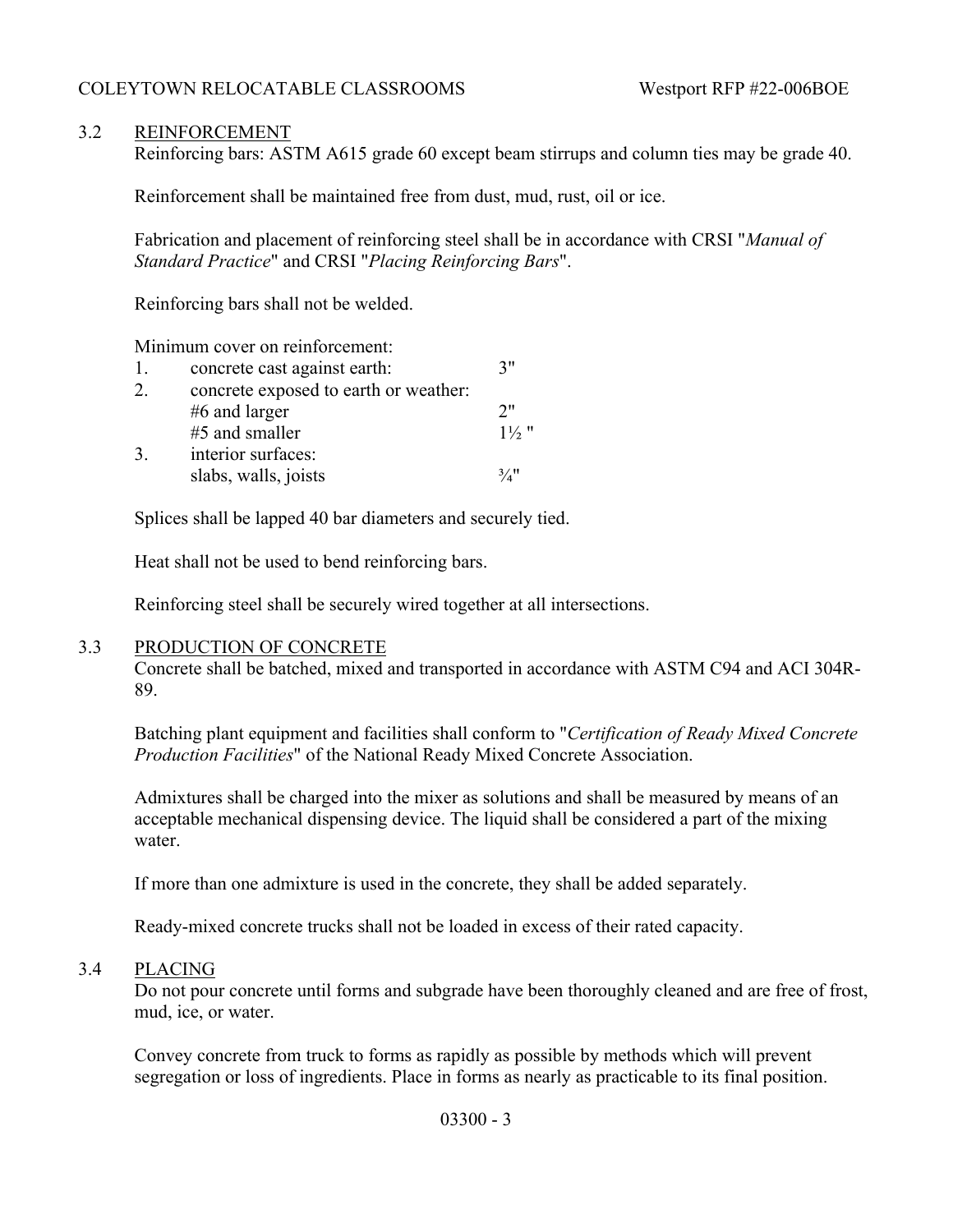## 3.2 REINFORCEMENT

Reinforcing bars: ASTM A615 grade 60 except beam stirrups and column ties may be grade 40.

Reinforcement shall be maintained free from dust, mud, rust, oil or ice.

Fabrication and placement of reinforcing steel shall be in accordance with CRSI "*Manual of Standard Practice*" and CRSI "*Placing Reinforcing Bars*".

Reinforcing bars shall not be welded.

Minimum cover on reinforcement:

| 1. | concrete cast against earth:          | 7"               |
|----|---------------------------------------|------------------|
| 2. | concrete exposed to earth or weather: |                  |
|    | $#6$ and larger                       | 2"               |
|    | #5 and smaller                        | $1\frac{1}{2}$ " |
| 3. | interior surfaces:                    |                  |
|    | slabs, walls, joists                  | $\frac{3}{4}$ !  |

Splices shall be lapped 40 bar diameters and securely tied.

Heat shall not be used to bend reinforcing bars.

Reinforcing steel shall be securely wired together at all intersections.

#### 3.3 PRODUCTION OF CONCRETE

Concrete shall be batched, mixed and transported in accordance with ASTM C94 and ACI 304R-89.

Batching plant equipment and facilities shall conform to "*Certification of Ready Mixed Concrete Production Facilities*" of the National Ready Mixed Concrete Association.

Admixtures shall be charged into the mixer as solutions and shall be measured by means of an acceptable mechanical dispensing device. The liquid shall be considered a part of the mixing water.

If more than one admixture is used in the concrete, they shall be added separately.

Ready-mixed concrete trucks shall not be loaded in excess of their rated capacity.

#### 3.4 PLACING

Do not pour concrete until forms and subgrade have been thoroughly cleaned and are free of frost, mud, ice, or water.

Convey concrete from truck to forms as rapidly as possible by methods which will prevent segregation or loss of ingredients. Place in forms as nearly as practicable to its final position.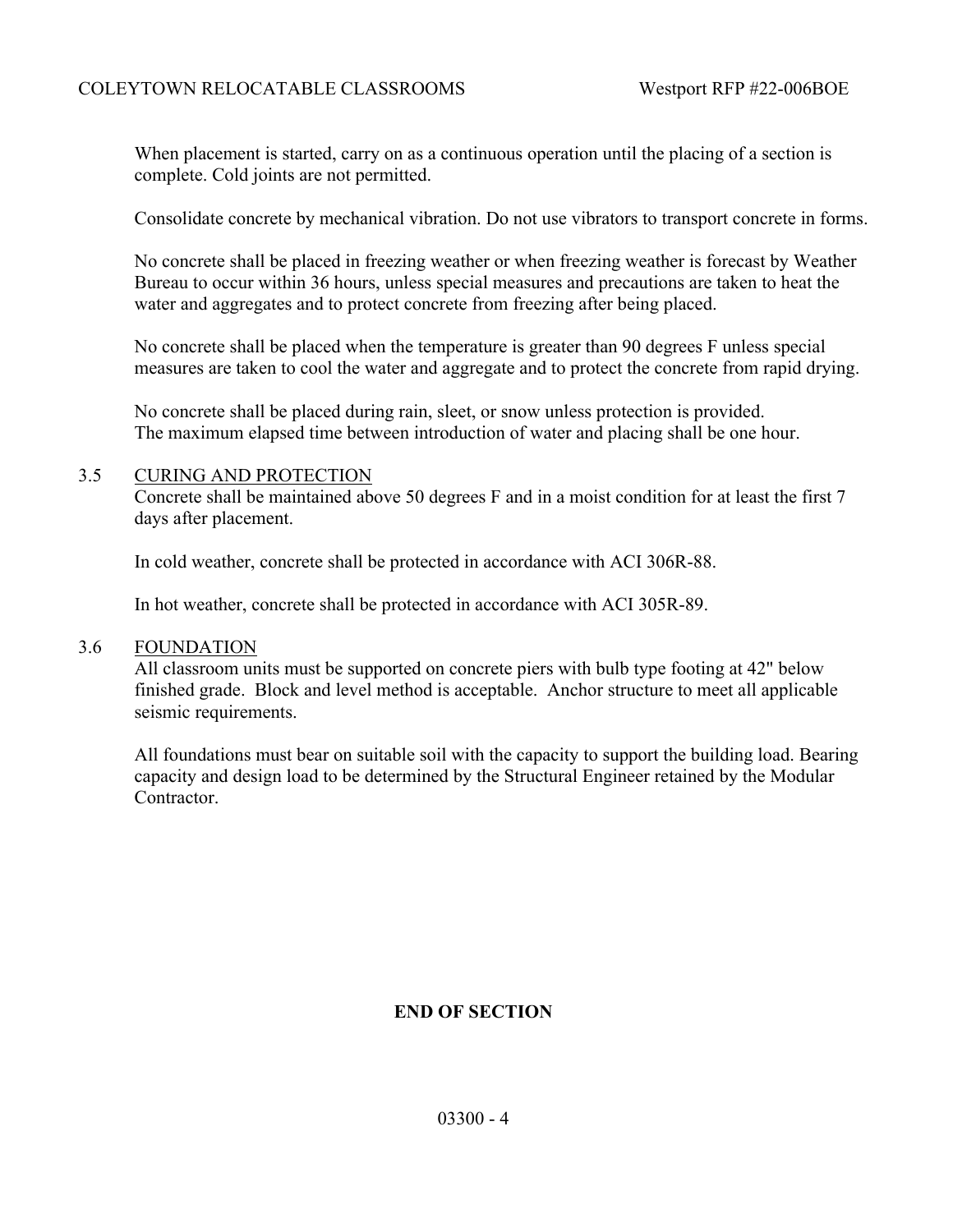When placement is started, carry on as a continuous operation until the placing of a section is complete. Cold joints are not permitted.

Consolidate concrete by mechanical vibration. Do not use vibrators to transport concrete in forms.

No concrete shall be placed in freezing weather or when freezing weather is forecast by Weather Bureau to occur within 36 hours, unless special measures and precautions are taken to heat the water and aggregates and to protect concrete from freezing after being placed.

No concrete shall be placed when the temperature is greater than 90 degrees F unless special measures are taken to cool the water and aggregate and to protect the concrete from rapid drying.

No concrete shall be placed during rain, sleet, or snow unless protection is provided. The maximum elapsed time between introduction of water and placing shall be one hour.

#### 3.5 CURING AND PROTECTION

Concrete shall be maintained above 50 degrees F and in a moist condition for at least the first 7 days after placement.

In cold weather, concrete shall be protected in accordance with ACI 306R-88.

In hot weather, concrete shall be protected in accordance with ACI 305R-89.

#### 3.6 FOUNDATION

All classroom units must be supported on concrete piers with bulb type footing at 42" below finished grade. Block and level method is acceptable. Anchor structure to meet all applicable seismic requirements.

All foundations must bear on suitable soil with the capacity to support the building load. Bearing capacity and design load to be determined by the Structural Engineer retained by the Modular Contractor.

## **END OF SECTION**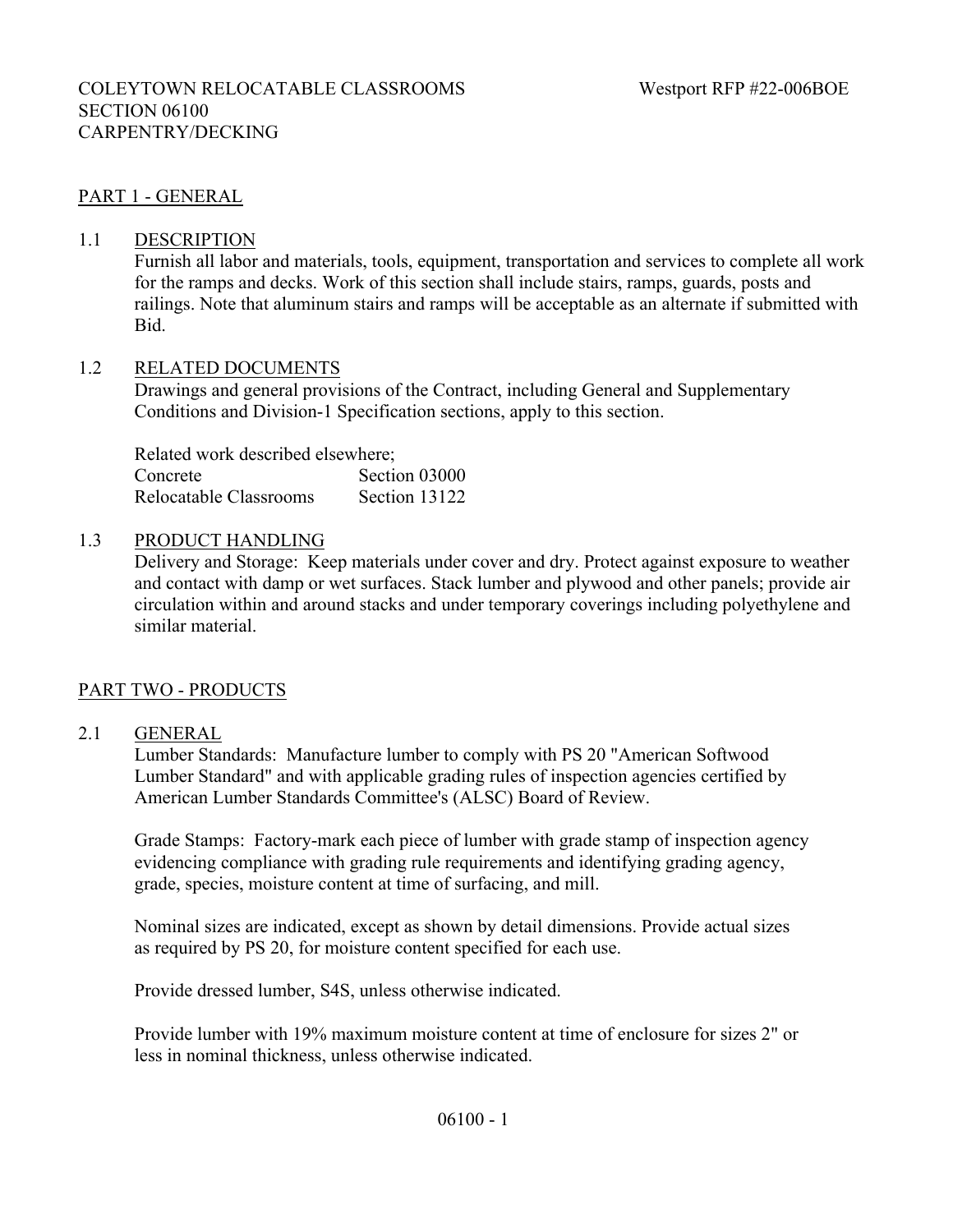## PART 1 - GENERAL

#### 1.1 DESCRIPTION

 Furnish all labor and materials, tools, equipment, transportation and services to complete all work for the ramps and decks. Work of this section shall include stairs, ramps, guards, posts and railings. Note that aluminum stairs and ramps will be acceptable as an alternate if submitted with Bid.

#### 1.2 RELATED DOCUMENTS

Drawings and general provisions of the Contract, including General and Supplementary Conditions and Division-1 Specification sections, apply to this section.

Related work described elsewhere; Concrete Section 03000 Relocatable Classrooms Section 13122

#### 1.3 PRODUCT HANDLING

Delivery and Storage: Keep materials under cover and dry. Protect against exposure to weather and contact with damp or wet surfaces. Stack lumber and plywood and other panels; provide air circulation within and around stacks and under temporary coverings including polyethylene and similar material.

#### PART TWO - PRODUCTS

#### 2.1 GENERAL

Lumber Standards: Manufacture lumber to comply with PS 20 "American Softwood Lumber Standard" and with applicable grading rules of inspection agencies certified by American Lumber Standards Committee's (ALSC) Board of Review.

Grade Stamps: Factory-mark each piece of lumber with grade stamp of inspection agency evidencing compliance with grading rule requirements and identifying grading agency, grade, species, moisture content at time of surfacing, and mill.

Nominal sizes are indicated, except as shown by detail dimensions. Provide actual sizes as required by PS 20, for moisture content specified for each use.

Provide dressed lumber, S4S, unless otherwise indicated.

Provide lumber with 19% maximum moisture content at time of enclosure for sizes 2" or less in nominal thickness, unless otherwise indicated.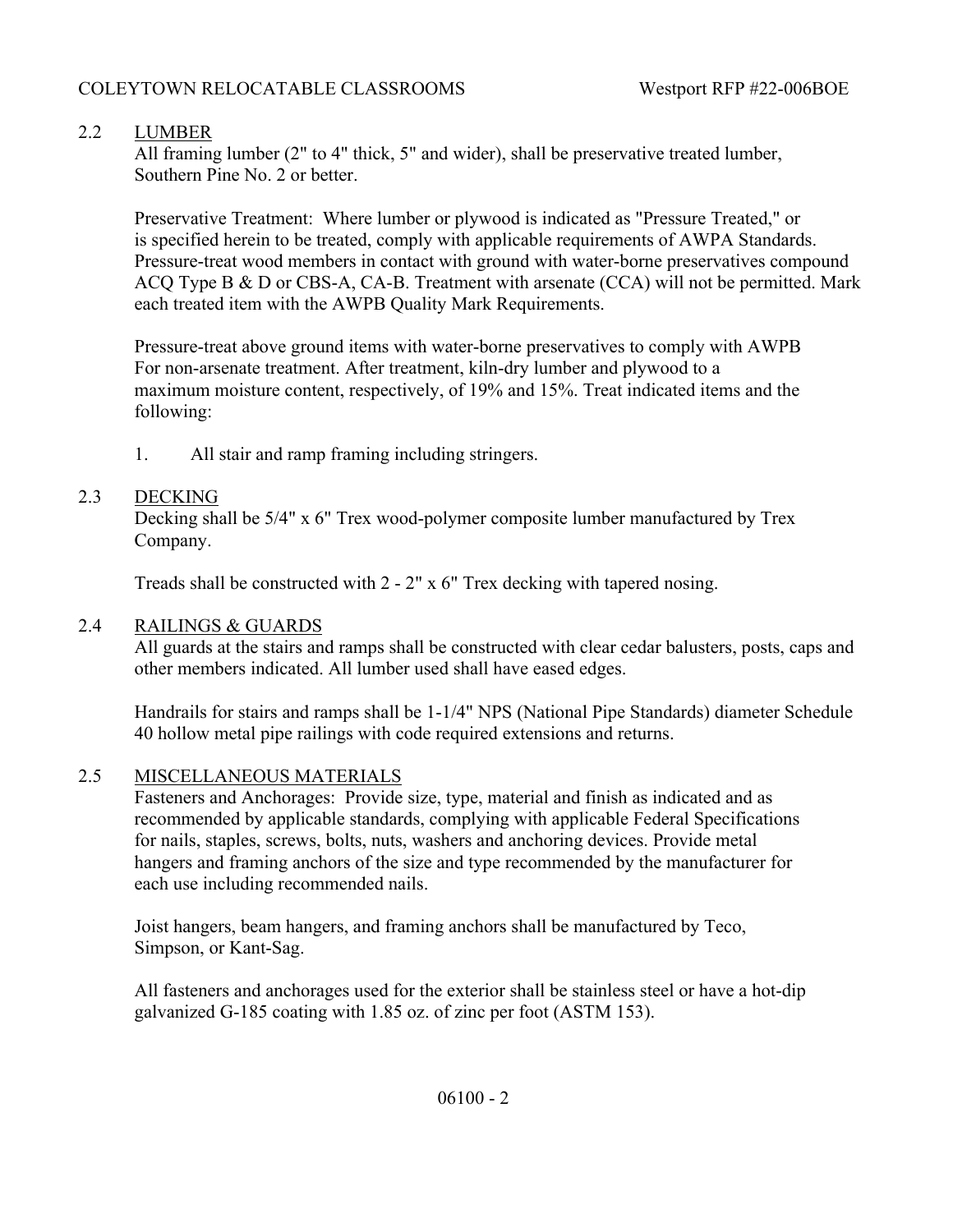# 2.2 LUMBER

All framing lumber (2" to 4" thick, 5" and wider), shall be preservative treated lumber, Southern Pine No. 2 or better.

Preservative Treatment: Where lumber or plywood is indicated as "Pressure Treated," or is specified herein to be treated, comply with applicable requirements of AWPA Standards. Pressure-treat wood members in contact with ground with water-borne preservatives compound ACQ Type B & D or CBS-A, CA-B. Treatment with arsenate (CCA) will not be permitted. Mark each treated item with the AWPB Quality Mark Requirements.

Pressure-treat above ground items with water-borne preservatives to comply with AWPB For non-arsenate treatment. After treatment, kiln-dry lumber and plywood to a maximum moisture content, respectively, of 19% and 15%. Treat indicated items and the following:

1. All stair and ramp framing including stringers.

# 2.3 DECKING

Decking shall be 5/4" x 6" Trex wood-polymer composite lumber manufactured by Trex Company.

Treads shall be constructed with 2 - 2" x 6" Trex decking with tapered nosing.

## 2.4 RAILINGS & GUARDS

All guards at the stairs and ramps shall be constructed with clear cedar balusters, posts, caps and other members indicated. All lumber used shall have eased edges.

Handrails for stairs and ramps shall be 1-1/4" NPS (National Pipe Standards) diameter Schedule 40 hollow metal pipe railings with code required extensions and returns.

# 2.5 MISCELLANEOUS MATERIALS

Fasteners and Anchorages: Provide size, type, material and finish as indicated and as recommended by applicable standards, complying with applicable Federal Specifications for nails, staples, screws, bolts, nuts, washers and anchoring devices. Provide metal hangers and framing anchors of the size and type recommended by the manufacturer for each use including recommended nails.

Joist hangers, beam hangers, and framing anchors shall be manufactured by Teco, Simpson, or Kant-Sag.

All fasteners and anchorages used for the exterior shall be stainless steel or have a hot-dip galvanized G-185 coating with 1.85 oz. of zinc per foot (ASTM 153).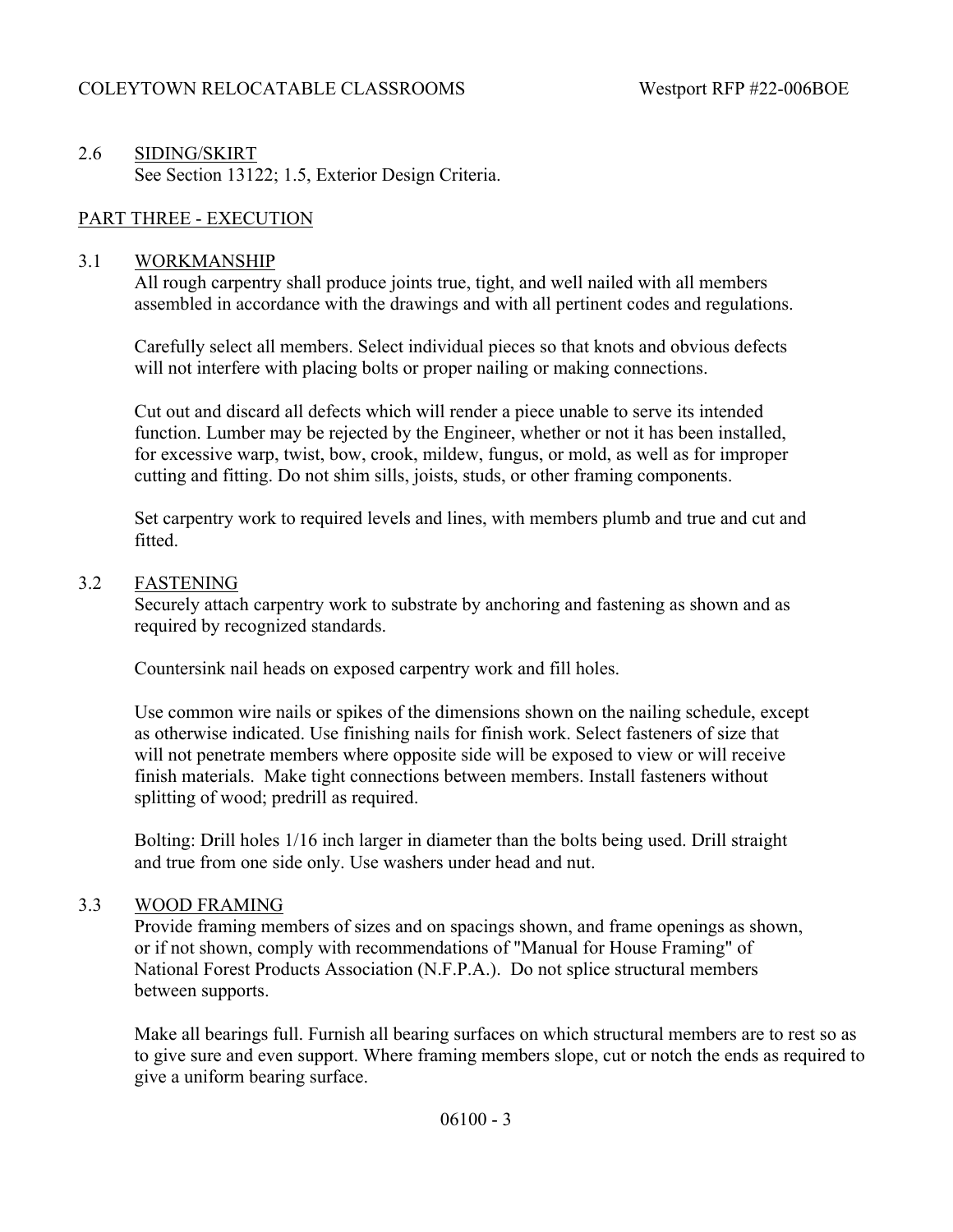# 2.6 SIDING/SKIRT See Section 13122; 1.5, Exterior Design Criteria.

## PART THREE - EXECUTION

#### 3.1 WORKMANSHIP

All rough carpentry shall produce joints true, tight, and well nailed with all members assembled in accordance with the drawings and with all pertinent codes and regulations.

Carefully select all members. Select individual pieces so that knots and obvious defects will not interfere with placing bolts or proper nailing or making connections.

Cut out and discard all defects which will render a piece unable to serve its intended function. Lumber may be rejected by the Engineer, whether or not it has been installed, for excessive warp, twist, bow, crook, mildew, fungus, or mold, as well as for improper cutting and fitting. Do not shim sills, joists, studs, or other framing components.

Set carpentry work to required levels and lines, with members plumb and true and cut and fitted.

#### 3.2 FASTENING

Securely attach carpentry work to substrate by anchoring and fastening as shown and as required by recognized standards.

Countersink nail heads on exposed carpentry work and fill holes.

Use common wire nails or spikes of the dimensions shown on the nailing schedule, except as otherwise indicated. Use finishing nails for finish work. Select fasteners of size that will not penetrate members where opposite side will be exposed to view or will receive finish materials. Make tight connections between members. Install fasteners without splitting of wood; predrill as required.

Bolting: Drill holes 1/16 inch larger in diameter than the bolts being used. Drill straight and true from one side only. Use washers under head and nut.

#### 3.3 WOOD FRAMING

Provide framing members of sizes and on spacings shown, and frame openings as shown, or if not shown, comply with recommendations of "Manual for House Framing" of National Forest Products Association (N.F.P.A.). Do not splice structural members between supports.

Make all bearings full. Furnish all bearing surfaces on which structural members are to rest so as to give sure and even support. Where framing members slope, cut or notch the ends as required to give a uniform bearing surface.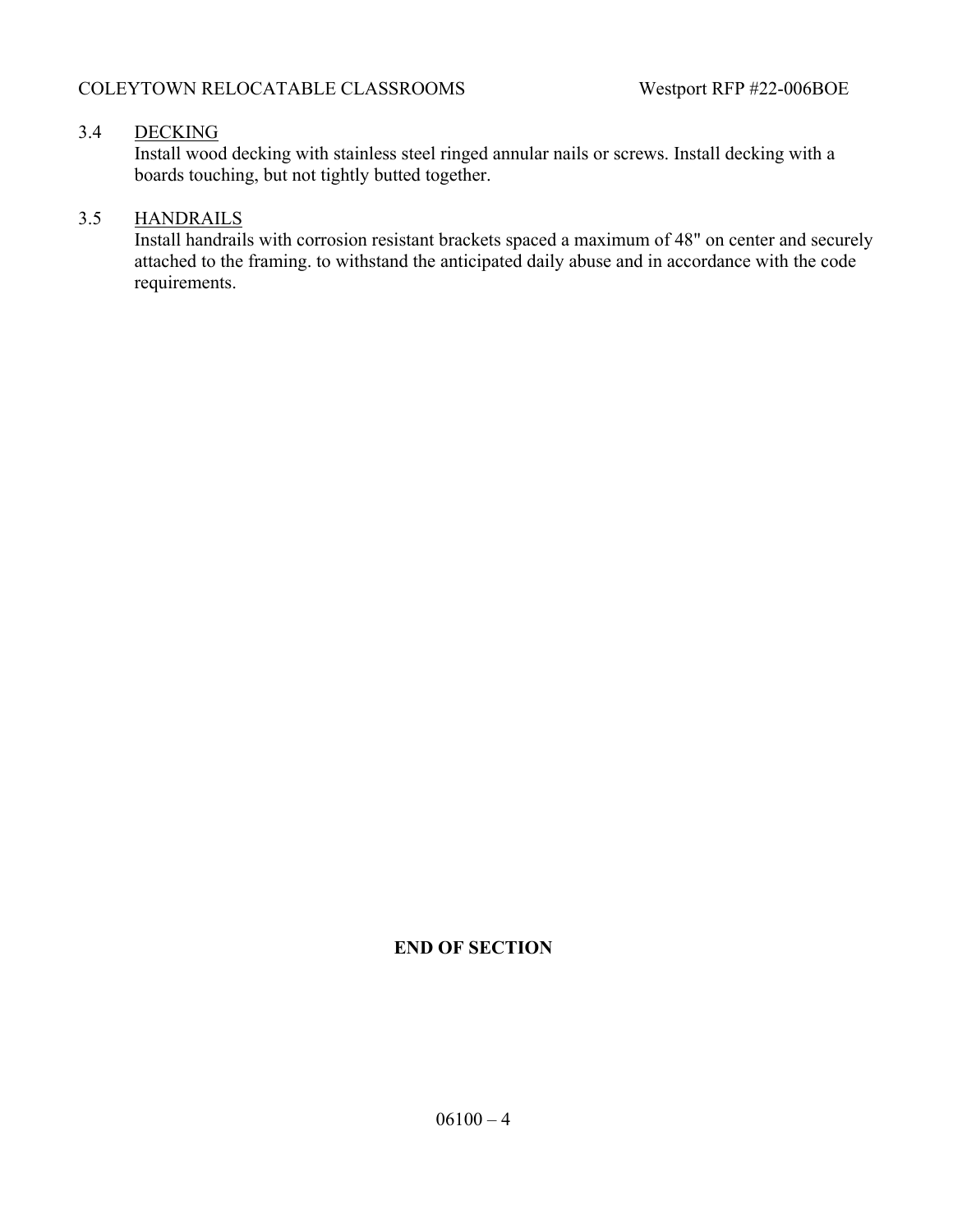## 3.4 DECKING

Install wood decking with stainless steel ringed annular nails or screws. Install decking with a boards touching, but not tightly butted together.

## 3.5 HANDRAILS

Install handrails with corrosion resistant brackets spaced a maximum of 48" on center and securely attached to the framing. to withstand the anticipated daily abuse and in accordance with the code requirements.

## **END OF SECTION**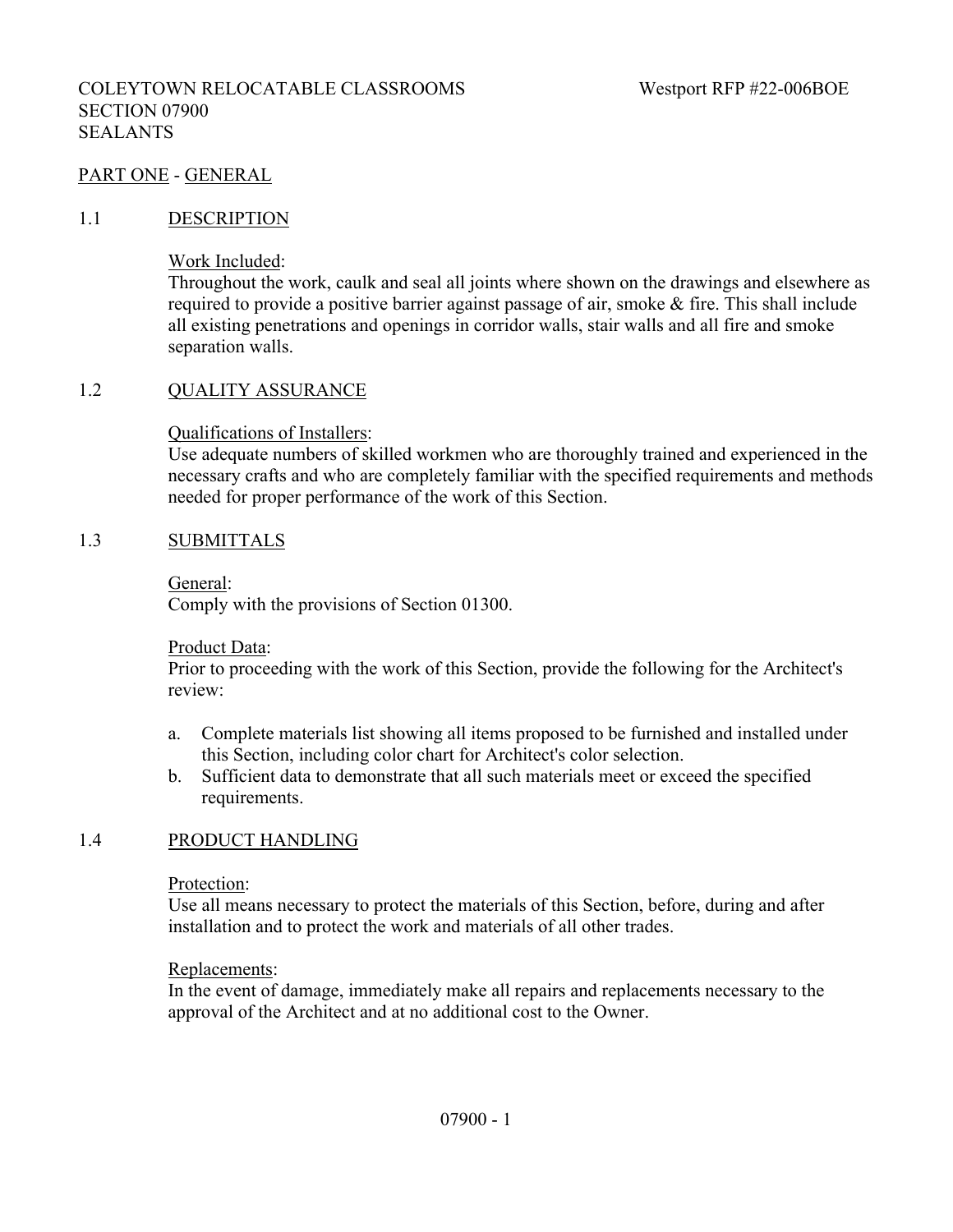#### PART ONE - GENERAL

#### 1.1 DESCRIPTION

Work Included:

Throughout the work, caulk and seal all joints where shown on the drawings and elsewhere as required to provide a positive barrier against passage of air, smoke & fire. This shall include all existing penetrations and openings in corridor walls, stair walls and all fire and smoke separation walls.

#### 1.2 QUALITY ASSURANCE

Qualifications of Installers:

Use adequate numbers of skilled workmen who are thoroughly trained and experienced in the necessary crafts and who are completely familiar with the specified requirements and methods needed for proper performance of the work of this Section.

#### 1.3 SUBMITTALS

General:

Comply with the provisions of Section 01300.

Product Data:

Prior to proceeding with the work of this Section, provide the following for the Architect's review:

- a. Complete materials list showing all items proposed to be furnished and installed under this Section, including color chart for Architect's color selection.
- b. Sufficient data to demonstrate that all such materials meet or exceed the specified requirements.

#### 1.4 PRODUCT HANDLING

Protection:

Use all means necessary to protect the materials of this Section, before, during and after installation and to protect the work and materials of all other trades.

#### Replacements:

In the event of damage, immediately make all repairs and replacements necessary to the approval of the Architect and at no additional cost to the Owner.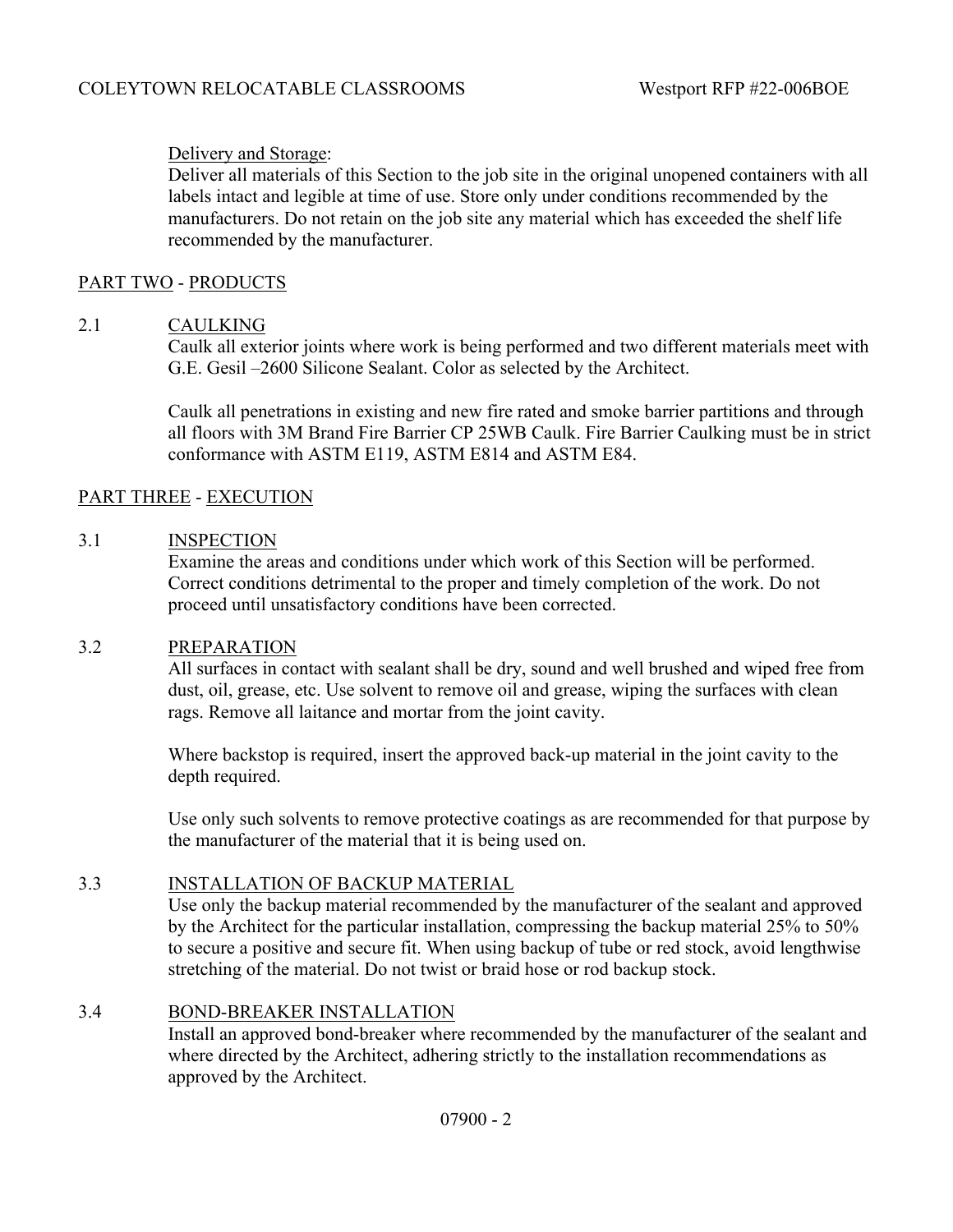## Delivery and Storage:

Deliver all materials of this Section to the job site in the original unopened containers with all labels intact and legible at time of use. Store only under conditions recommended by the manufacturers. Do not retain on the job site any material which has exceeded the shelf life recommended by the manufacturer.

## PART TWO - PRODUCTS

#### 2.1 CAULKING

Caulk all exterior joints where work is being performed and two different materials meet with G.E. Gesil –2600 Silicone Sealant. Color as selected by the Architect.

Caulk all penetrations in existing and new fire rated and smoke barrier partitions and through all floors with 3M Brand Fire Barrier CP 25WB Caulk. Fire Barrier Caulking must be in strict conformance with ASTM E119, ASTM E814 and ASTM E84.

## PART THREE - EXECUTION

#### 3.1 INSPECTION

Examine the areas and conditions under which work of this Section will be performed. Correct conditions detrimental to the proper and timely completion of the work. Do not proceed until unsatisfactory conditions have been corrected.

#### 3.2 PREPARATION

All surfaces in contact with sealant shall be dry, sound and well brushed and wiped free from dust, oil, grease, etc. Use solvent to remove oil and grease, wiping the surfaces with clean rags. Remove all laitance and mortar from the joint cavity.

Where backstop is required, insert the approved back-up material in the joint cavity to the depth required.

Use only such solvents to remove protective coatings as are recommended for that purpose by the manufacturer of the material that it is being used on.

#### 3.3 INSTALLATION OF BACKUP MATERIAL

Use only the backup material recommended by the manufacturer of the sealant and approved by the Architect for the particular installation, compressing the backup material 25% to 50% to secure a positive and secure fit. When using backup of tube or red stock, avoid lengthwise stretching of the material. Do not twist or braid hose or rod backup stock.

#### 3.4 BOND-BREAKER INSTALLATION

Install an approved bond-breaker where recommended by the manufacturer of the sealant and where directed by the Architect, adhering strictly to the installation recommendations as approved by the Architect.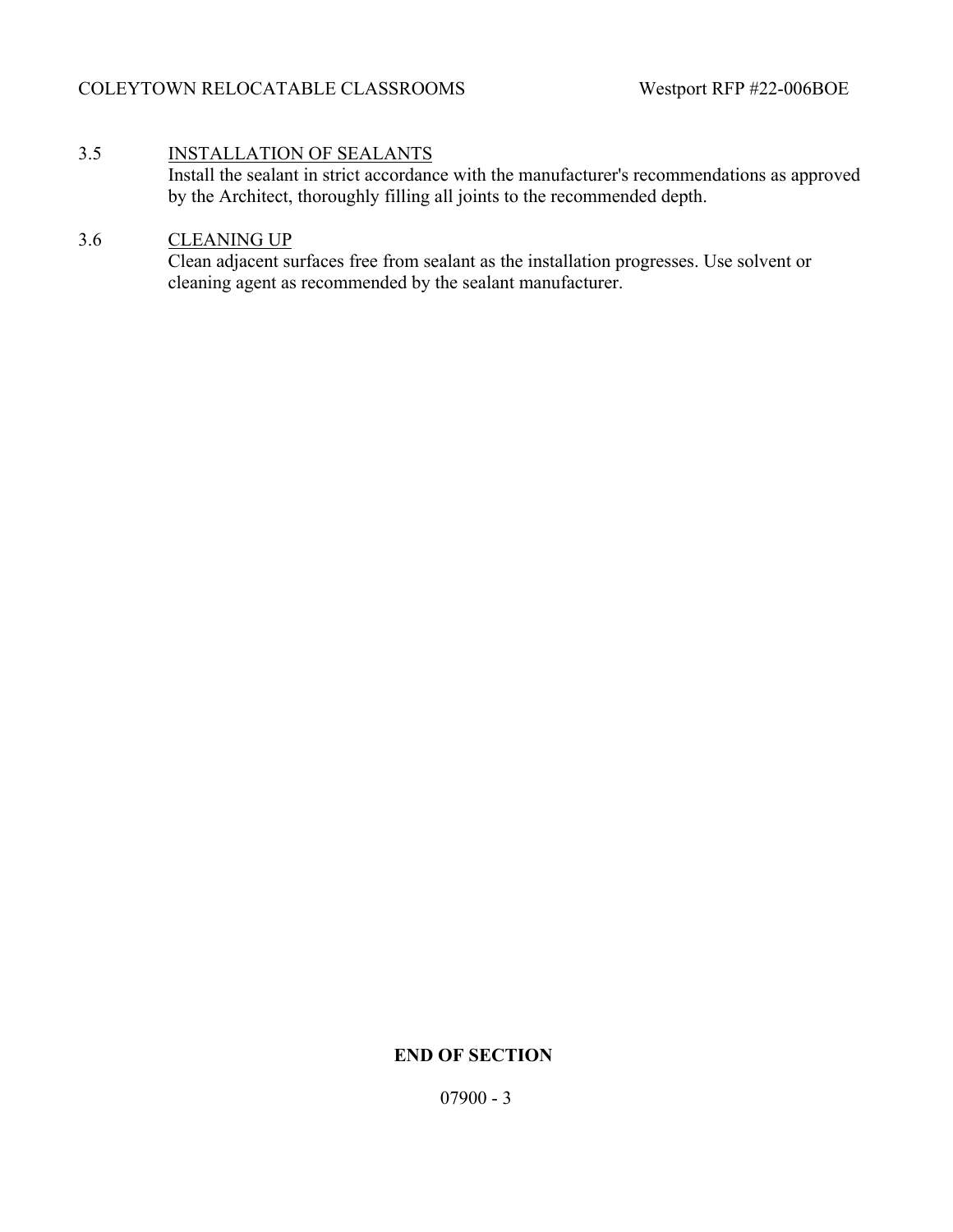## 3.5 INSTALLATION OF SEALANTS

Install the sealant in strict accordance with the manufacturer's recommendations as approved by the Architect, thoroughly filling all joints to the recommended depth.

## 3.6 CLEANING UP

Clean adjacent surfaces free from sealant as the installation progresses. Use solvent or cleaning agent as recommended by the sealant manufacturer.

# **END OF SECTION**

07900 - 3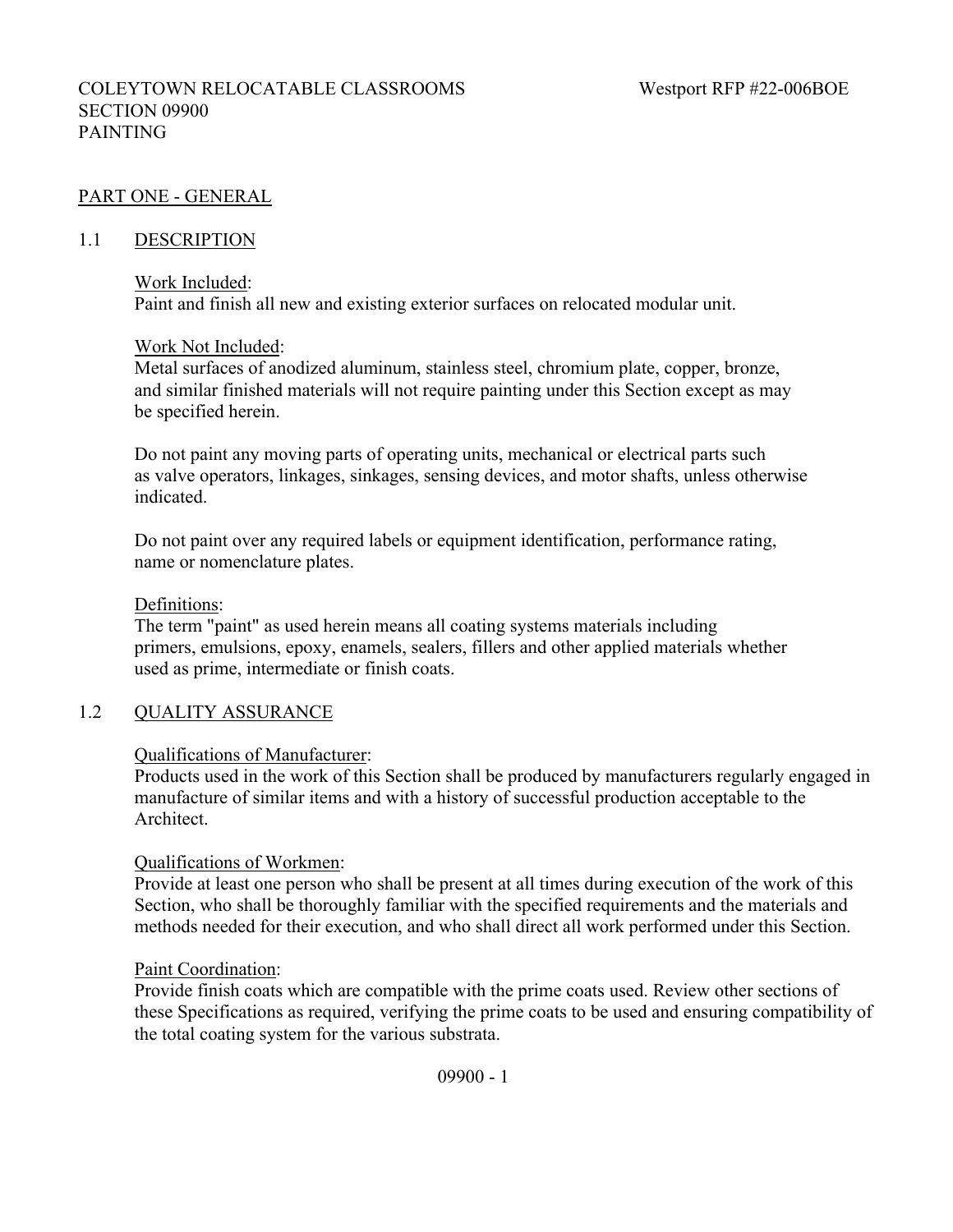## COLEYTOWN RELOCATABLE CLASSROOMS Westport RFP #22-006BOE SECTION 09900 PAINTING

## PART ONE - GENERAL

#### 1.1 DESCRIPTION

#### Work Included:

Paint and finish all new and existing exterior surfaces on relocated modular unit.

#### Work Not Included:

Metal surfaces of anodized aluminum, stainless steel, chromium plate, copper, bronze, and similar finished materials will not require painting under this Section except as may be specified herein.

Do not paint any moving parts of operating units, mechanical or electrical parts such as valve operators, linkages, sinkages, sensing devices, and motor shafts, unless otherwise indicated.

Do not paint over any required labels or equipment identification, performance rating, name or nomenclature plates.

#### Definitions:

The term "paint" as used herein means all coating systems materials including primers, emulsions, epoxy, enamels, sealers, fillers and other applied materials whether used as prime, intermediate or finish coats.

## 1.2 QUALITY ASSURANCE

#### Qualifications of Manufacturer:

Products used in the work of this Section shall be produced by manufacturers regularly engaged in manufacture of similar items and with a history of successful production acceptable to the Architect.

#### Qualifications of Workmen:

Provide at least one person who shall be present at all times during execution of the work of this Section, who shall be thoroughly familiar with the specified requirements and the materials and methods needed for their execution, and who shall direct all work performed under this Section.

#### Paint Coordination:

Provide finish coats which are compatible with the prime coats used. Review other sections of these Specifications as required, verifying the prime coats to be used and ensuring compatibility of the total coating system for the various substrata.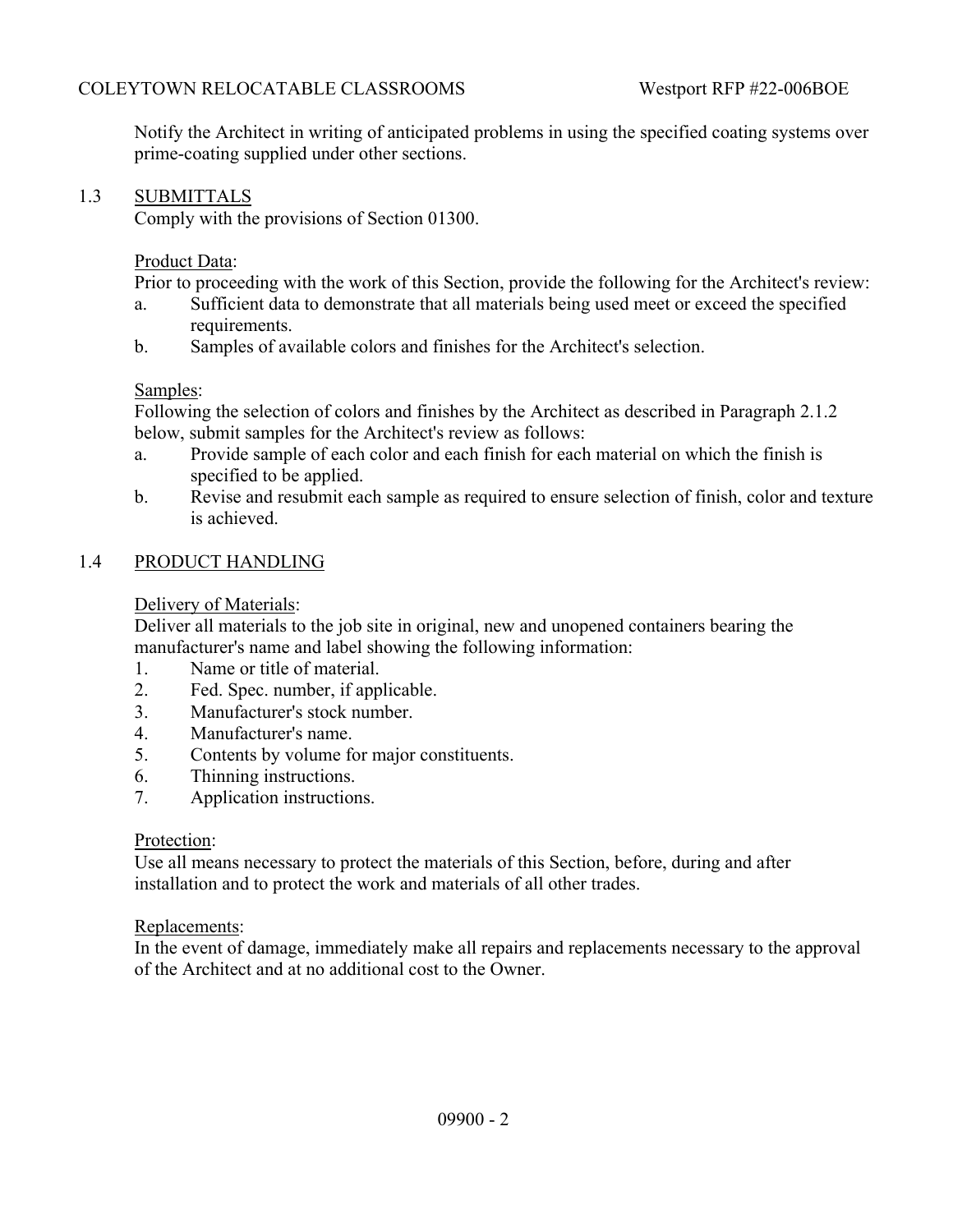Notify the Architect in writing of anticipated problems in using the specified coating systems over prime-coating supplied under other sections.

## 1.3 SUBMITTALS

Comply with the provisions of Section 01300.

#### Product Data:

Prior to proceeding with the work of this Section, provide the following for the Architect's review:

- a. Sufficient data to demonstrate that all materials being used meet or exceed the specified requirements.
- b. Samples of available colors and finishes for the Architect's selection.

#### Samples:

Following the selection of colors and finishes by the Architect as described in Paragraph 2.1.2 below, submit samples for the Architect's review as follows:

- a. Provide sample of each color and each finish for each material on which the finish is specified to be applied.
- b. Revise and resubmit each sample as required to ensure selection of finish, color and texture is achieved.

#### 1.4 PRODUCT HANDLING

## Delivery of Materials:

Deliver all materials to the job site in original, new and unopened containers bearing the manufacturer's name and label showing the following information:

- 1. Name or title of material.
- 2. Fed. Spec. number, if applicable.
- 3. Manufacturer's stock number.
- 4. Manufacturer's name.
- 5. Contents by volume for major constituents.
- 6. Thinning instructions.
- 7. Application instructions.

#### Protection:

Use all means necessary to protect the materials of this Section, before, during and after installation and to protect the work and materials of all other trades.

#### Replacements:

In the event of damage, immediately make all repairs and replacements necessary to the approval of the Architect and at no additional cost to the Owner.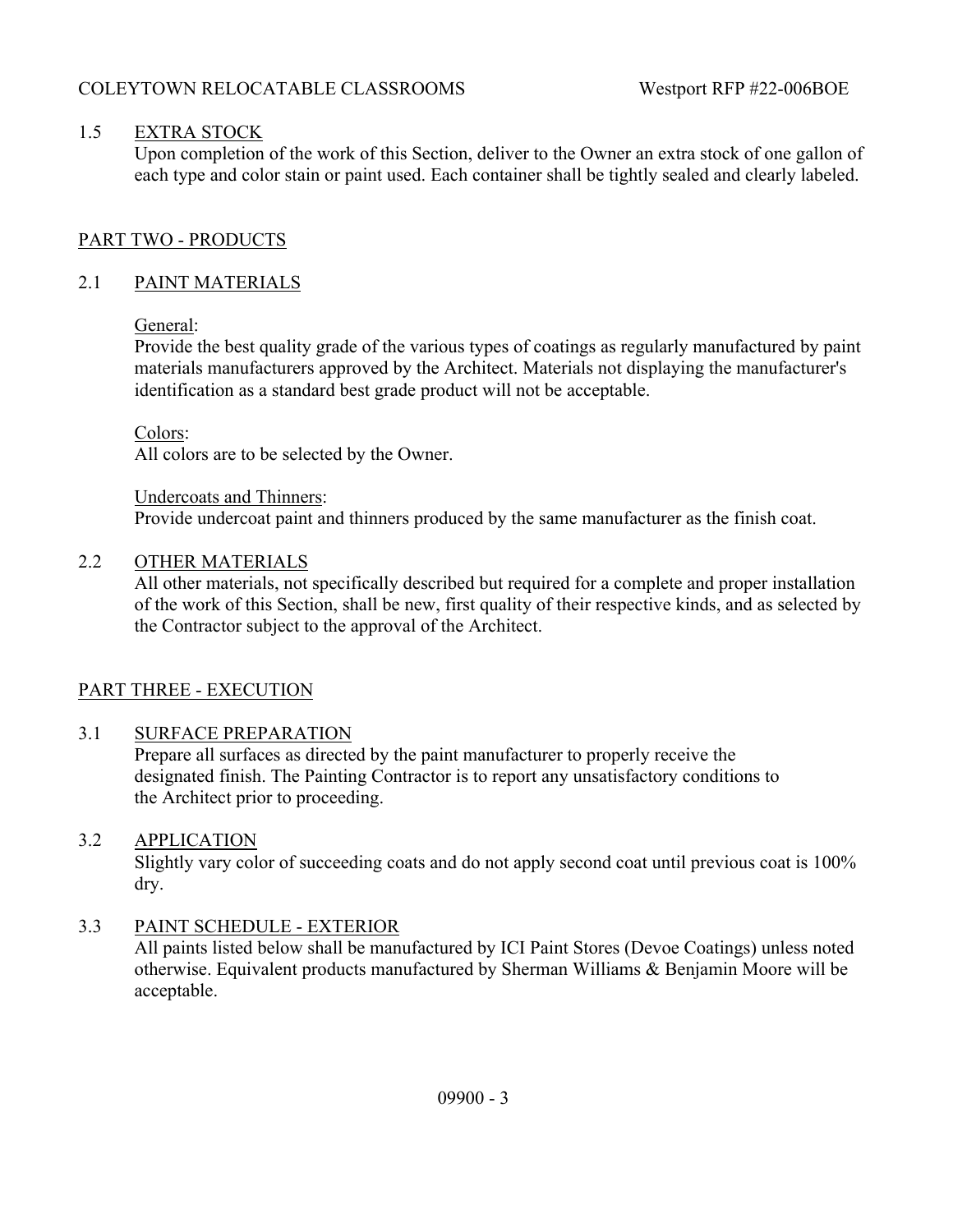## 1.5 EXTRA STOCK

Upon completion of the work of this Section, deliver to the Owner an extra stock of one gallon of each type and color stain or paint used. Each container shall be tightly sealed and clearly labeled.

## PART TWO - PRODUCTS

## 2.1 PAINT MATERIALS

## General:

Provide the best quality grade of the various types of coatings as regularly manufactured by paint materials manufacturers approved by the Architect. Materials not displaying the manufacturer's identification as a standard best grade product will not be acceptable.

## Colors:

All colors are to be selected by the Owner.

Undercoats and Thinners: Provide undercoat paint and thinners produced by the same manufacturer as the finish coat.

#### 2.2 OTHER MATERIALS

All other materials, not specifically described but required for a complete and proper installation of the work of this Section, shall be new, first quality of their respective kinds, and as selected by the Contractor subject to the approval of the Architect.

## PART THREE - EXECUTION

## 3.1 SURFACE PREPARATION

Prepare all surfaces as directed by the paint manufacturer to properly receive the designated finish. The Painting Contractor is to report any unsatisfactory conditions to the Architect prior to proceeding.

## 3.2 APPLICATION

Slightly vary color of succeeding coats and do not apply second coat until previous coat is 100% dry.

## 3.3 PAINT SCHEDULE - EXTERIOR

All paints listed below shall be manufactured by ICI Paint Stores (Devoe Coatings) unless noted otherwise. Equivalent products manufactured by Sherman Williams & Benjamin Moore will be acceptable.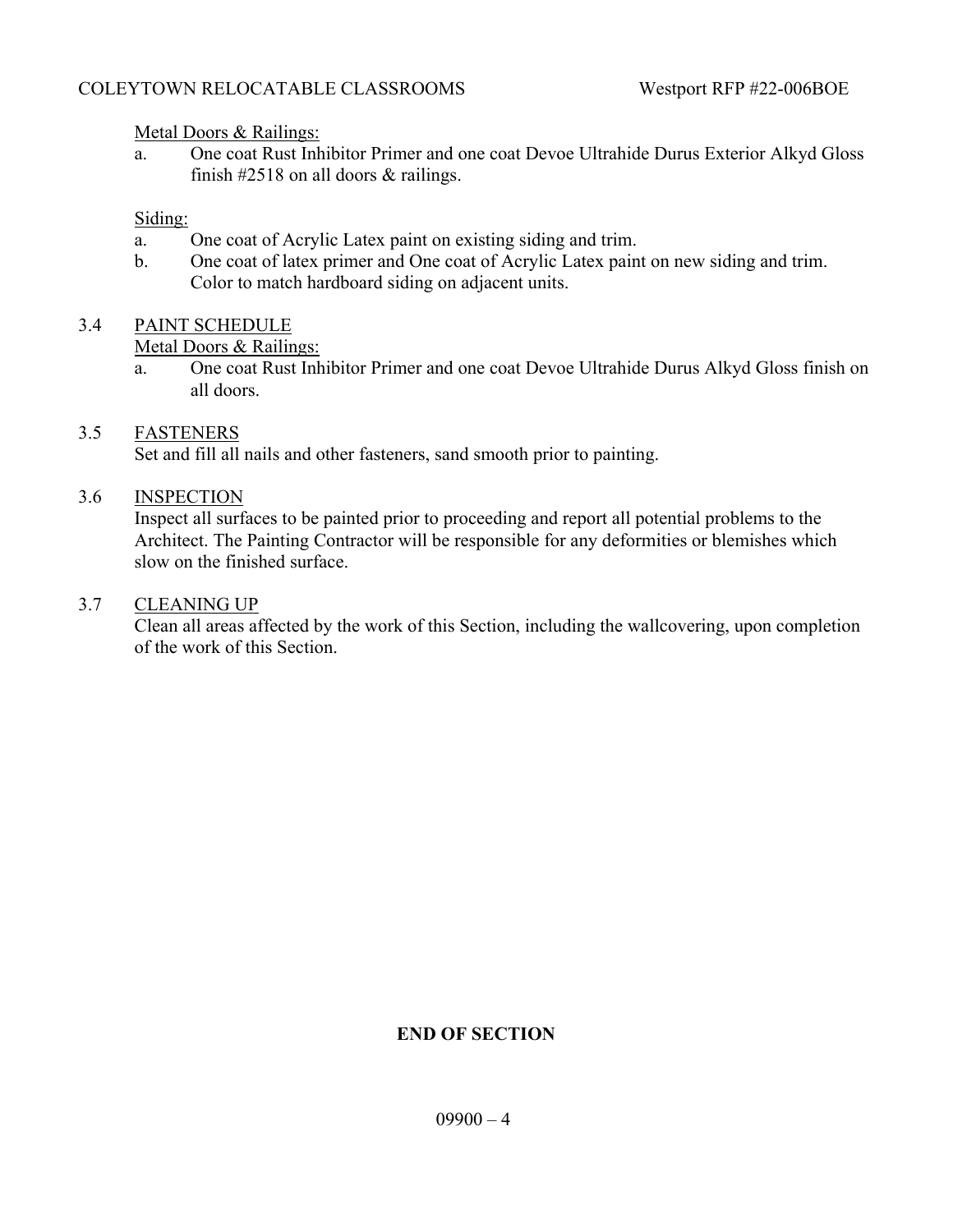## Metal Doors & Railings:

a. One coat Rust Inhibitor Primer and one coat Devoe Ultrahide Durus Exterior Alkyd Gloss finish #2518 on all doors & railings.

## Siding:

- a. One coat of Acrylic Latex paint on existing siding and trim.
- b. One coat of latex primer and One coat of Acrylic Latex paint on new siding and trim. Color to match hardboard siding on adjacent units.

# 3.4 PAINT SCHEDULE

#### Metal Doors & Railings:

a. One coat Rust Inhibitor Primer and one coat Devoe Ultrahide Durus Alkyd Gloss finish on all doors.

## 3.5 FASTENERS

Set and fill all nails and other fasteners, sand smooth prior to painting.

## 3.6 INSPECTION

Inspect all surfaces to be painted prior to proceeding and report all potential problems to the Architect. The Painting Contractor will be responsible for any deformities or blemishes which slow on the finished surface.

#### 3.7 CLEANING UP

Clean all areas affected by the work of this Section, including the wallcovering, upon completion of the work of this Section.

## **END OF SECTION**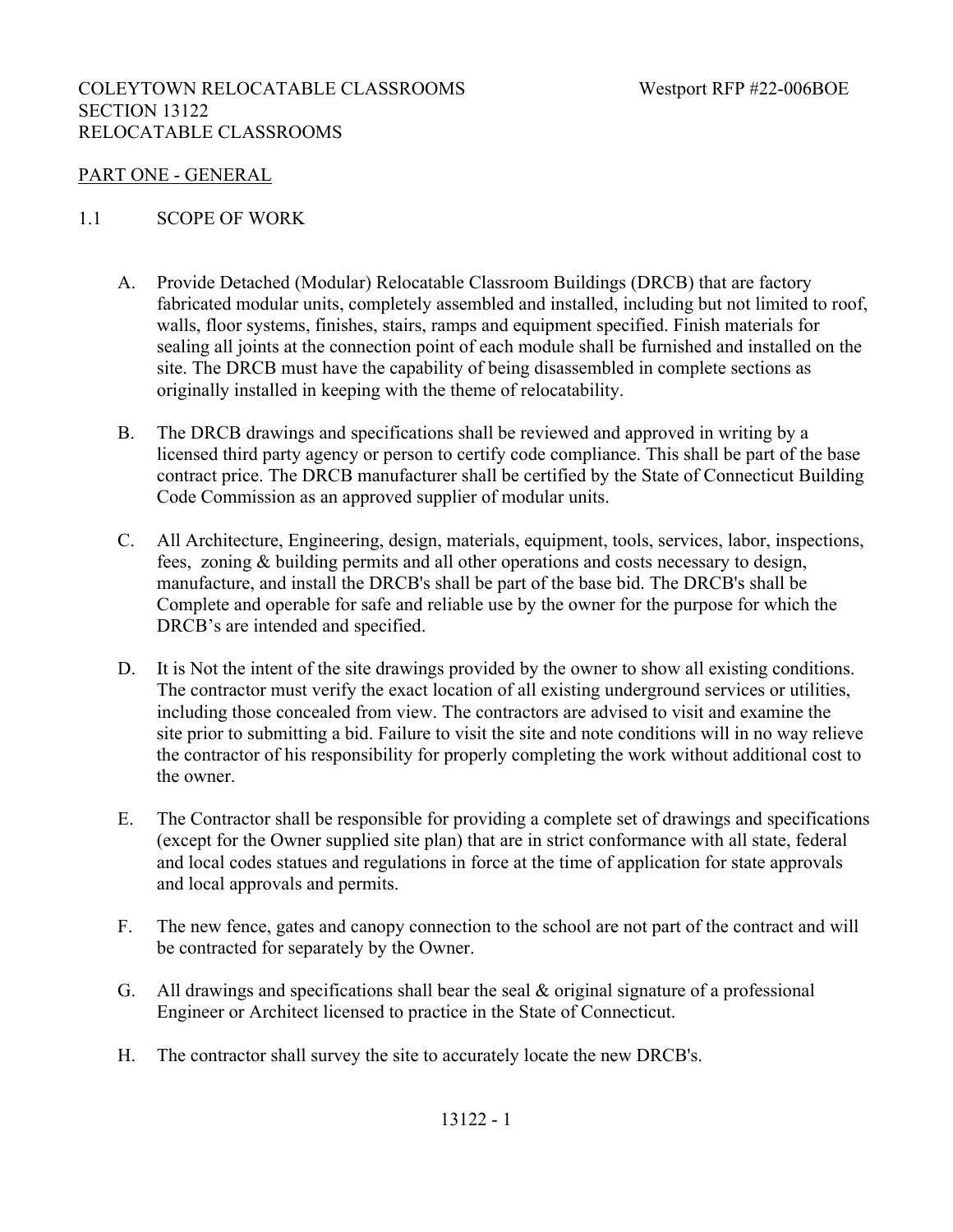## COLEYTOWN RELOCATABLE CLASSROOMS Westport RFP #22-006BOE SECTION 13122 RELOCATABLE CLASSROOMS

#### PART ONE - GENERAL

#### 1.1 SCOPE OF WORK

- A. Provide Detached (Modular) Relocatable Classroom Buildings (DRCB) that are factory fabricated modular units, completely assembled and installed, including but not limited to roof, walls, floor systems, finishes, stairs, ramps and equipment specified. Finish materials for sealing all joints at the connection point of each module shall be furnished and installed on the site. The DRCB must have the capability of being disassembled in complete sections as originally installed in keeping with the theme of relocatability.
- B. The DRCB drawings and specifications shall be reviewed and approved in writing by a licensed third party agency or person to certify code compliance. This shall be part of the base contract price. The DRCB manufacturer shall be certified by the State of Connecticut Building Code Commission as an approved supplier of modular units.
- C. All Architecture, Engineering, design, materials, equipment, tools, services, labor, inspections, fees, zoning & building permits and all other operations and costs necessary to design, manufacture, and install the DRCB's shall be part of the base bid. The DRCB's shall be Complete and operable for safe and reliable use by the owner for the purpose for which the DRCB's are intended and specified.
- D. It is Not the intent of the site drawings provided by the owner to show all existing conditions. The contractor must verify the exact location of all existing underground services or utilities, including those concealed from view. The contractors are advised to visit and examine the site prior to submitting a bid. Failure to visit the site and note conditions will in no way relieve the contractor of his responsibility for properly completing the work without additional cost to the owner.
- E. The Contractor shall be responsible for providing a complete set of drawings and specifications (except for the Owner supplied site plan) that are in strict conformance with all state, federal and local codes statues and regulations in force at the time of application for state approvals and local approvals and permits.
- F. The new fence, gates and canopy connection to the school are not part of the contract and will be contracted for separately by the Owner.
- G. All drawings and specifications shall bear the seal & original signature of a professional Engineer or Architect licensed to practice in the State of Connecticut.
- H. The contractor shall survey the site to accurately locate the new DRCB's.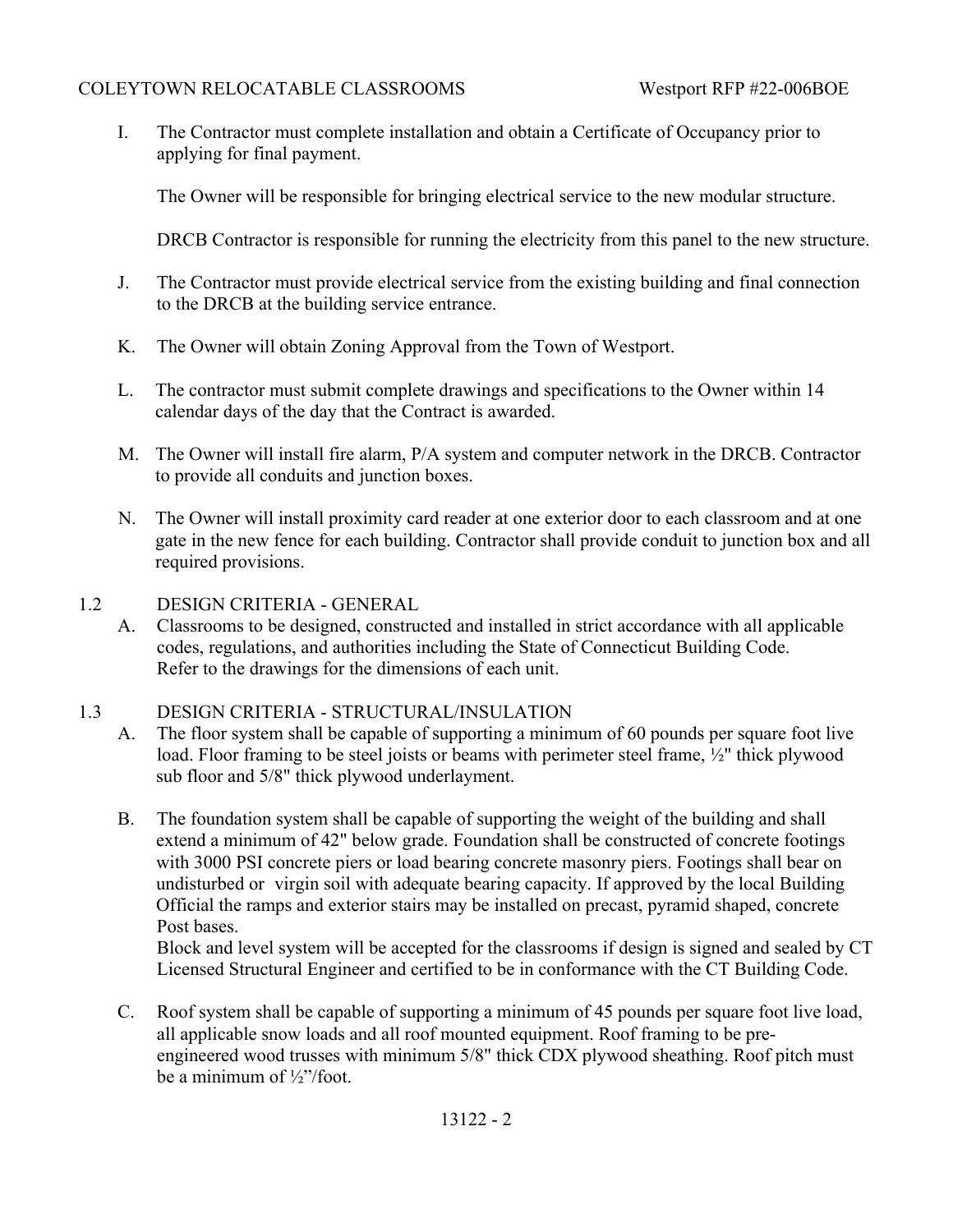I. The Contractor must complete installation and obtain a Certificate of Occupancy prior to applying for final payment.

The Owner will be responsible for bringing electrical service to the new modular structure.

DRCB Contractor is responsible for running the electricity from this panel to the new structure.

- J. The Contractor must provide electrical service from the existing building and final connection to the DRCB at the building service entrance.
- K. The Owner will obtain Zoning Approval from the Town of Westport.
- L. The contractor must submit complete drawings and specifications to the Owner within 14 calendar days of the day that the Contract is awarded.
- M. The Owner will install fire alarm, P/A system and computer network in the DRCB. Contractor to provide all conduits and junction boxes.
- N. The Owner will install proximity card reader at one exterior door to each classroom and at one gate in the new fence for each building. Contractor shall provide conduit to junction box and all required provisions.
- 1.2 DESIGN CRITERIA GENERAL
	- A. Classrooms to be designed, constructed and installed in strict accordance with all applicable codes, regulations, and authorities including the State of Connecticut Building Code. Refer to the drawings for the dimensions of each unit.

# 1.3 DESIGN CRITERIA - STRUCTURAL/INSULATION

- A. The floor system shall be capable of supporting a minimum of 60 pounds per square foot live load. Floor framing to be steel joists or beams with perimeter steel frame, ½" thick plywood sub floor and 5/8" thick plywood underlayment.
- B. The foundation system shall be capable of supporting the weight of the building and shall extend a minimum of 42" below grade. Foundation shall be constructed of concrete footings with 3000 PSI concrete piers or load bearing concrete masonry piers. Footings shall bear on undisturbed or virgin soil with adequate bearing capacity. If approved by the local Building Official the ramps and exterior stairs may be installed on precast, pyramid shaped, concrete Post bases.

Block and level system will be accepted for the classrooms if design is signed and sealed by CT Licensed Structural Engineer and certified to be in conformance with the CT Building Code.

C. Roof system shall be capable of supporting a minimum of 45 pounds per square foot live load, all applicable snow loads and all roof mounted equipment. Roof framing to be pre engineered wood trusses with minimum 5/8" thick CDX plywood sheathing. Roof pitch must be a minimum of ½"/foot.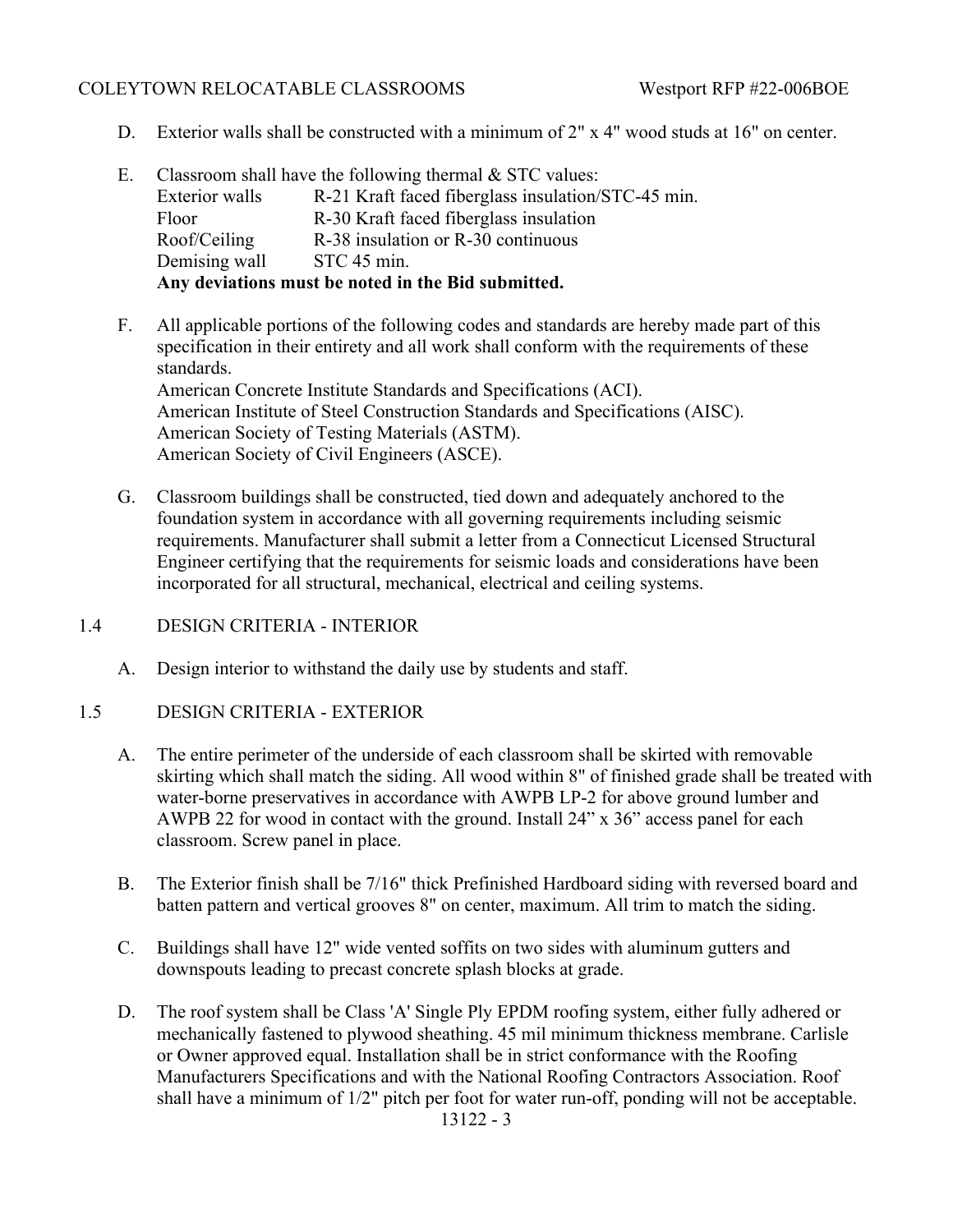- D. Exterior walls shall be constructed with a minimum of 2" x 4" wood studs at 16" on center.
- E. Classroom shall have the following thermal  $&$  STC values: Exterior walls R-21 Kraft faced fiberglass insulation/STC-45 min. Floor R-30 Kraft faced fiberglass insulation Roof/Ceiling R-38 insulation or R-30 continuous Demising wall STC 45 min. **Any deviations must be noted in the Bid submitted.**
- F. All applicable portions of the following codes and standards are hereby made part of this specification in their entirety and all work shall conform with the requirements of these standards. American Concrete Institute Standards and Specifications (ACI). American Institute of Steel Construction Standards and Specifications (AISC). American Society of Testing Materials (ASTM). American Society of Civil Engineers (ASCE).
- G. Classroom buildings shall be constructed, tied down and adequately anchored to the foundation system in accordance with all governing requirements including seismic requirements. Manufacturer shall submit a letter from a Connecticut Licensed Structural Engineer certifying that the requirements for seismic loads and considerations have been incorporated for all structural, mechanical, electrical and ceiling systems.
- 1.4 DESIGN CRITERIA INTERIOR
	- A. Design interior to withstand the daily use by students and staff.
- 1.5 DESIGN CRITERIA EXTERIOR
	- A. The entire perimeter of the underside of each classroom shall be skirted with removable skirting which shall match the siding. All wood within 8" of finished grade shall be treated with water-borne preservatives in accordance with AWPB LP-2 for above ground lumber and AWPB 22 for wood in contact with the ground. Install 24" x 36" access panel for each classroom. Screw panel in place.
	- B. The Exterior finish shall be 7/16" thick Prefinished Hardboard siding with reversed board and batten pattern and vertical grooves 8" on center, maximum. All trim to match the siding.
	- C. Buildings shall have 12" wide vented soffits on two sides with aluminum gutters and downspouts leading to precast concrete splash blocks at grade.
	- D. The roof system shall be Class 'A' Single Ply EPDM roofing system, either fully adhered or mechanically fastened to plywood sheathing. 45 mil minimum thickness membrane. Carlisle or Owner approved equal. Installation shall be in strict conformance with the Roofing Manufacturers Specifications and with the National Roofing Contractors Association. Roof shall have a minimum of 1/2" pitch per foot for water run-off, ponding will not be acceptable. 13122 - 3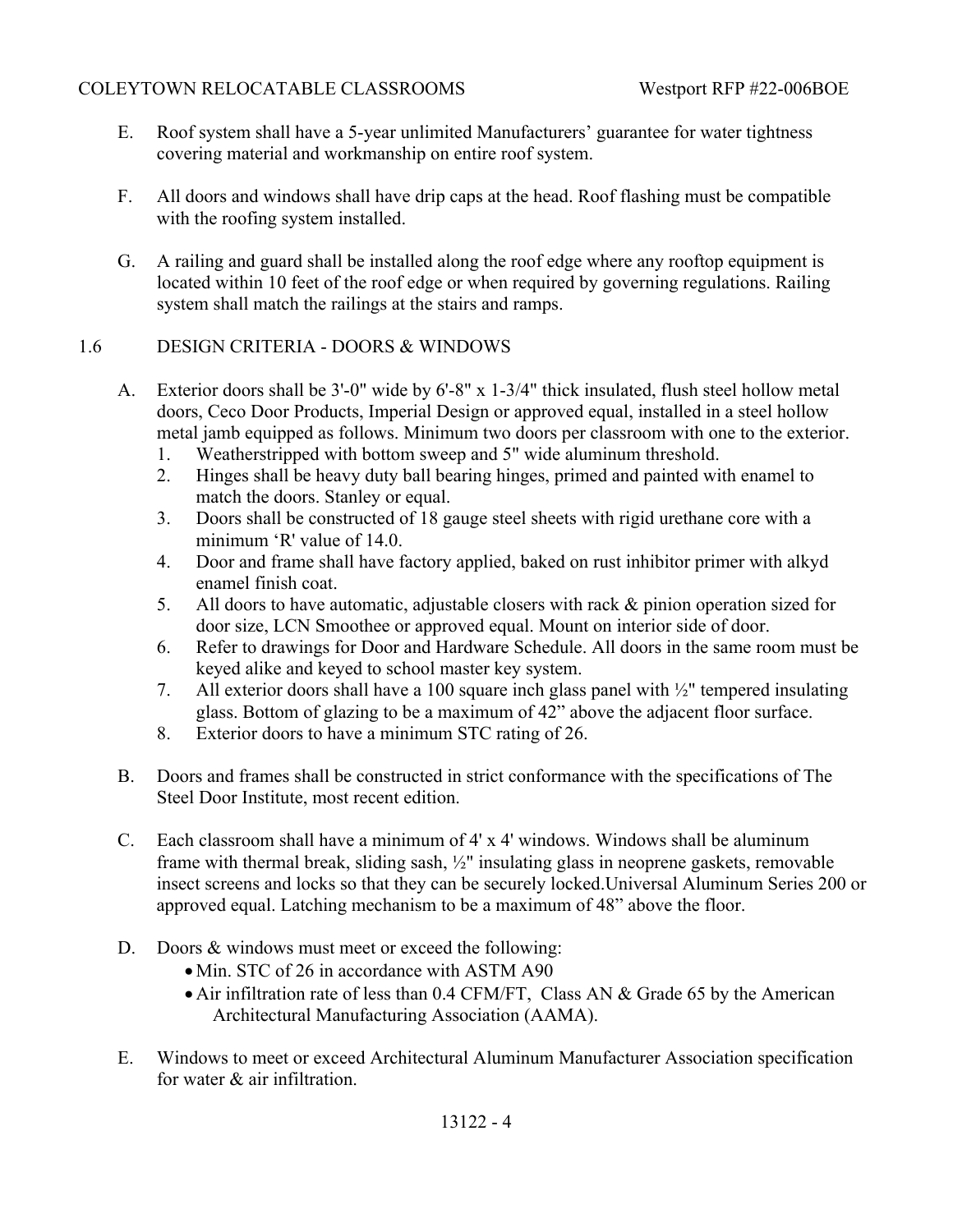- E. Roof system shall have a 5-year unlimited Manufacturers' guarantee for water tightness covering material and workmanship on entire roof system.
- F. All doors and windows shall have drip caps at the head. Roof flashing must be compatible with the roofing system installed.
- G. A railing and guard shall be installed along the roof edge where any rooftop equipment is located within 10 feet of the roof edge or when required by governing regulations. Railing system shall match the railings at the stairs and ramps.

# 1.6 DESIGN CRITERIA - DOORS & WINDOWS

- A. Exterior doors shall be 3'-0" wide by 6'-8" x 1-3/4" thick insulated, flush steel hollow metal doors, Ceco Door Products, Imperial Design or approved equal, installed in a steel hollow metal jamb equipped as follows. Minimum two doors per classroom with one to the exterior.
	- 1. Weatherstripped with bottom sweep and 5" wide aluminum threshold.
	- 2. Hinges shall be heavy duty ball bearing hinges, primed and painted with enamel to match the doors. Stanley or equal.
	- 3. Doors shall be constructed of 18 gauge steel sheets with rigid urethane core with a minimum 'R' value of 14.0.
	- 4. Door and frame shall have factory applied, baked on rust inhibitor primer with alkyd enamel finish coat.
	- 5. All doors to have automatic, adjustable closers with rack & pinion operation sized for door size, LCN Smoothee or approved equal. Mount on interior side of door.
	- 6. Refer to drawings for Door and Hardware Schedule. All doors in the same room must be keyed alike and keyed to school master key system.
	- 7. All exterior doors shall have a 100 square inch glass panel with ½" tempered insulating glass. Bottom of glazing to be a maximum of 42" above the adjacent floor surface.
	- 8. Exterior doors to have a minimum STC rating of 26.
- B. Doors and frames shall be constructed in strict conformance with the specifications of The Steel Door Institute, most recent edition.
- C. Each classroom shall have a minimum of 4' x 4' windows. Windows shall be aluminum frame with thermal break, sliding sash, ½" insulating glass in neoprene gaskets, removable insect screens and locks so that they can be securely locked.Universal Aluminum Series 200 or approved equal. Latching mechanism to be a maximum of 48" above the floor.
- D. Doors & windows must meet or exceed the following:
	- Min. STC of 26 in accordance with ASTM A90
	- Air infiltration rate of less than 0.4 CFM/FT, Class AN & Grade 65 by the American Architectural Manufacturing Association (AAMA).
- E. Windows to meet or exceed Architectural Aluminum Manufacturer Association specification for water & air infiltration.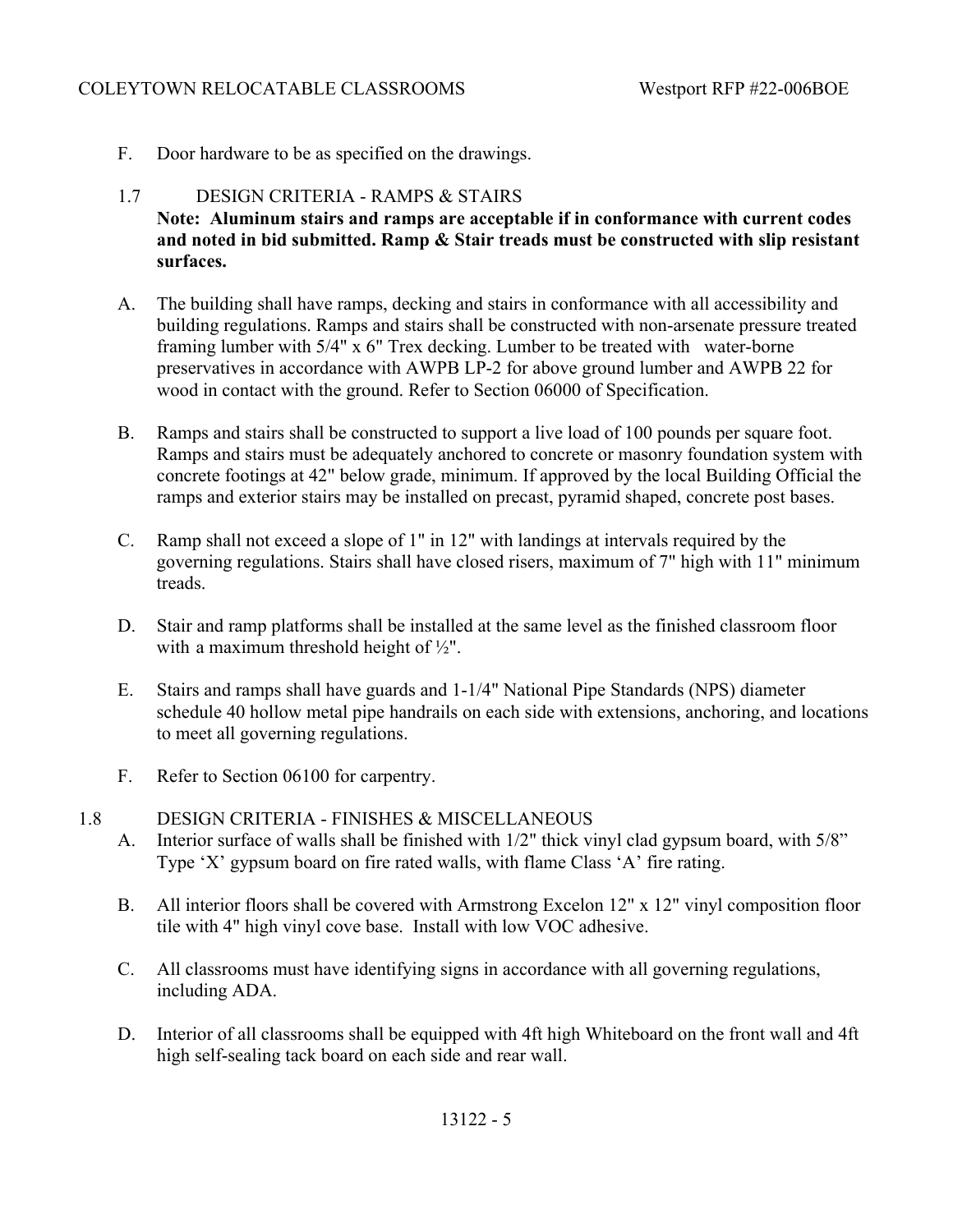F. Door hardware to be as specified on the drawings.

## 1.7 DESIGN CRITERIA - RAMPS & STAIRS **Note: Aluminum stairs and ramps are acceptable if in conformance with current codes and noted in bid submitted. Ramp & Stair treads must be constructed with slip resistant surfaces.**

- A. The building shall have ramps, decking and stairs in conformance with all accessibility and building regulations. Ramps and stairs shall be constructed with non-arsenate pressure treated framing lumber with 5/4" x 6" Trex decking. Lumber to be treated with water-borne preservatives in accordance with AWPB LP-2 for above ground lumber and AWPB 22 for wood in contact with the ground. Refer to Section 06000 of Specification.
- B. Ramps and stairs shall be constructed to support a live load of 100 pounds per square foot. Ramps and stairs must be adequately anchored to concrete or masonry foundation system with concrete footings at 42" below grade, minimum. If approved by the local Building Official the ramps and exterior stairs may be installed on precast, pyramid shaped, concrete post bases.
- C. Ramp shall not exceed a slope of 1" in 12" with landings at intervals required by the governing regulations. Stairs shall have closed risers, maximum of 7" high with 11" minimum treads.
- D. Stair and ramp platforms shall be installed at the same level as the finished classroom floor with a maximum threshold height of ½".
- E. Stairs and ramps shall have guards and 1-1/4" National Pipe Standards (NPS) diameter schedule 40 hollow metal pipe handrails on each side with extensions, anchoring, and locations to meet all governing regulations.
- F. Refer to Section 06100 for carpentry.
- 1.8 DESIGN CRITERIA FINISHES & MISCELLANEOUS A. Interior surface of walls shall be finished with 1/2" thick vinyl clad gypsum board, with 5/8" Type 'X' gypsum board on fire rated walls, with flame Class 'A' fire rating.
	- B. All interior floors shall be covered with Armstrong Excelon 12" x 12" vinyl composition floor tile with 4" high vinyl cove base. Install with low VOC adhesive.
	- C. All classrooms must have identifying signs in accordance with all governing regulations, including ADA.
	- D. Interior of all classrooms shall be equipped with 4ft high Whiteboard on the front wall and 4ft high self-sealing tack board on each side and rear wall.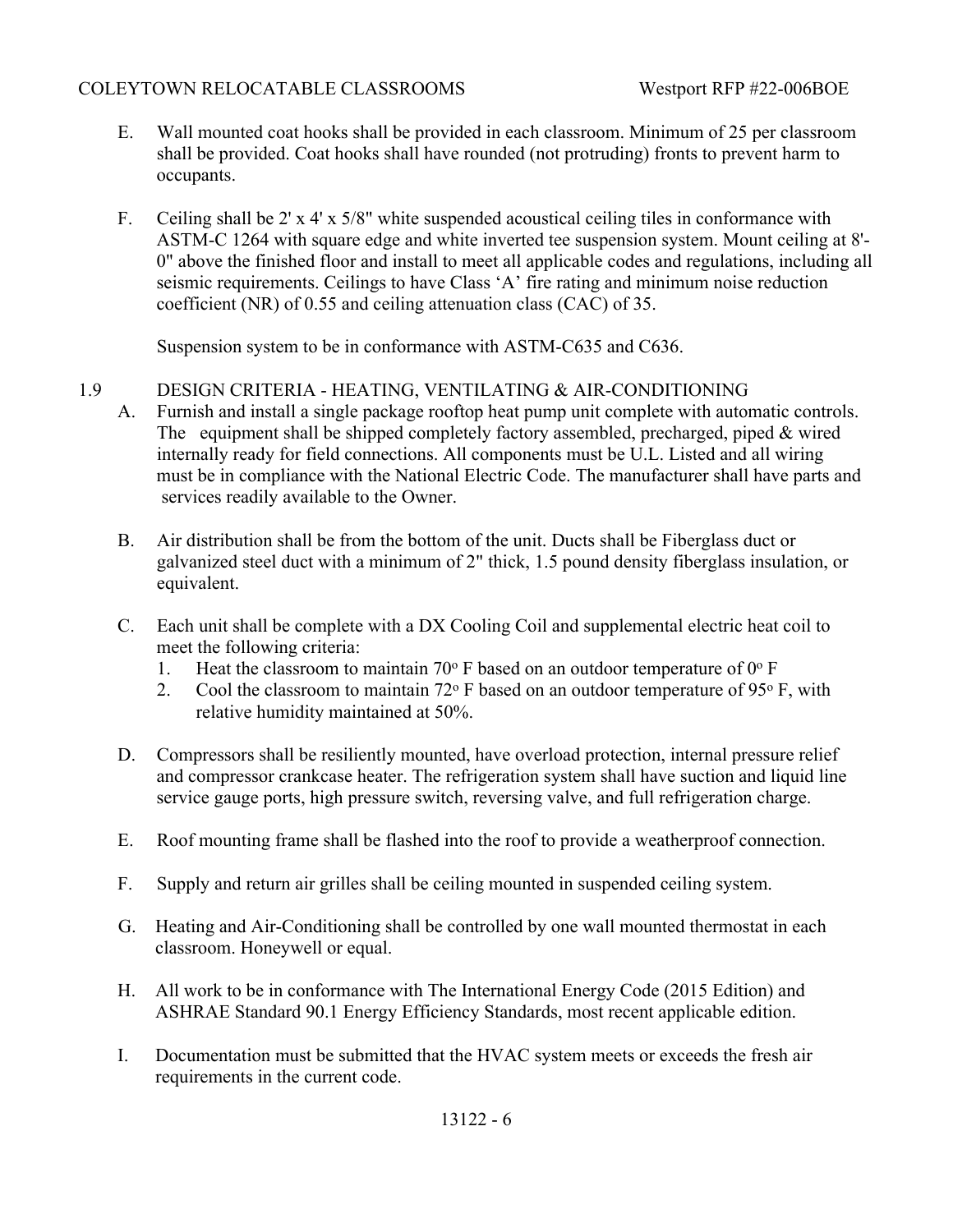- E. Wall mounted coat hooks shall be provided in each classroom. Minimum of 25 per classroom shall be provided. Coat hooks shall have rounded (not protruding) fronts to prevent harm to occupants.
- F. Ceiling shall be 2' x 4' x 5/8" white suspended acoustical ceiling tiles in conformance with ASTM-C 1264 with square edge and white inverted tee suspension system. Mount ceiling at 8'- 0" above the finished floor and install to meet all applicable codes and regulations, including all seismic requirements. Ceilings to have Class 'A' fire rating and minimum noise reduction coefficient (NR) of 0.55 and ceiling attenuation class (CAC) of 35.

Suspension system to be in conformance with ASTM-C635 and C636.

## 1.9 DESIGN CRITERIA - HEATING, VENTILATING & AIR-CONDITIONING

- A. Furnish and install a single package rooftop heat pump unit complete with automatic controls. The equipment shall be shipped completely factory assembled, precharged, piped & wired internally ready for field connections. All components must be U.L. Listed and all wiring must be in compliance with the National Electric Code. The manufacturer shall have parts and services readily available to the Owner.
- B. Air distribution shall be from the bottom of the unit. Ducts shall be Fiberglass duct or galvanized steel duct with a minimum of 2" thick, 1.5 pound density fiberglass insulation, or equivalent.
- C. Each unit shall be complete with a DX Cooling Coil and supplemental electric heat coil to meet the following criteria:
	- 1. Heat the classroom to maintain 70 $\degree$  F based on an outdoor temperature of 0 $\degree$  F
	- 2. Cool the classroom to maintain  $72^{\circ}$  F based on an outdoor temperature of 95 $^{\circ}$  F, with relative humidity maintained at 50%.
- D. Compressors shall be resiliently mounted, have overload protection, internal pressure relief and compressor crankcase heater. The refrigeration system shall have suction and liquid line service gauge ports, high pressure switch, reversing valve, and full refrigeration charge.
- E. Roof mounting frame shall be flashed into the roof to provide a weatherproof connection.
- F. Supply and return air grilles shall be ceiling mounted in suspended ceiling system.
- G. Heating and Air-Conditioning shall be controlled by one wall mounted thermostat in each classroom. Honeywell or equal.
- H. All work to be in conformance with The International Energy Code (2015 Edition) and ASHRAE Standard 90.1 Energy Efficiency Standards, most recent applicable edition.
- I. Documentation must be submitted that the HVAC system meets or exceeds the fresh air requirements in the current code.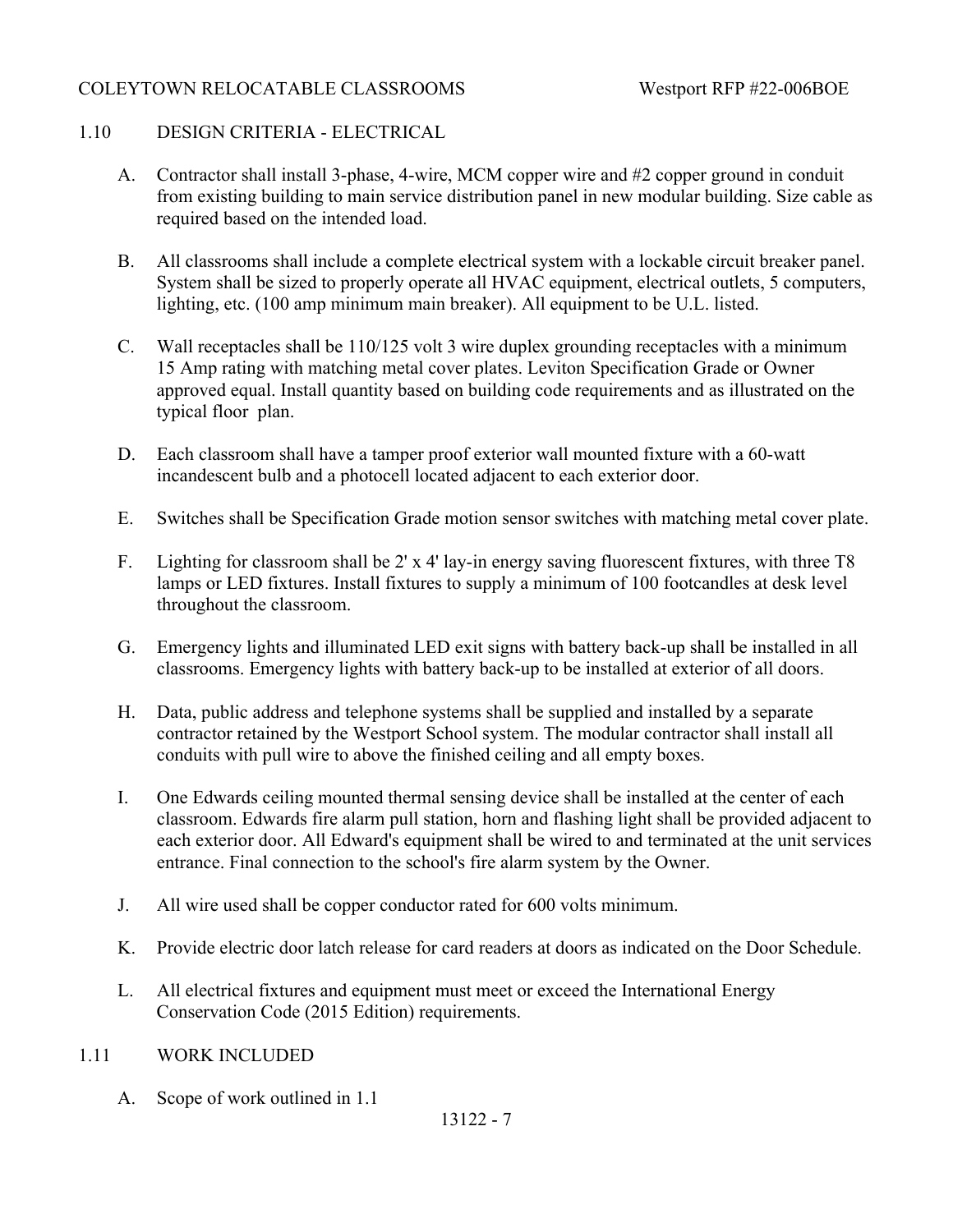## 1.10 DESIGN CRITERIA - ELECTRICAL

- A. Contractor shall install 3-phase, 4-wire, MCM copper wire and #2 copper ground in conduit from existing building to main service distribution panel in new modular building. Size cable as required based on the intended load.
- B. All classrooms shall include a complete electrical system with a lockable circuit breaker panel. System shall be sized to properly operate all HVAC equipment, electrical outlets, 5 computers, lighting, etc. (100 amp minimum main breaker). All equipment to be U.L. listed.
- C. Wall receptacles shall be 110/125 volt 3 wire duplex grounding receptacles with a minimum 15 Amp rating with matching metal cover plates. Leviton Specification Grade or Owner approved equal. Install quantity based on building code requirements and as illustrated on the typical floor plan.
- D. Each classroom shall have a tamper proof exterior wall mounted fixture with a 60-watt incandescent bulb and a photocell located adjacent to each exterior door.
- E. Switches shall be Specification Grade motion sensor switches with matching metal cover plate.
- F. Lighting for classroom shall be 2' x 4' lay-in energy saving fluorescent fixtures, with three T8 lamps or LED fixtures. Install fixtures to supply a minimum of 100 footcandles at desk level throughout the classroom.
- G. Emergency lights and illuminated LED exit signs with battery back-up shall be installed in all classrooms. Emergency lights with battery back-up to be installed at exterior of all doors.
- H. Data, public address and telephone systems shall be supplied and installed by a separate contractor retained by the Westport School system. The modular contractor shall install all conduits with pull wire to above the finished ceiling and all empty boxes.
- I. One Edwards ceiling mounted thermal sensing device shall be installed at the center of each classroom. Edwards fire alarm pull station, horn and flashing light shall be provided adjacent to each exterior door. All Edward's equipment shall be wired to and terminated at the unit services entrance. Final connection to the school's fire alarm system by the Owner.
- J. All wire used shall be copper conductor rated for 600 volts minimum.
- K. Provide electric door latch release for card readers at doors as indicated on the Door Schedule.
- L. All electrical fixtures and equipment must meet or exceed the International Energy Conservation Code (2015 Edition) requirements.

## 1.11 WORK INCLUDED

A. Scope of work outlined in 1.1

13122 - 7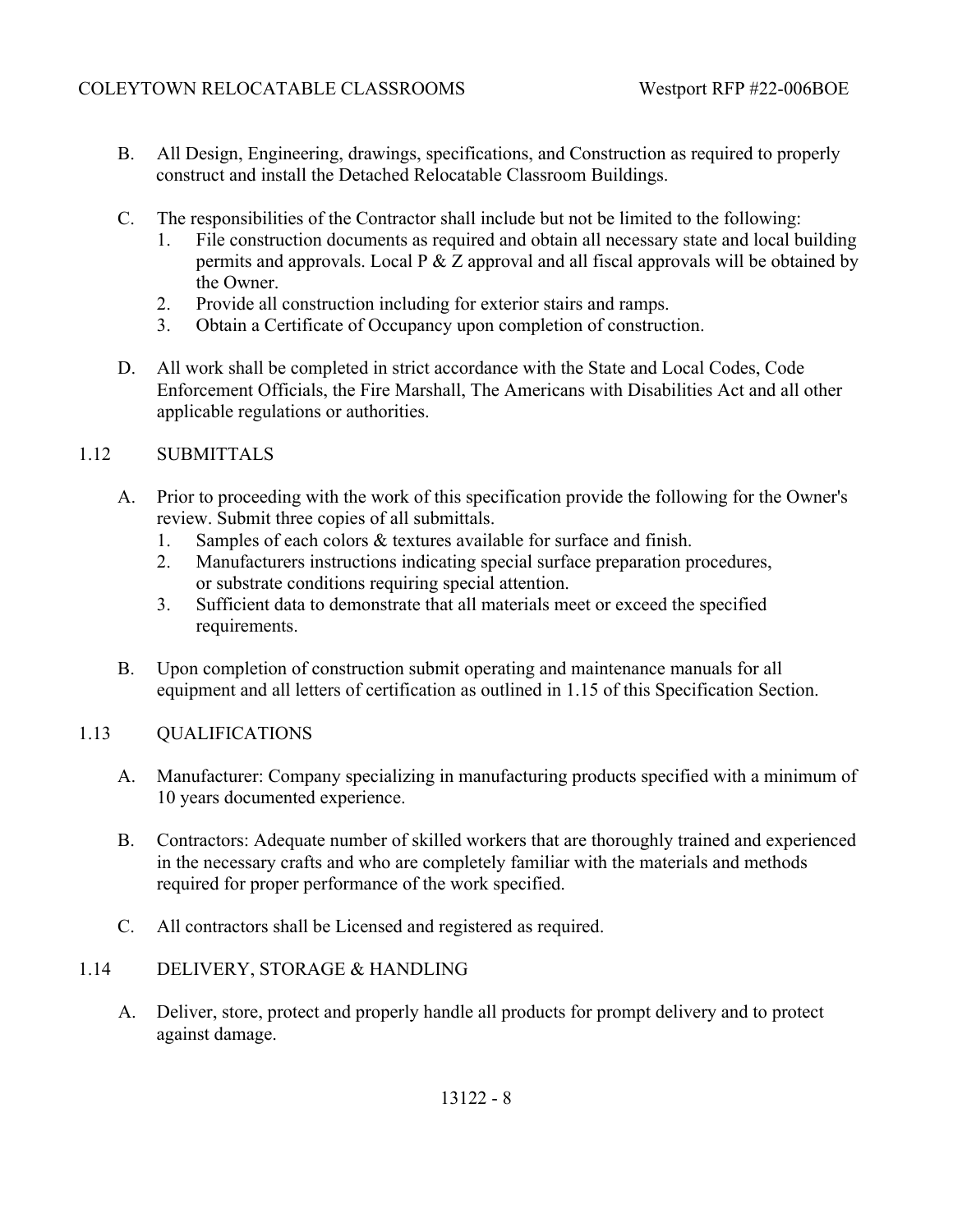- B. All Design, Engineering, drawings, specifications, and Construction as required to properly construct and install the Detached Relocatable Classroom Buildings.
- C. The responsibilities of the Contractor shall include but not be limited to the following:
	- 1. File construction documents as required and obtain all necessary state and local building permits and approvals. Local  $P \& Z$  approval and all fiscal approvals will be obtained by the Owner.
	- 2. Provide all construction including for exterior stairs and ramps.
	- 3. Obtain a Certificate of Occupancy upon completion of construction.
- D. All work shall be completed in strict accordance with the State and Local Codes, Code Enforcement Officials, the Fire Marshall, The Americans with Disabilities Act and all other applicable regulations or authorities.

## 1.12 SUBMITTALS

- A. Prior to proceeding with the work of this specification provide the following for the Owner's review. Submit three copies of all submittals.
	- 1. Samples of each colors & textures available for surface and finish.
	- 2. Manufacturers instructions indicating special surface preparation procedures, or substrate conditions requiring special attention.
	- 3. Sufficient data to demonstrate that all materials meet or exceed the specified requirements.
- B. Upon completion of construction submit operating and maintenance manuals for all equipment and all letters of certification as outlined in 1.15 of this Specification Section.

## 1.13 QUALIFICATIONS

- A. Manufacturer: Company specializing in manufacturing products specified with a minimum of 10 years documented experience.
- B. Contractors: Adequate number of skilled workers that are thoroughly trained and experienced in the necessary crafts and who are completely familiar with the materials and methods required for proper performance of the work specified.
- C. All contractors shall be Licensed and registered as required.

## 1.14 DELIVERY, STORAGE & HANDLING

A. Deliver, store, protect and properly handle all products for prompt delivery and to protect against damage.